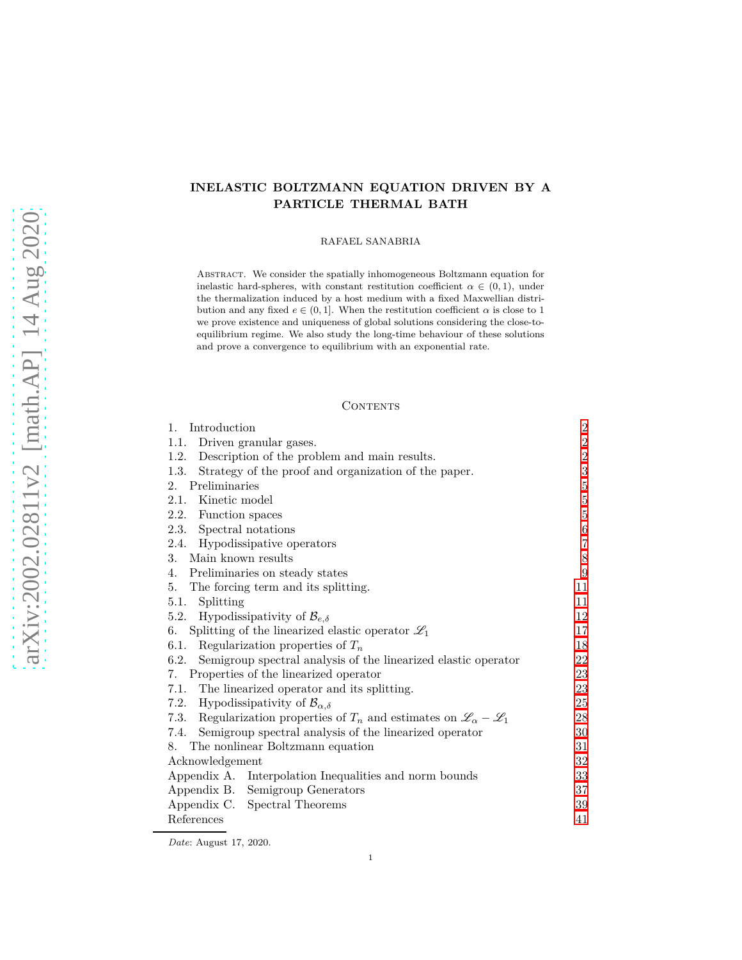# **INELASTIC BOLTZMANN EQUATION DRIVEN BY A PARTICLE THERMAL BATH**

RAFAEL SANABRIA

Abstract. We consider the spatially inhomogeneous Boltzmann equation for inelastic hard-spheres, with constant restitution coefficient  $\alpha \in (0,1)$ , under the thermalization induced by a host medium with a fixed Maxwellian distribution and any fixed  $e \in (0, 1]$ . When the restitution coefficient  $\alpha$  is close to 1 we prove existence and uniqueness of global solutions considering the close-toequilibrium regime. We also study the long-time behaviour of these solutions and prove a convergence to equilibrium with an exponential rate.

## CONTENTS

| Introduction<br>1.                                                                              | $\overline{2}$   |
|-------------------------------------------------------------------------------------------------|------------------|
| Driven granular gases.<br>1.1.                                                                  | $\,2$            |
| 1.2. Description of the problem and main results.                                               | $\,2$            |
| Strategy of the proof and organization of the paper.<br>1.3.                                    | $\sqrt{3}$       |
| Preliminaries<br>2.                                                                             | $\bf 5$          |
| Kinetic model<br>2.1.                                                                           | $\bf 5$          |
| 2.2. Function spaces                                                                            | $\bf 5$          |
| 2.3. Spectral notations                                                                         | $\,6\,$          |
| 2.4. Hypodissipative operators                                                                  | $\overline{7}$   |
| Main known results<br>3.                                                                        | $8\,$            |
| 4. Preliminaries on steady states                                                               | $\boldsymbol{9}$ |
| The forcing term and its splitting.<br>5.                                                       | 11               |
| Splitting<br>5.1.                                                                               | 11               |
| 5.2. Hypodissipativity of $\mathcal{B}_{e,\delta}$                                              | 12               |
| Splitting of the linearized elastic operator $\mathscr{L}_1$<br>6.                              | 17               |
| 6.1. Regularization properties of $T_n$                                                         | 18               |
| 6.2. Semigroup spectral analysis of the linearized elastic operator                             | 22               |
| 7. Properties of the linearized operator                                                        | 23               |
| 7.1. The linearized operator and its splitting.                                                 | 23               |
| 7.2. Hypodissipativity of $\mathcal{B}_{\alpha,\delta}$                                         | 25               |
| 7.3. Regularization properties of $T_n$ and estimates on $\mathscr{L}_{\alpha} - \mathscr{L}_1$ | 28               |
| 7.4. Semigroup spectral analysis of the linearized operator                                     | 30               |
| 8. The nonlinear Boltzmann equation                                                             | 31               |
| Acknowledgement                                                                                 | $32\,$           |
| Appendix A. Interpolation Inequalities and norm bounds                                          | 33               |
| Appendix B. Semigroup Generators                                                                | 37               |
| Appendix C. Spectral Theorems                                                                   | 39               |
| References                                                                                      | 41               |

*Date*: August 17, 2020.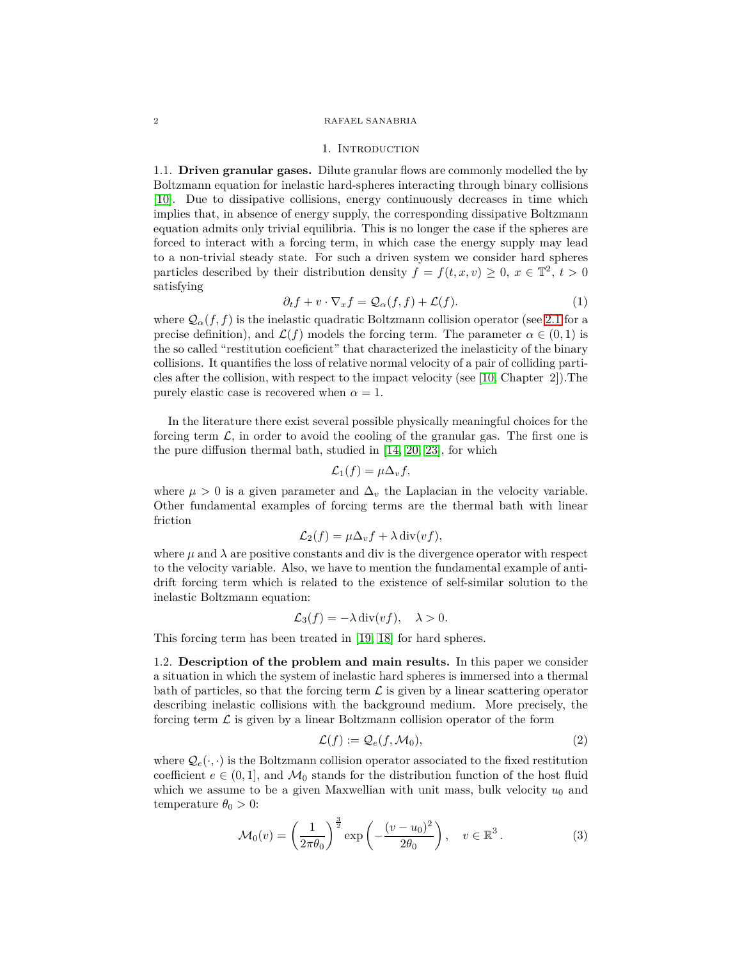#### <span id="page-1-0"></span>2 RAFAEL SANABRIA

#### 1. INTRODUCTION

<span id="page-1-1"></span>1.1. **Driven granular gases.** Dilute granular flows are commonly modelled the by Boltzmann equation for inelastic hard-spheres interacting through binary collisions [\[10\]](#page-40-1). Due to dissipative collisions, energy continuously decreases in time which implies that, in absence of energy supply, the corresponding dissipative Boltzmann equation admits only trivial equilibria. This is no longer the case if the spheres are forced to interact with a forcing term, in which case the energy supply may lead to a non-trivial steady state. For such a driven system we consider hard spheres particles described by their distribution density  $f = f(t, x, v) \geq 0, x \in \mathbb{T}^2, t > 0$ satisfying

<span id="page-1-3"></span>
$$
\partial_t f + v \cdot \nabla_x f = \mathcal{Q}_{\alpha}(f, f) + \mathcal{L}(f). \tag{1}
$$

where  $\mathcal{Q}_{\alpha}(f, f)$  is the inelastic quadratic Boltzmann collision operator (see [2.1](#page-4-1) for a precise definition), and  $\mathcal{L}(f)$  models the forcing term. The parameter  $\alpha \in (0,1)$  is the so called "restitution coeficient" that characterized the inelasticity of the binary collisions. It quantifies the loss of relative normal velocity of a pair of colliding particles after the collision, with respect to the impact velocity (see [\[10,](#page-40-1) Chapter 2]).The purely elastic case is recovered when  $\alpha = 1$ .

In the literature there exist several possible physically meaningful choices for the forcing term  $\mathcal{L}$ , in order to avoid the cooling of the granular gas. The first one is the pure diffusion thermal bath, studied in [\[14,](#page-40-2) [20,](#page-40-3) [23\]](#page-41-0), for which

$$
\mathcal{L}_1(f) = \mu \Delta_v f,
$$

where  $\mu > 0$  is a given parameter and  $\Delta_v$  the Laplacian in the velocity variable. Other fundamental examples of forcing terms are the thermal bath with linear friction

$$
\mathcal{L}_2(f) = \mu \Delta_v f + \lambda \operatorname{div}(vf),
$$

where  $\mu$  and  $\lambda$  are positive constants and div is the divergence operator with respect to the velocity variable. Also, we have to mention the fundamental example of antidrift forcing term which is related to the existence of self-similar solution to the inelastic Boltzmann equation:

$$
\mathcal{L}_3(f) = -\lambda \operatorname{div}(vf), \quad \lambda > 0.
$$

<span id="page-1-2"></span>This forcing term has been treated in [\[19,](#page-40-4) [18\]](#page-40-5) for hard spheres.

1.2. **Description of the problem and main results.** In this paper we consider a situation in which the system of inelastic hard spheres is immersed into a thermal bath of particles, so that the forcing term  $\mathcal L$  is given by a linear scattering operator describing inelastic collisions with the background medium. More precisely, the forcing term  $\mathcal L$  is given by a linear Boltzmann collision operator of the form

<span id="page-1-4"></span>
$$
\mathcal{L}(f) := \mathcal{Q}_e(f, \mathcal{M}_0),\tag{2}
$$

where  $\mathcal{Q}_e(\cdot, \cdot)$  is the Boltzmann collision operator associated to the fixed restitution coefficient  $e \in (0,1]$ , and  $\mathcal{M}_0$  stands for the distribution function of the host fluid which we assume to be a given Maxwellian with unit mass, bulk velocity  $u_0$  and temperature  $\theta_0 > 0$ :

<span id="page-1-5"></span>
$$
\mathcal{M}_0(v) = \left(\frac{1}{2\pi\theta_0}\right)^{\frac{3}{2}} \exp\left(-\frac{(v-u_0)^2}{2\theta_0}\right), \quad v \in \mathbb{R}^3. \tag{3}
$$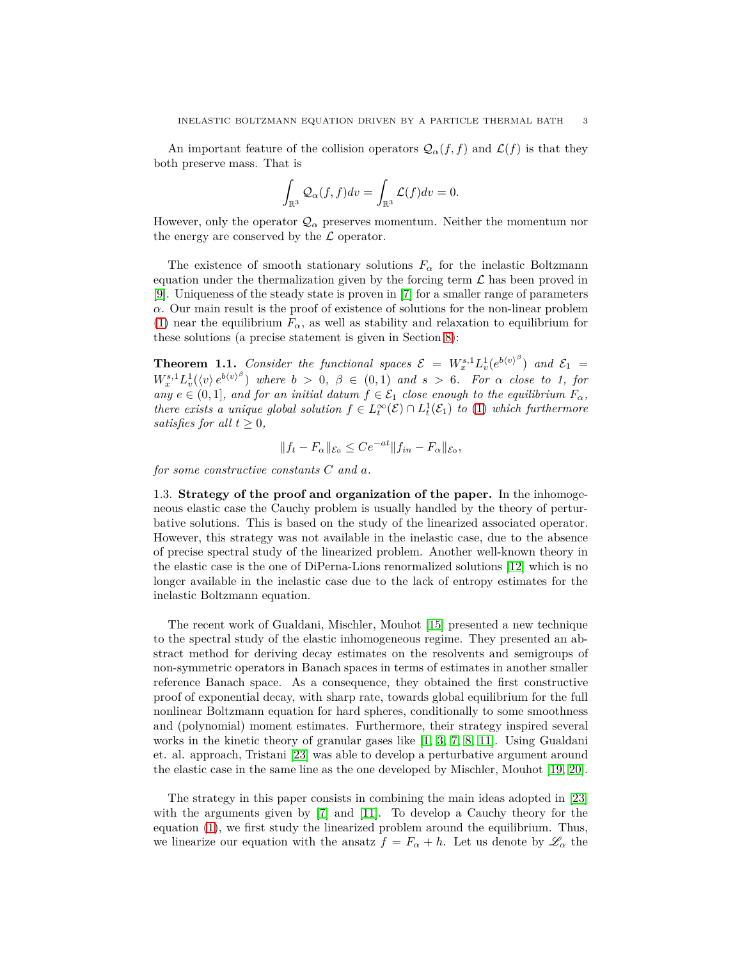An important feature of the collision operators  $\mathcal{Q}_{\alpha}(f, f)$  and  $\mathcal{L}(f)$  is that they both preserve mass. That is

$$
\int_{\mathbb{R}^3} \mathcal{Q}_{\alpha}(f,f) dv = \int_{\mathbb{R}^3} \mathcal{L}(f) dv = 0.
$$

However, only the operator  $\mathcal{Q}_{\alpha}$  preserves momentum. Neither the momentum nor the energy are conserved by the  $\mathcal L$  operator.

The existence of smooth stationary solutions  $F_\alpha$  for the inelastic Boltzmann equation under the thermalization given by the forcing term  $\mathcal L$  has been proved in [\[9\]](#page-40-6). Uniqueness of the steady state is proven in [\[7\]](#page-40-7) for a smaller range of parameters *α*. Our main result is the proof of existence of solutions for the non-linear problem [\(1\)](#page-1-3) near the equilibrium  $F_\alpha$ , as well as stability and relaxation to equilibrium for these solutions (a precise statement is given in Section [8\)](#page-30-0):

**Theorem 1.1.** Consider the functional spaces  $\mathcal{E} = W_x^{s,1} L_v^1(e^{b \langle v \rangle^\beta})$  and  $\mathcal{E}_1 =$  $W_x^{s,1}L_v^1(\langle v \rangle e^{b\langle v \rangle^\beta})$  where  $b > 0, \ \beta \in (0,1)$  and  $s > 6$ . For  $\alpha$  close to 1, for  $a_n y \in \mathcal{C}(0,1]$ *, and for an initial datum*  $f \in \mathcal{E}_1$  *close enough to the equilibrium*  $F_\alpha$ *, there exists a unique global solution*  $f \in L^{\infty}_t(\mathcal{E}) \cap L^1_t(\mathcal{E}_1)$  *to* [\(1\)](#page-1-3) *which furthermore satisfies for all*  $t \geq 0$ *,* 

$$
||f_t - F_{\alpha}||_{\mathcal{E}_0} \leq Ce^{-at}||f_{in} - F_{\alpha}||_{\mathcal{E}_0},
$$

<span id="page-2-0"></span>*for some constructive constants C and a.*

1.3. **Strategy of the proof and organization of the paper.** In the inhomogeneous elastic case the Cauchy problem is usually handled by the theory of perturbative solutions. This is based on the study of the linearized associated operator. However, this strategy was not available in the inelastic case, due to the absence of precise spectral study of the linearized problem. Another well-known theory in the elastic case is the one of DiPerna-Lions renormalized solutions [\[12\]](#page-40-8) which is no longer available in the inelastic case due to the lack of entropy estimates for the inelastic Boltzmann equation.

The recent work of Gualdani, Mischler, Mouhot [\[15\]](#page-40-9) presented a new technique to the spectral study of the elastic inhomogeneous regime. They presented an abstract method for deriving decay estimates on the resolvents and semigroups of non-symmetric operators in Banach spaces in terms of estimates in another smaller reference Banach space. As a consequence, they obtained the first constructive proof of exponential decay, with sharp rate, towards global equilibrium for the full nonlinear Boltzmann equation for hard spheres, conditionally to some smoothness and (polynomial) moment estimates. Furthermore, their strategy inspired several works in the kinetic theory of granular gases like [\[1,](#page-40-10) [3,](#page-40-11) [7,](#page-40-7) [8,](#page-40-12) [11\]](#page-40-13). Using Gualdani et. al. approach, Tristani [\[23\]](#page-41-0) was able to develop a perturbative argument around the elastic case in the same line as the one developed by Mischler, Mouhot [\[19,](#page-40-4) [20\]](#page-40-3).

The strategy in this paper consists in combining the main ideas adopted in [\[23\]](#page-41-0) with the arguments given by [\[7\]](#page-40-7) and [\[11\]](#page-40-13). To develop a Cauchy theory for the equation [\(1\)](#page-1-3), we first study the linearized problem around the equilibrium. Thus, we linearize our equation with the ansatz  $f = F_\alpha + h$ . Let us denote by  $\mathscr{L}_\alpha$  the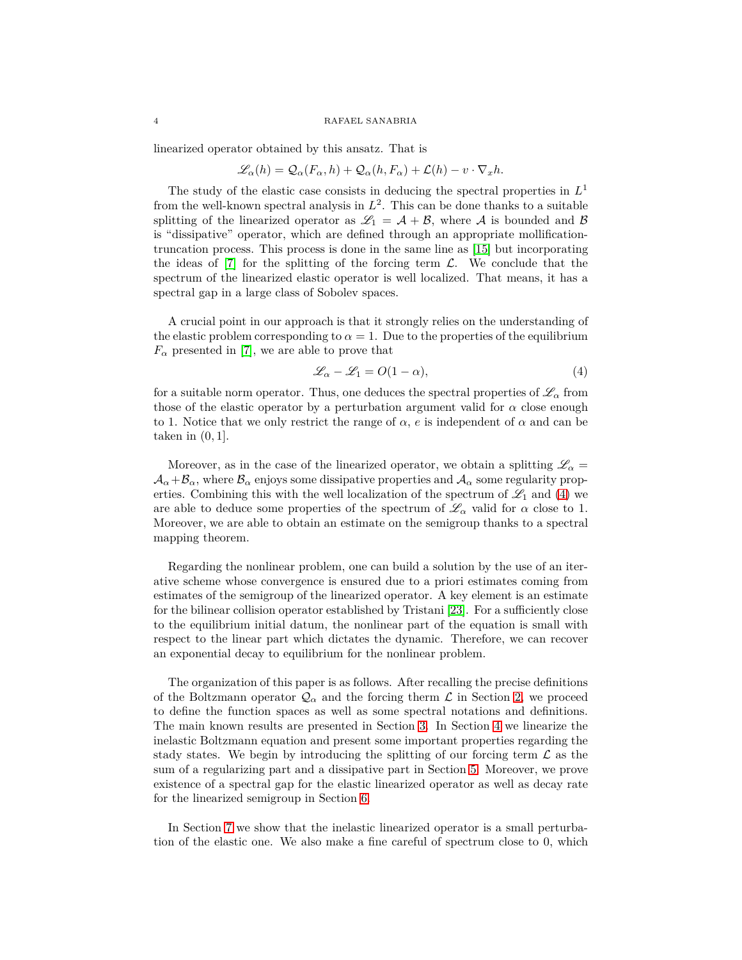#### 4 RAFAEL SANABRIA

linearized operator obtained by this ansatz. That is

$$
\mathcal{L}_{\alpha}(h) = \mathcal{Q}_{\alpha}(F_{\alpha}, h) + \mathcal{Q}_{\alpha}(h, F_{\alpha}) + \mathcal{L}(h) - v \cdot \nabla_x h.
$$

The study of the elastic case consists in deducing the spectral properties in *L* 1 from the well-known spectral analysis in  $L^2$ . This can be done thanks to a suitable splitting of the linearized operator as  $\mathscr{L}_1 = \mathcal{A} + \mathcal{B}$ , where  $\mathcal A$  is bounded and  $\mathcal B$ is "dissipative" operator, which are defined through an appropriate mollificationtruncation process. This process is done in the same line as [\[15\]](#page-40-9) but incorporating the ideas of  $[7]$  for the splitting of the forcing term  $\mathcal{L}$ . We conclude that the spectrum of the linearized elastic operator is well localized. That means, it has a spectral gap in a large class of Sobolev spaces.

A crucial point in our approach is that it strongly relies on the understanding of the elastic problem corresponding to  $\alpha = 1$ . Due to the properties of the equilibrium  $F_{\alpha}$  presented in [\[7\]](#page-40-7), we are able to prove that

<span id="page-3-0"></span>
$$
\mathcal{L}_{\alpha} - \mathcal{L}_1 = O(1 - \alpha),\tag{4}
$$

for a suitable norm operator. Thus, one deduces the spectral properties of  $\mathscr{L}_{\alpha}$  from those of the elastic operator by a perturbation argument valid for  $\alpha$  close enough to 1. Notice that we only restrict the range of  $\alpha$ , *e* is independent of  $\alpha$  and can be taken in (0*,* 1].

Moreover, as in the case of the linearized operator, we obtain a splitting  $\mathscr{L}_\alpha =$  $A_{\alpha}+B_{\alpha}$ , where  $B_{\alpha}$  enjoys some dissipative properties and  $A_{\alpha}$  some regularity properties. Combining this with the well localization of the spectrum of  $\mathscr{L}_1$  and [\(4\)](#page-3-0) we are able to deduce some properties of the spectrum of  $\mathscr{L}_{\alpha}$  valid for  $\alpha$  close to 1. Moreover, we are able to obtain an estimate on the semigroup thanks to a spectral mapping theorem.

Regarding the nonlinear problem, one can build a solution by the use of an iterative scheme whose convergence is ensured due to a priori estimates coming from estimates of the semigroup of the linearized operator. A key element is an estimate for the bilinear collision operator established by Tristani [\[23\]](#page-41-0). For a sufficiently close to the equilibrium initial datum, the nonlinear part of the equation is small with respect to the linear part which dictates the dynamic. Therefore, we can recover an exponential decay to equilibrium for the nonlinear problem.

The organization of this paper is as follows. After recalling the precise definitions of the Boltzmann operator  $\mathcal{Q}_\alpha$  and the forcing therm  $\mathcal L$  in Section [2,](#page-4-0) we proceed to define the function spaces as well as some spectral notations and definitions. The main known results are presented in Section [3.](#page-7-0) In Section [4](#page-8-0) we linearize the inelastic Boltzmann equation and present some important properties regarding the stady states. We begin by introducing the splitting of our forcing term  $\mathcal L$  as the sum of a regularizing part and a dissipative part in Section [5.](#page-10-0) Moreover, we prove existence of a spectral gap for the elastic linearized operator as well as decay rate for the linearized semigroup in Section [6.](#page-16-0)

In Section [7](#page-22-0) we show that the inelastic linearized operator is a small perturbation of the elastic one. We also make a fine careful of spectrum close to 0, which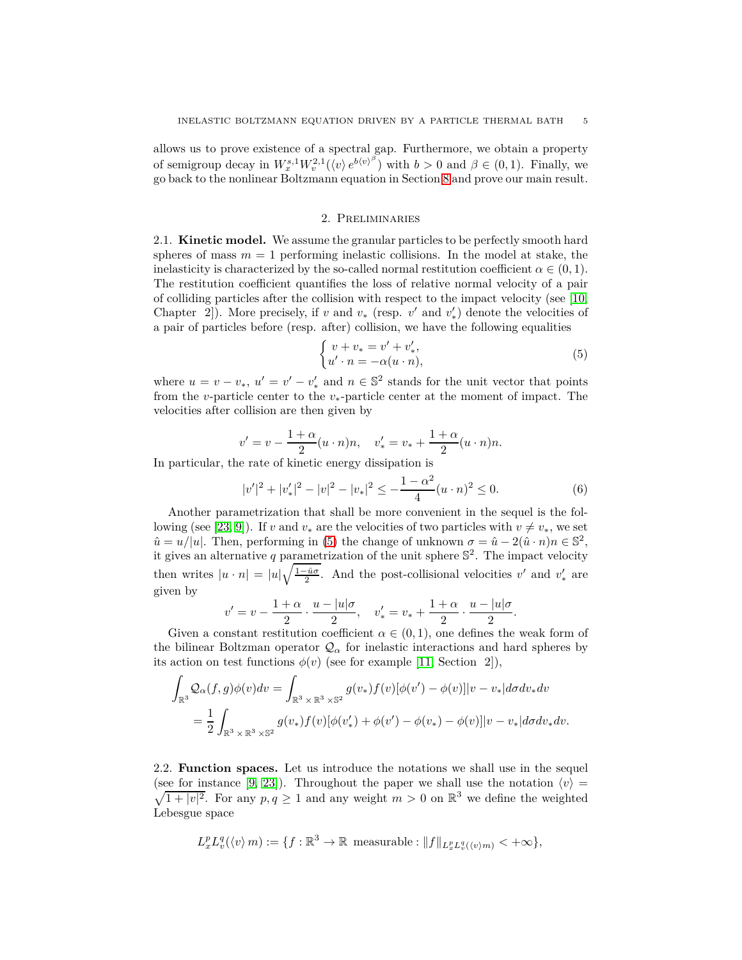allows us to prove existence of a spectral gap. Furthermore, we obtain a property of semigroup decay in  $W_x^{s,1} W_v^{2,1}(\langle v \rangle e^{b \langle v \rangle^\beta})$  with  $b > 0$  and  $\beta \in (0,1)$ . Finally, we go back to the nonlinear Boltzmann equation in Section [8](#page-30-0) and prove our main result.

#### 2. Preliminaries

<span id="page-4-1"></span><span id="page-4-0"></span>2.1. **Kinetic model.** We assume the granular particles to be perfectly smooth hard spheres of mass  $m = 1$  performing inelastic collisions. In the model at stake, the inelasticity is characterized by the so-called normal restitution coefficient  $\alpha \in (0, 1)$ . The restitution coefficient quantifies the loss of relative normal velocity of a pair of colliding particles after the collision with respect to the impact velocity (see [\[10,](#page-40-1) Chapter 2]). More precisely, if *v* and  $v_*$  (resp. *v'* and  $v'_*$ ) denote the velocities of a pair of particles before (resp. after) collision, we have the following equalities

<span id="page-4-3"></span>
$$
\begin{cases} v + v_* = v' + v'_*, \\ u' \cdot n = -\alpha(u \cdot n), \end{cases} \tag{5}
$$

where  $u = v - v_*$ ,  $u' = v' - v'_*$  and  $n \in \mathbb{S}^2$  stands for the unit vector that points from the *v*-particle center to the *v*∗-particle center at the moment of impact. The velocities after collision are then given by

$$
v' = v - \frac{1+\alpha}{2}(u \cdot n)n
$$
,  $v'_{*} = v_{*} + \frac{1+\alpha}{2}(u \cdot n)n$ .

In particular, the rate of kinetic energy dissipation is

<span id="page-4-4"></span>
$$
|v'|^2 + |v'_*|^2 - |v|^2 - |v_*|^2 \le -\frac{1-\alpha^2}{4}(u \cdot n)^2 \le 0.
$$
 (6)

Another parametrization that shall be more convenient in the sequel is the fol-lowing (see [\[23,](#page-41-0) [9\]](#page-40-6)). If *v* and  $v_*$  are the velocities of two particles with  $v \neq v_*,$  we set  $\hat{u} = u/|u|$ . Then, performing in [\(5\)](#page-4-3) the change of unknown  $\sigma = \hat{u} - 2(\hat{u} \cdot n)n \in \mathbb{S}^2$ , it gives an alternative *q* parametrization of the unit sphere S 2 . The impact velocity then writes  $|u \cdot n| = |u| \sqrt{\frac{1-\hat{u}\sigma}{2}}$ . And the post-collisional velocities *v'* and *v*<sub>\*</sub> are given by

$$
v' = v - \frac{1+\alpha}{2} \cdot \frac{u-|u|\sigma}{2}, \quad v'_* = v_* + \frac{1+\alpha}{2} \cdot \frac{u-|u|\sigma}{2}.
$$

Given a constant restitution coefficient  $\alpha \in (0,1)$ , one defines the weak form of the bilinear Boltzman operator  $\mathcal{Q}_{\alpha}$  for inelastic interactions and hard spheres by its action on test functions  $\phi(v)$  (see for example [\[11,](#page-40-13) Section 2]),

$$
\int_{\mathbb{R}^3} \mathcal{Q}_{\alpha}(f,g)\phi(v)dv = \int_{\mathbb{R}^3 \times \mathbb{R}^3 \times \mathbb{S}^2} g(v_*)f(v)[\phi(v') - \phi(v)]|v - v_*|d\sigma dv_*dv
$$
  
= 
$$
\frac{1}{2} \int_{\mathbb{R}^3 \times \mathbb{R}^3 \times \mathbb{S}^2} g(v_*)f(v)[\phi(v'_*) + \phi(v') - \phi(v_*) - \phi(v)]|v - v_*|d\sigma dv_*dv.
$$

<span id="page-4-2"></span>2.2. **Function spaces.** Let us introduce the notations we shall use in the sequel (see for instance [\[9,](#page-40-6) [23\]](#page-41-0)). Throughout the paper we shall use the notation  $\langle v \rangle$  =  $\sqrt{1+|v|^2}$ . For any  $p, q \ge 1$  and any weight  $m > 0$  on  $\mathbb{R}^3$  we define the weighted Lebesgue space

$$
L_x^p L_v^q(\langle v \rangle m) := \{ f : \mathbb{R}^3 \to \mathbb{R} \text{ measurable}: ||f||_{L_x^p L_v^q(\langle v \rangle m)} < +\infty \},
$$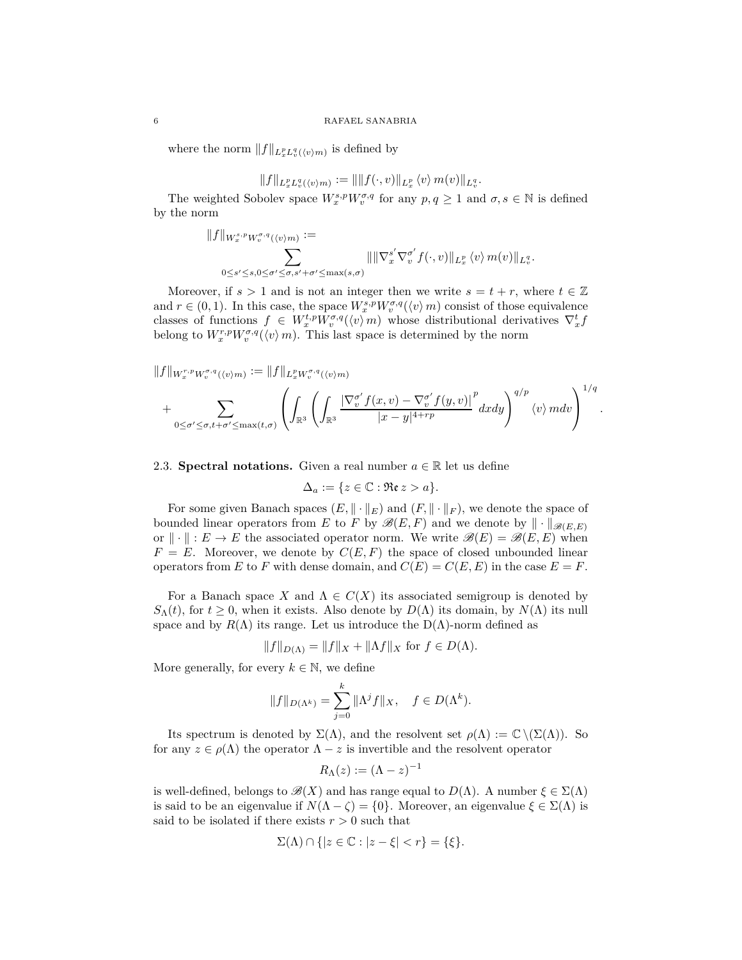where the norm  $||f||_{L_x^p L_v^q(\langle v \rangle m)}$  is defined by

$$
||f||_{L_x^p L_v^q(\langle v \rangle m)} := ||||f(\cdot, v)||_{L_x^p} \langle v \rangle m(v)||_{L_v^q}.
$$

The weighted Sobolev space  $W^{s,p}_x W^{\sigma,q}_v$  for any  $p, q \ge 1$  and  $\sigma, s \in \mathbb{N}$  is defined by the norm

$$
||f||_{W_x^{s,p}W_v^{\sigma,q}(\langle v \rangle m)} := \sum_{0 \le s' \le s, 0 \le \sigma' \le \sigma, s' + \sigma' \le \max(s,\sigma)} ||||\nabla_x^{s'} \nabla_v^{\sigma'} f(\cdot, v)||_{L_x^p} \langle v \rangle m(v)||_{L_v^q}.
$$

Moreover, if  $s > 1$  and is not an integer then we write  $s = t + r$ , where  $t \in \mathbb{Z}$ and  $r \in (0, 1)$ . In this case, the space  $W_x^{s,p} W_v^{\sigma,q}(\langle v \rangle m)$  consist of those equivalence classes of functions  $f \in W_x^{t,p} W_v^{\sigma,q}(\langle v \rangle m)$  whose distributional derivatives  $\nabla_x^t f$ belong to  $W_x^{r,p} W_v^{\sigma,q}(\langle v \rangle m)$ . This last space is determined by the norm

$$
||f||_{W_x^{r,p}W_v^{\sigma,q}(\langle v\rangle m)} := ||f||_{L_x^pW_v^{\sigma,q}(\langle v\rangle m)}
$$
  
+ 
$$
\sum_{0 \le \sigma' \le \sigma, t+\sigma' \le \max(t,\sigma)} \left( \int_{\mathbb{R}^3} \left( \int_{\mathbb{R}^3} \frac{|\nabla_v^{\sigma'} f(x,v) - \nabla_v^{\sigma'} f(y,v)|}{|x-y|^{4+rp}} dxdy \right)^{q/p} \langle v \rangle mdv \right)^{1/q}
$$

*.*

<span id="page-5-0"></span>2.3. **Spectral notations.** Given a real number  $a \in \mathbb{R}$  let us define

$$
\Delta_a := \{ z \in \mathbb{C} : \Re \mathfrak{e} \, z > a \}.
$$

For some given Banach spaces  $(E, \|\cdot\|_E)$  and  $(F, \|\cdot\|_F)$ , we denote the space of bounded linear operators from *E* to *F* by  $\mathscr{B}(E, F)$  and we denote by  $\|\cdot\|_{\mathscr{B}(E, E)}$ or  $\|\cdot\| : E \to E$  the associated operator norm. We write  $\mathscr{B}(E) = \mathscr{B}(E, E)$  when  $F = E$ . Moreover, we denote by  $C(E, F)$  the space of closed unbounded linear operators from *E* to *F* with dense domain, and  $C(E) = C(E, E)$  in the case  $E = F$ .

For a Banach space *X* and  $\Lambda \in C(X)$  its associated semigroup is denoted by *S*<sub>Δ</sub>(*t*), for *t*  $\geq$  0, when it exists. Also denote by *D*( $Λ$ ) its domain, by *N*( $Λ$ ) its null space and by  $R(\Lambda)$  its range. Let us introduce the  $D(\Lambda)$ -norm defined as

$$
||f||_{D(\Lambda)} = ||f||_X + ||\Lambda f||_X
$$
 for  $f \in D(\Lambda)$ .

More generally, for every  $k \in \mathbb{N}$ , we define

$$
||f||_{D(\Lambda^k)} = \sum_{j=0}^k \|\Lambda^j f\|_X, \quad f \in D(\Lambda^k).
$$

Its spectrum is denoted by  $\Sigma(\Lambda)$ , and the resolvent set  $\rho(\Lambda) := \mathbb{C} \setminus (\Sigma(\Lambda))$ . So for any  $z \in \rho(\Lambda)$  the operator  $\Lambda - z$  is invertible and the resolvent operator

$$
R_\Lambda(z):=(\Lambda-z)^{-1}
$$

is well-defined, belongs to  $\mathcal{B}(X)$  and has range equal to  $D(\Lambda)$ . A number  $\xi \in \Sigma(\Lambda)$ is said to be an eigenvalue if  $N(\Lambda - \zeta) = \{0\}$ . Moreover, an eigenvalue  $\xi \in \Sigma(\Lambda)$  is said to be isolated if there exists  $r > 0$  such that

$$
\Sigma(\Lambda) \cap \{|z \in \mathbb{C} : |z - \xi| < r\} = \{\xi\}.
$$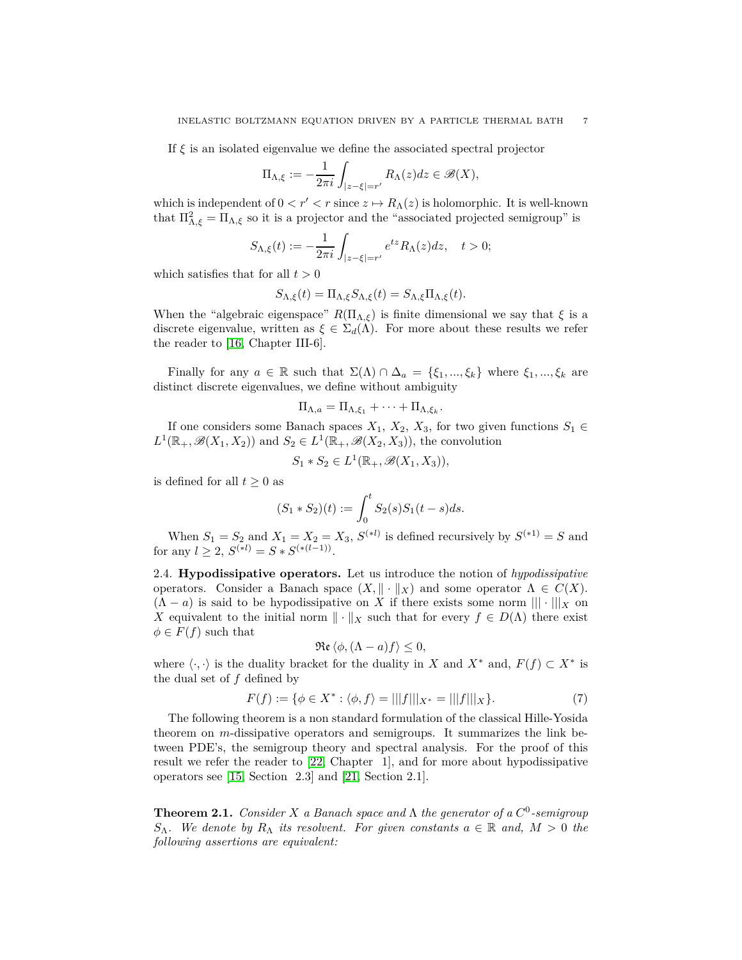If *ξ* is an isolated eigenvalue we define the associated spectral projector

$$
\Pi_{\Lambda,\xi} := -\frac{1}{2\pi i} \int_{|z-\xi|=r'} R_{\Lambda}(z) dz \in \mathscr{B}(X),
$$

which is independent of  $0 < r' < r$  since  $z \mapsto R_{\Lambda}(z)$  is holomorphic. It is well-known that  $\Pi_{\Lambda,\xi}^2 = \Pi_{\Lambda,\xi}$  so it is a projector and the "associated projected semigroup" is

$$
S_{\Lambda,\xi}(t) := -\frac{1}{2\pi i} \int_{|z-\xi|=r'} e^{tz} R_{\Lambda}(z) dz, \quad t > 0;
$$

which satisfies that for all  $t > 0$ 

$$
S_{\Lambda,\xi}(t) = \Pi_{\Lambda,\xi} S_{\Lambda,\xi}(t) = S_{\Lambda,\xi} \Pi_{\Lambda,\xi}(t).
$$

When the "algebraic eigenspace"  $R(\Pi_{\Lambda,\xi})$  is finite dimensional we say that  $\xi$  is a discrete eigenvalue, written as  $\xi \in \Sigma_d(\Lambda)$ . For more about these results we refer the reader to [\[16,](#page-40-14) Chapter III-6].

Finally for any  $a \in \mathbb{R}$  such that  $\Sigma(\Lambda) \cap \Delta_a = {\xi_1, ..., \xi_k}$  where  $\xi_1, ..., \xi_k$  are distinct discrete eigenvalues, we define without ambiguity

$$
\Pi_{\Lambda,a} = \Pi_{\Lambda,\xi_1} + \cdots + \Pi_{\Lambda,\xi_k}.
$$

If one considers some Banach spaces  $X_1, X_2, X_3$ , for two given functions  $S_1 \in$  $L^1(\mathbb{R}_+, \mathscr{B}(X_1, X_2))$  and  $S_2 \in L^1(\mathbb{R}_+, \mathscr{B}(X_2, X_3))$ , the convolution

$$
S_1 * S_2 \in L^1(\mathbb{R}_+, \mathscr{B}(X_1, X_3)),
$$

is defined for all  $t \geq 0$  as

$$
(S_1 * S_2)(t) := \int_0^t S_2(s)S_1(t - s)ds.
$$

When  $S_1 = S_2$  and  $X_1 = X_2 = X_3$ ,  $S^{(*l)}$  is defined recursively by  $S^{(*l)} = S$  and for any  $l \geq 2$ ,  $S^{(*l)} = S * S^{(*(l-1))}$ .

<span id="page-6-0"></span>2.4. **Hypodissipative operators.** Let us introduce the notion of *hypodissipative* operators. Consider a Banach space  $(X, \| \cdot \|_X)$  and some operator  $\Lambda \in C(X)$ .  $(\Lambda - a)$  is said to be hypodissipative on X if there exists some norm  $\|\cdot\|_X$  on *X* equivalent to the initial norm  $\|\cdot\|_X$  such that for every  $f \in D(\Lambda)$  there exist  $\phi \in F(f)$  such that

$$
\operatorname{\mathfrak{Re}}\left\langle \phi,(\Lambda-a)f\right\rangle \leq0,
$$

where  $\langle \cdot, \cdot \rangle$  is the duality bracket for the duality in *X* and *X*<sup>\*</sup> and,  $F(f) \subset X^*$  is the dual set of *f* defined by

<span id="page-6-1"></span>
$$
F(f) := \{ \phi \in X^* : \langle \phi, f \rangle = |||f|||_{X^*} = |||f|||_{X} \}.
$$
 (7)

The following theorem is a non standard formulation of the classical Hille-Yosida theorem on *m*-dissipative operators and semigroups. It summarizes the link between PDE's, the semigroup theory and spectral analysis. For the proof of this result we refer the reader to [\[22,](#page-40-15) Chapter 1], and for more about hypodissipative operators see [\[15,](#page-40-9) Section 2.3] and [\[21,](#page-40-16) Section 2.1].

<span id="page-6-2"></span>**Theorem 2.1.** *Consider X a Banach space and* Λ *the generator of a C* 0 *-semigroup S*<sup>*N*</sup>. We denote by  $R_Λ$  *its resolvent. For given constants*  $a ∈ ℝ$  *and,*  $M > 0$  *the following assertions are equivalent:*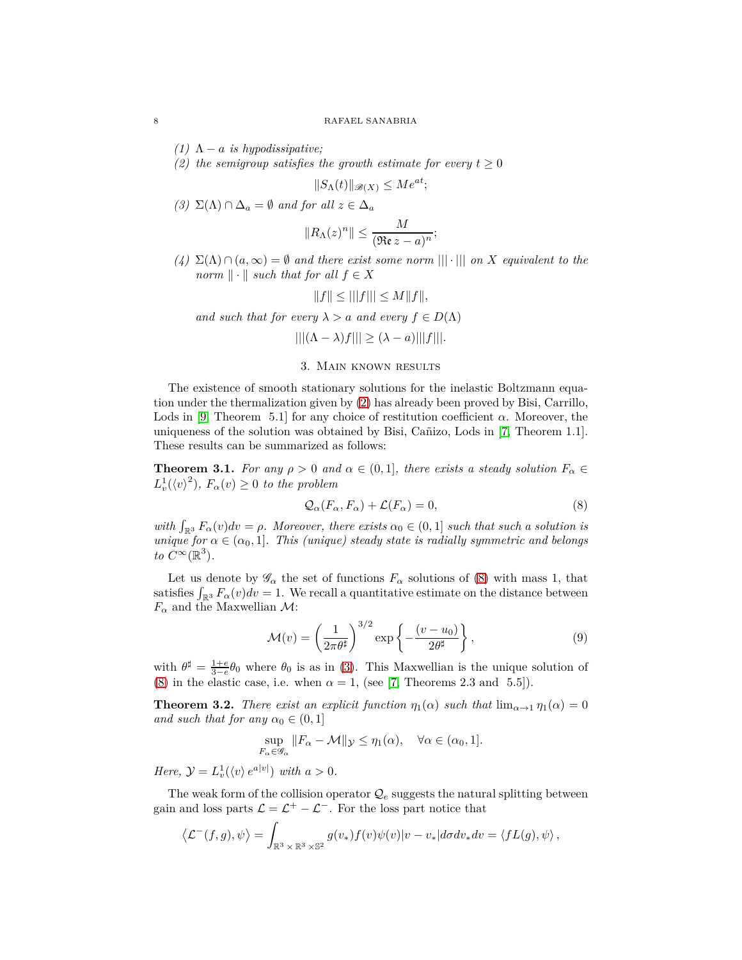*(1)*  $\Lambda - a$  *is hypodissipative;* 

*(2) the semigroup satisfies the growth estimate for every*  $t \geq 0$ 

$$
||S_{\Lambda}(t)||_{\mathscr{B}(X)} \le Me^{at};
$$

*(3)* Σ(Λ) ∩  $\Delta_a = ∅$  *and for all*  $z \in \Delta_a$ 

$$
||R_{\Lambda}(z)^n|| \leq \frac{M}{(\Re \varepsilon z - a)^n};
$$

*(4)* Σ(Λ) ∩ (*a,* ∞) = ∅ *and there exist some norm* ||| · ||| *on X equivalent to the norm*  $\|\cdot\|$  *such that for all*  $f \in X$ 

$$
||f|| \le |||f||| \le M||f||,
$$

*and such that for every*  $\lambda > a$  *and every*  $f \in D(\Lambda)$ 

 $|||(\Lambda - \lambda)f||| \geq (\lambda - a)|||f|||.$ 

## 3. Main known results

<span id="page-7-0"></span>The existence of smooth stationary solutions for the inelastic Boltzmann equation under the thermalization given by [\(2\)](#page-1-4) has already been proved by Bisi, Carrillo, Lods in [\[9,](#page-40-6) Theorem 5.1] for any choice of restitution coefficient  $\alpha$ . Moreover, the uniqueness of the solution was obtained by Bisi, Cañizo, Lods in [\[7,](#page-40-7) Theorem 1.1]. These results can be summarized as follows:

<span id="page-7-2"></span>**Theorem 3.1.** *For any*  $\rho > 0$  *and*  $\alpha \in (0,1]$ *, there exists a steady solution*  $F_{\alpha} \in$  $L_v^1(\langle v \rangle^2)$ ,  $F_\alpha(v) \geq 0$  *to the problem* 

<span id="page-7-1"></span>
$$
\mathcal{Q}_{\alpha}(F_{\alpha}, F_{\alpha}) + \mathcal{L}(F_{\alpha}) = 0, \tag{8}
$$

*with*  $\int_{\mathbb{R}^3} F_\alpha(v) dv = \rho$ . Moreover, there exists  $\alpha_0 \in (0,1]$  such that such a solution is *unique for*  $\alpha \in (\alpha_0, 1]$ *. This (unique) steady state is radially symmetric and belongs to*  $C^{\infty}(\mathbb{R}^3)$ .

Let us denote by  $\mathscr{G}_{\alpha}$  the set of functions  $F_{\alpha}$  solutions of [\(8\)](#page-7-1) with mass 1, that satisfies  $\int_{\mathbb{R}^3} F_\alpha(v) dv = 1$ . We recall a quantitative estimate on the distance between  $F_{\alpha}$  and the Maxwellian  $\mathcal{M}$ :

<span id="page-7-3"></span>
$$
\mathcal{M}(v) = \left(\frac{1}{2\pi\theta^{\sharp}}\right)^{3/2} \exp\left\{-\frac{(v-u_0)}{2\theta^{\sharp}}\right\},
$$
\n(9)

with  $\theta^{\sharp} = \frac{1+e}{3-e} \theta_0$  where  $\theta_0$  is as in [\(3\)](#page-1-5). This Maxwellian is the unique solution of [\(8\)](#page-7-1) in the elastic case, i.e. when  $\alpha = 1$ , (see [\[7,](#page-40-7) Theorems 2.3 and 5.5]).

<span id="page-7-4"></span>**Theorem 3.2.** *There exist an explicit function*  $\eta_1(\alpha)$  *such that*  $\lim_{\alpha \to 1} \eta_1(\alpha) = 0$ *and such that for any*  $\alpha_0 \in (0, 1]$ 

$$
\sup_{F_{\alpha}\in\mathscr{G}_{\alpha}}\|F_{\alpha}-\mathcal{M}\|_{\mathcal{Y}}\leq\eta_1(\alpha),\quad\forall\alpha\in(\alpha_0,1].
$$

*Here,*  $\mathcal{Y} = L_v^1(\langle v \rangle e^{a|v|})$  *with*  $a > 0$ *.* 

The weak form of the collision operator  $\mathcal{Q}_e$  suggests the natural splitting between gain and loss parts  $\mathcal{L} = \mathcal{L}^+ - \mathcal{L}^-$ . For the loss part notice that

$$
\left\langle \mathcal{L}^-(f,g),\psi\right\rangle=\int_{\mathbb{R}^3\times\mathbb{R}^3\times\mathbb{S}^2}g(v_*)f(v)\psi(v)|v-v_*|d\sigma dv_*dv=\left\langle fL(g),\psi\right\rangle,
$$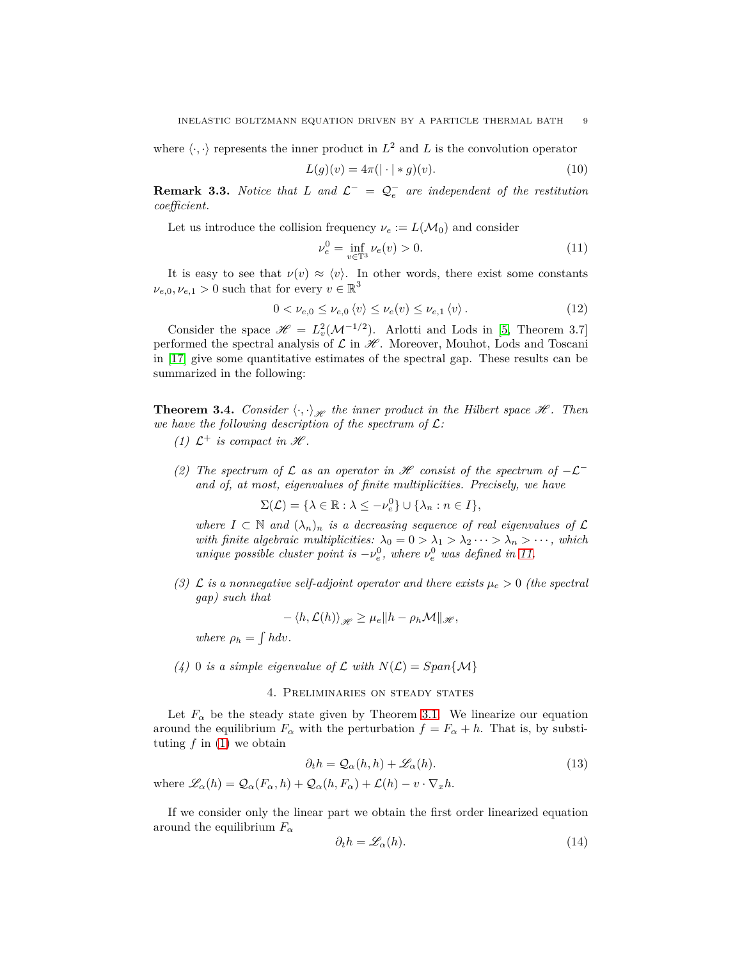where  $\langle \cdot, \cdot \rangle$  represents the inner product in  $L^2$  and  $L$  is the convolution operator

<span id="page-8-2"></span>
$$
L(g)(v) = 4\pi(|\cdot| * g)(v).
$$
 (10)

**Remark 3.3.** *Notice that L* and  $\mathcal{L}^- = \mathcal{Q}^-_e$  are independent of the restitution *coefficient.*

Let us introduce the collision frequency  $\nu_e := L(\mathcal{M}_0)$  and consider

<span id="page-8-1"></span>
$$
\nu_e^0 = \inf_{v \in \mathbb{T}^3} \nu_e(v) > 0.
$$
 (11)

It is easy to see that  $\nu(v) \approx \langle v \rangle$ . In other words, there exist some constants  $\nu_{e,0}, \nu_{e,1} > 0$  such that for every  $v \in \mathbb{R}^3$ 

<span id="page-8-3"></span>
$$
0 < \nu_{e,0} \le \nu_{e,0} \langle v \rangle \le \nu_e(v) \le \nu_{e,1} \langle v \rangle. \tag{12}
$$

Consider the space  $\mathscr{H} = L_v^2(\mathcal{M}^{-1/2})$ . Arlotti and Lods in [\[5,](#page-40-17) Theorem 3.7] performed the spectral analysis of  $\mathcal L$  in  $\mathcal H$ . Moreover, Mouhot, Lods and Toscani in [\[17\]](#page-40-18) give some quantitative estimates of the spectral gap. These results can be summarized in the following:

<span id="page-8-6"></span>**Theorem 3.4.** *Consider*  $\langle \cdot, \cdot \rangle_{\mathcal{H}}$  *the inner product in the Hilbert space*  $\mathcal{H}$ *. Then we have the following description of the spectrum of* L*:*

- *(1)*  $\mathcal{L}^+$  *is compact in*  $\mathcal{H}$ *.*
- *(2)* The spectrum of  $\mathcal L$  as an operator in  $\mathcal H$  consist of the spectrum of  $-\mathcal L^$ *and of, at most, eigenvalues of finite multiplicities. Precisely, we have*

 $\Sigma(\mathcal{L}) = \{\lambda \in \mathbb{R} : \lambda \leq -\nu_e^0\} \cup \{\lambda_n : n \in I\},\$ 

*where*  $I \subset \mathbb{N}$  *and*  $(\lambda_n)_n$  *is a decreasing sequence of real eigenvalues of*  $\mathcal{L}$ *with finite algebraic multiplicities:*  $\lambda_0 = 0 > \lambda_1 > \lambda_2 \cdots > \lambda_n > \cdots$ , which *unique possible cluster point is*  $-v_e^0$ , where  $v_e^0$  was defined in [11.](#page-8-1)

*(3)*  $\mathcal{L}$  *is a nonnegative self-adjoint operator and there exists*  $\mu_e > 0$  *(the spectral gap) such that*

$$
-\langle h,\mathcal{L}(h)\rangle_{\mathscr{H}} \geq \mu_e \|h-\rho_h\mathcal{M}\|_{\mathscr{H}},
$$

*where*  $\rho_h = \int h dv$ .

<span id="page-8-0"></span>(4) 0 *is a simple eigenvalue of*  $\mathcal L$  *with*  $N(\mathcal L) = Span\{\mathcal M\}$ 

### 4. Preliminaries on steady states

Let  $F_\alpha$  be the steady state given by Theorem [3.1.](#page-7-2) We linearize our equation around the equilibrium  $F_\alpha$  with the perturbation  $f = F_\alpha + h$ . That is, by substituting  $f$  in  $(1)$  we obtain

<span id="page-8-5"></span>
$$
\partial_t h = \mathcal{Q}_{\alpha}(h, h) + \mathcal{L}_{\alpha}(h). \tag{13}
$$

where  $\mathscr{L}_{\alpha}(h) = \mathcal{Q}_{\alpha}(F_{\alpha}, h) + \mathcal{Q}_{\alpha}(h, F_{\alpha}) + \mathcal{L}(h) - v \cdot \nabla_x h$ .

If we consider only the linear part we obtain the first order linearized equation around the equilibrium *F<sup>α</sup>*

<span id="page-8-4"></span>
$$
\partial_t h = \mathcal{L}_\alpha(h). \tag{14}
$$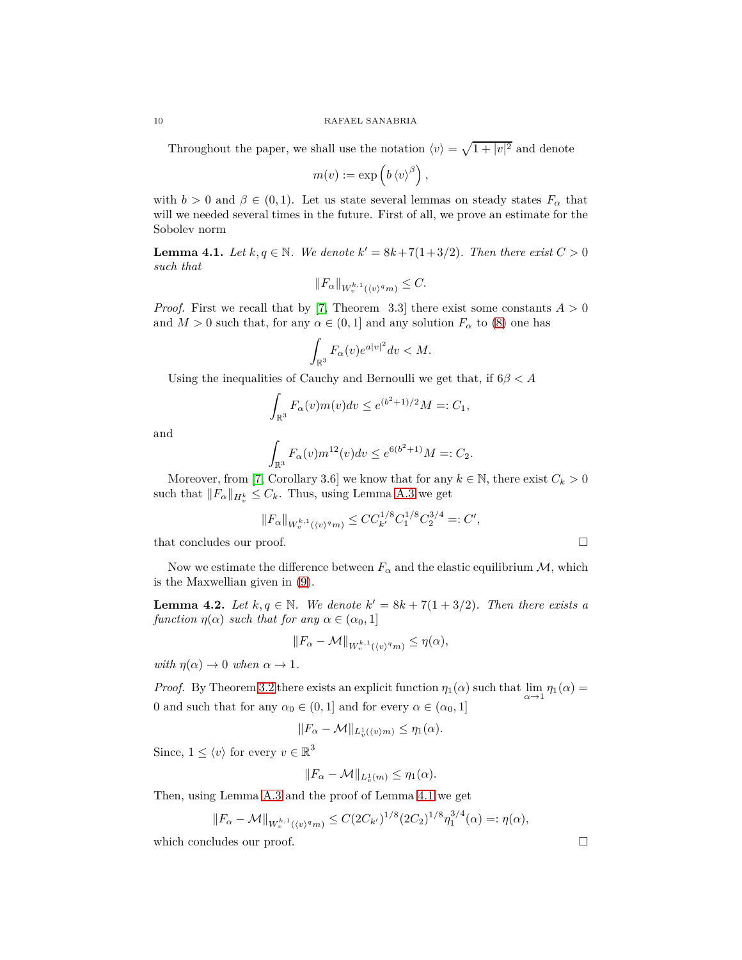Throughout the paper, we shall use the notation  $\langle v \rangle = \sqrt{1 + |v|^2}$  and denote

$$
m(v) := \exp\left(b \left\langle v \right\rangle^{\beta}\right),
$$

with  $b > 0$  and  $\beta \in (0, 1)$ . Let us state several lemmas on steady states  $F_\alpha$  that will we needed several times in the future. First of all, we prove an estimate for the Sobolev norm

<span id="page-9-0"></span>**Lemma 4.1.** *Let*  $k, q \in \mathbb{N}$ *. We denote*  $k' = 8k + 7(1 + 3/2)$ *. Then there exist*  $C > 0$ *such that*

$$
||F_{\alpha}||_{W^{k,1}_v(\langle v \rangle^q m)} \leq C.
$$

*Proof.* First we recall that by [\[7,](#page-40-7) Theorem 3.3] there exist some constants  $A > 0$ and  $M > 0$  such that, for any  $\alpha \in (0,1]$  and any solution  $F_\alpha$  to [\(8\)](#page-7-1) one has

$$
\int_{\mathbb{R}^3} F_{\alpha}(v)e^{a|v|^2}dv < M.
$$

Using the inequalities of Cauchy and Bernoulli we get that, if 6*β < A*

$$
\int_{\mathbb{R}^3} F_{\alpha}(v) m(v) dv \le e^{(b^2 + 1)/2} M =: C_1,
$$

and

$$
\int_{\mathbb{R}^3} F_{\alpha}(v) m^{12}(v) dv \le e^{6(b^2+1)} M =: C_2.
$$

Moreover, from [\[7,](#page-40-7) Corollary 3.6] we know that for any  $k \in \mathbb{N}$ , there exist  $C_k > 0$ such that  $||F_\alpha||_{H^k_v} \leq C_k$ . Thus, using Lemma [A.3](#page-32-1) we get

$$
||F_{\alpha}||_{W^{k,1}_v(\langle v \rangle^q m)} \leq C C_{k'}^{1/8} C_1^{1/8} C_2^{3/4} =: C',
$$

that concludes our proof.  $\Box$ 

Now we estimate the difference between  $F_\alpha$  and the elastic equilibrium M, which is the Maxwellian given in [\(9\)](#page-7-3).

<span id="page-9-1"></span>**Lemma 4.2.** *Let*  $k, q \in \mathbb{N}$ *. We denote*  $k' = 8k + 7(1 + 3/2)$ *. Then there exists a function*  $\eta(\alpha)$  *such that for any*  $\alpha \in (\alpha_0, 1]$ 

$$
||F_{\alpha}-\mathcal{M}||_{W^{k,1}_v(\langle v \rangle^q m)} \le \eta(\alpha),
$$

*with*  $\eta(\alpha) \to 0$  *when*  $\alpha \to 1$ *.* 

*Proof.* By Theorem [3.2](#page-7-4) there exists an explicit function  $\eta_1(\alpha)$  such that  $\lim_{\alpha \to 1} \eta_1(\alpha) =$ 0 and such that for any  $\alpha_0 \in (0,1]$  and for every  $\alpha \in (\alpha_0,1]$ 

$$
||F_{\alpha}-\mathcal{M}||_{L^1_v(\langle v\rangle m)} \leq \eta_1(\alpha).
$$

Since,  $1 \le \langle v \rangle$  for every  $v \in \mathbb{R}^3$ 

$$
||F_{\alpha}-\mathcal{M}||_{L_v^1(m)} \leq \eta_1(\alpha).
$$

Then, using Lemma [A.3](#page-32-1) and the proof of Lemma [4.1](#page-9-0) we get

$$
||F_{\alpha} - \mathcal{M}||_{W^{k,1}_v(\langle v \rangle^q m)} \leq C(2C_{k'})^{1/8} (2C_2)^{1/8} \eta_1^{3/4}(\alpha) =: \eta(\alpha),
$$

which concludes our proof.  $\Box$ 

$$
10\quad
$$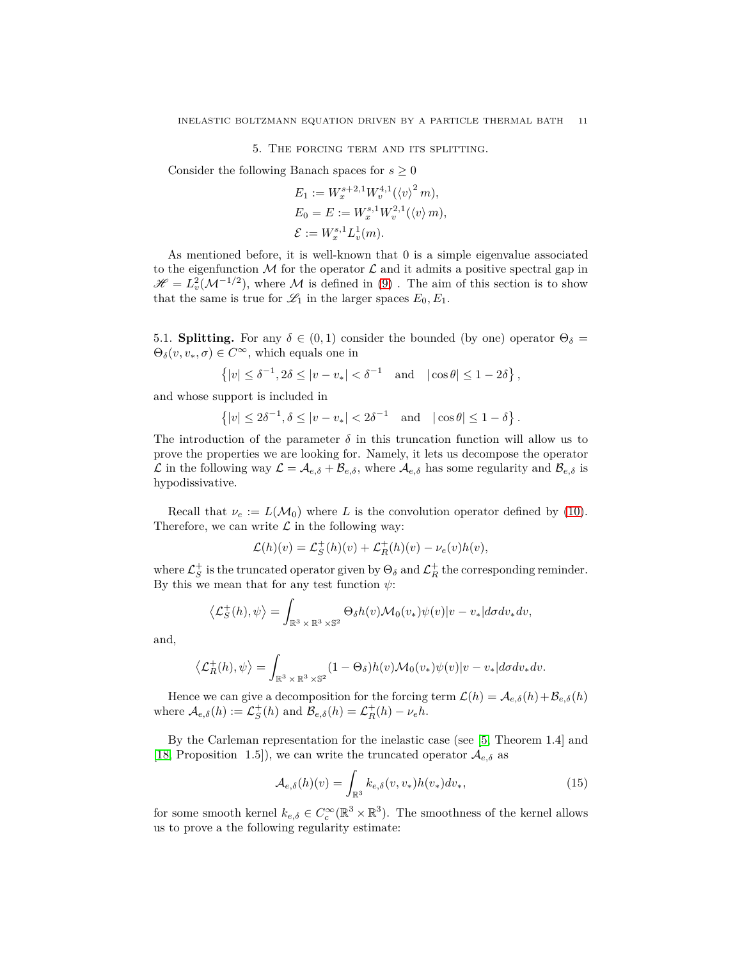5. The forcing term and its splitting.

<span id="page-10-0"></span>Consider the following Banach spaces for  $s \geq 0$ 

$$
E_1 := W_x^{s+2,1} W_v^{4,1} (\langle v \rangle^2 m),
$$
  
\n
$$
E_0 = E := W_x^{s,1} W_v^{2,1} (\langle v \rangle m),
$$
  
\n
$$
\mathcal{E} := W_x^{s,1} L_v^1(m).
$$

As mentioned before, it is well-known that 0 is a simple eigenvalue associated to the eigenfunction M for the operator  $\mathcal L$  and it admits a positive spectral gap in  $\mathscr{H} = L_v^2(\mathcal{M}^{-1/2})$ , where M is defined in [\(9\)](#page-7-3). The aim of this section is to show that the same is true for  $\mathcal{L}_1$  in the larger spaces  $E_0, E_1$ .

<span id="page-10-1"></span>5.1. **Splitting.** For any  $\delta \in (0,1)$  consider the bounded (by one) operator  $\Theta_{\delta} =$  $\Theta_{\delta}(v, v_*, \sigma) \in C^{\infty}$ , which equals one in

$$
\{|v| \le \delta^{-1}, 2\delta \le |v - v_*| < \delta^{-1} \text{ and } |\cos \theta| \le 1 - 2\delta\},\
$$

and whose support is included in

$$
\left\{|v| \le 2\delta^{-1}, \delta \le |v - v_*| < 2\delta^{-1} \quad \text{and} \quad |\cos \theta| \le 1 - \delta\right\}.
$$

The introduction of the parameter  $\delta$  in this truncation function will allow us to prove the properties we are looking for. Namely, it lets us decompose the operator  $\mathcal L$  in the following way  $\mathcal L = \mathcal A_{e,\delta} + \mathcal B_{e,\delta}$ , where  $\mathcal A_{e,\delta}$  has some regularity and  $\mathcal B_{e,\delta}$  is hypodissivative.

Recall that  $\nu_e := L(M_0)$  where *L* is the convolution operator defined by [\(10\)](#page-8-2). Therefore, we can write  $\mathcal L$  in the following way:

$$
\mathcal{L}(h)(v) = \mathcal{L}_S^+(h)(v) + \mathcal{L}_R^+(h)(v) - \nu_e(v)h(v),
$$

where  $\mathcal{L}_S^+$  is the truncated operator given by  $\Theta_\delta$  and  $\mathcal{L}_R^+$  the corresponding reminder. By this we mean that for any test function *ψ*:

$$
\left\langle \mathcal{L}_S^+(h), \psi \right\rangle = \int_{\mathbb{R}^3 \times \mathbb{R}^3 \times \mathbb{S}^2} \Theta_\delta h(v) \mathcal{M}_0(v_*) \psi(v) |v - v_*| d\sigma dv_* dv,
$$

and,

$$
\left\langle \mathcal{L}_R^+(h), \psi \right\rangle = \int_{\mathbb{R}^3 \times \mathbb{R}^3 \times \mathbb{S}^2} (1 - \Theta_\delta) h(v) \mathcal{M}_0(v_*) \psi(v) |v - v_*| d\sigma dv_* dv.
$$

Hence we can give a decomposition for the forcing term  $\mathcal{L}(h) = \mathcal{A}_{e,\delta}(h) + \mathcal{B}_{e,\delta}(h)$ where  $\mathcal{A}_{e,\delta}(h) := \mathcal{L}_S^+(h)$  and  $\mathcal{B}_{e,\delta}(h) = \mathcal{L}_R^+(h) - \nu_e h$ .

By the Carleman representation for the inelastic case (see [\[5,](#page-40-17) Theorem 1.4] and [\[18,](#page-40-5) Proposition 1.5]), we can write the truncated operator  $A_{e,\delta}$  as

<span id="page-10-2"></span>
$$
\mathcal{A}_{e,\delta}(h)(v) = \int_{\mathbb{R}^3} k_{e,\delta}(v,v_*) h(v_*) dv_*,
$$
\n(15)

for some smooth kernel  $k_{e,\delta} \in C_c^{\infty}(\mathbb{R}^3 \times \mathbb{R}^3)$ . The smoothness of the kernel allows us to prove a the following regularity estimate: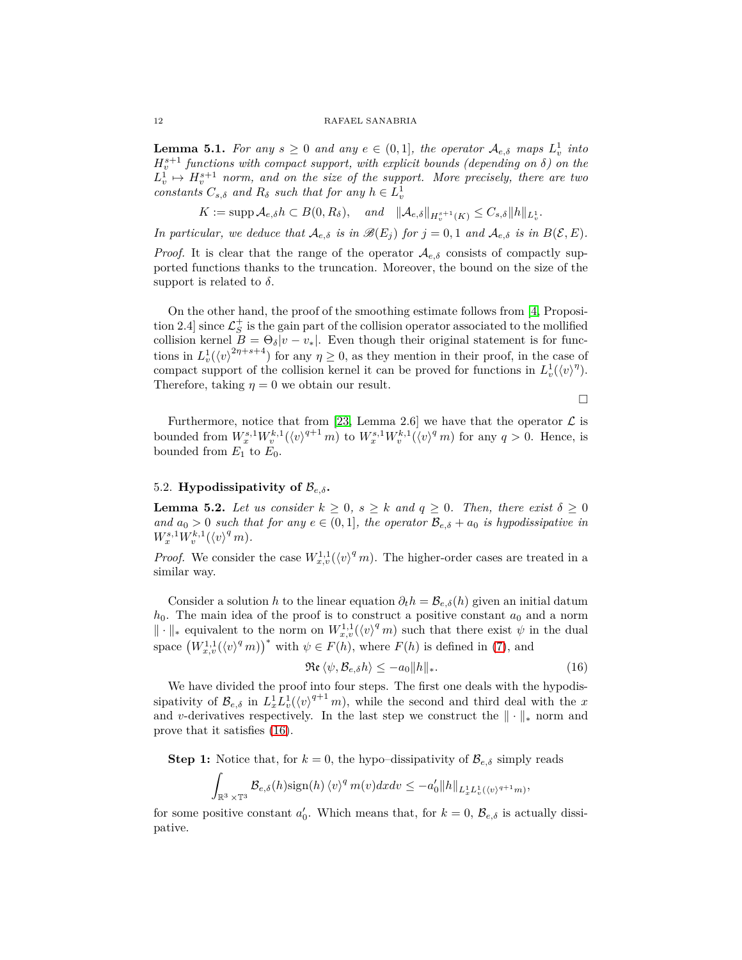<span id="page-11-2"></span>**Lemma 5.1.** For any  $s \geq 0$  and any  $e \in (0,1]$ , the operator  $\mathcal{A}_{e,\delta}$  maps  $L_v^1$  into  $H^{s+1}_v$  functions with compact support, with explicit bounds (depending on  $\delta$ ) on the  $L_v^1 \mapsto H_v^{s+1}$  norm, and on the size of the support. More precisely, there are two *constants*  $C_{s,\delta}$  *and*  $R_{\delta}$  *such that for any*  $h \in L_v^1$ 

 $K := \text{supp } \mathcal{A}_{e,\delta} h \subset B(0,R_{\delta}), \quad \text{and} \quad \|\mathcal{A}_{e,\delta}\|_{H_v^{s+1}(K)} \leq C_{s,\delta} \|h\|_{L_v^1}.$ 

*In particular, we deduce that*  $\mathcal{A}_{e,\delta}$  *is in*  $\mathcal{B}(E_i)$  *for*  $j = 0, 1$  *and*  $\mathcal{A}_{e,\delta}$  *is in*  $B(\mathcal{E}, E)$ *.* 

*Proof.* It is clear that the range of the operator  $\mathcal{A}_{e,\delta}$  consists of compactly supported functions thanks to the truncation. Moreover, the bound on the size of the support is related to  $\delta$ .

On the other hand, the proof of the smoothing estimate follows from [\[4,](#page-40-19) Proposition 2.4] since  $\mathcal{L}_S^+$  is the gain part of the collision operator associated to the mollified collision kernel  $B = \Theta_{\delta} |v - v_*|$ . Even though their original statement is for functions in  $L^1_v(\langle v \rangle^{2\eta+s+4})$  for any  $\eta \geq 0$ , as they mention in their proof, in the case of compact support of the collision kernel it can be proved for functions in  $L_v^1(\langle v \rangle^{\eta})$ . Therefore, taking  $\eta = 0$  we obtain our result.

 $\Box$ 

Furthermore, notice that from [\[23,](#page-41-0) Lemma 2.6] we have that the operator  $\mathcal L$  is bounded from  $W_x^{s,1} W_v^{k,1} (\langle v \rangle^{q+1} m)$  to  $W_x^{s,1} W_v^{k,1} (\langle v \rangle^q m)$  for any  $q > 0$ . Hence, is bounded from  $E_1$  to  $E_0$ .

## <span id="page-11-0"></span>5.2. **Hypodissipativity of**  $\mathcal{B}_{e,\delta}$ .

<span id="page-11-3"></span>**Lemma 5.2.** Let us consider  $k > 0$ ,  $s > k$  and  $q > 0$ . Then, there exist  $\delta > 0$ *and*  $a_0 > 0$  *such that for any*  $e \in (0,1]$ *, the operator*  $\mathcal{B}_{e,\delta} + a_0$  *is hypodissipative in*  $W_x^{s,1}W_v^{k,1}(\langle v \rangle^q m)$ *.* 

*Proof.* We consider the case  $W_{x,v}^{1,1}(\langle v \rangle^q m)$ . The higher-order cases are treated in a similar way.

Consider a solution *h* to the linear equation  $\partial_t h = \mathcal{B}_{e,\delta}(h)$  given an initial datum  $h_0$ . The main idea of the proof is to construct a positive constant  $a_0$  and a norm  $\|\cdot\|_*$  equivalent to the norm on  $W_{x,v}^{1,1}(\langle v \rangle^q m)$  such that there exist  $\psi$  in the dual space  $(W_{x,v}^{1,1}(\langle v \rangle^q m))^*$  with  $\psi \in F(h)$ , where  $F(h)$  is defined in [\(7\)](#page-6-1), and

<span id="page-11-1"></span>
$$
\Re\mathfrak{e}\,\langle\psi,\mathcal{B}_{e,\delta}h\rangle\leq -a_0\|h\|_*.\tag{16}
$$

We have divided the proof into four steps. The first one deals with the hypodissipativity of  $\mathcal{B}_{e,\delta}$  in  $L_x^1 L_v^1(\langle v \rangle^{q+1} m)$ , while the second and third deal with the *x* and *v*-derivatives respectively. In the last step we construct the  $\|\cdot\|_*$  norm and prove that it satisfies [\(16\)](#page-11-1).

**Step 1:** Notice that, for  $k = 0$ , the hypo–dissipativity of  $\mathcal{B}_{e,\delta}$  simply reads

$$
\int_{\mathbb{R}^3\times\mathbb{T}^3}\mathcal{B}_{e,\delta}(h)\text{sign}(h)\,\langle v\rangle^q\,m(v)dxdv\leq-a'_0\|h\|_{L_x^1L_v^1(\langle v\rangle^{q+1}m)},
$$

for some positive constant  $a'_0$ . Which means that, for  $k = 0$ ,  $\mathcal{B}_{e,\delta}$  is actually dissipative.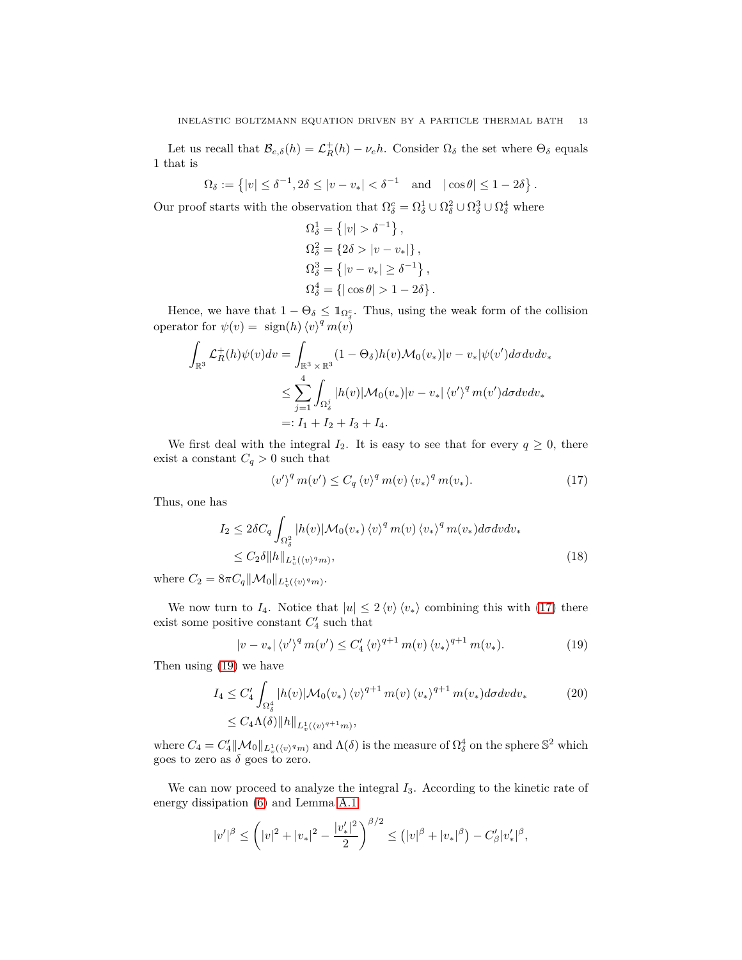Let us recall that  $\mathcal{B}_{e,\delta}(h) = \mathcal{L}_R^+(h) - \nu_e h$ . Consider  $\Omega_{\delta}$  the set where  $\Theta_{\delta}$  equals 1 that is

$$
\Omega_{\delta} := \left\{ |v| \leq \delta^{-1}, 2\delta \leq |v - v_{*}| < \delta^{-1} \quad \text{and} \quad |\cos \theta| \leq 1 - 2\delta \right\}.
$$

Our proof starts with the observation that  $\Omega_{\delta}^{c} = \Omega_{\delta}^{1} \cup \Omega_{\delta}^{2} \cup \Omega_{\delta}^{3} \cup \Omega_{\delta}^{4}$  where

$$
\Omega_{\delta}^{1} = \{ |v| > \delta^{-1} \},
$$
  
\n
$$
\Omega_{\delta}^{2} = \{ 2\delta > |v - v_{*}| \},
$$
  
\n
$$
\Omega_{\delta}^{3} = \{ |v - v_{*}| \ge \delta^{-1} \},
$$
  
\n
$$
\Omega_{\delta}^{4} = \{ | \cos \theta | > 1 - 2\delta \}.
$$

Hence, we have that  $1 - \Theta_{\delta} \leq \mathbb{1}_{\Omega_{\delta}^c}$ . Thus, using the weak form of the collision operator for  $\psi(v) = \text{sign}(h) \langle v \rangle^q m(v)$ 

$$
\int_{\mathbb{R}^3} \mathcal{L}_R^+(h)\psi(v)dv = \int_{\mathbb{R}^3 \times \mathbb{R}^3} (1 - \Theta_\delta)h(v)\mathcal{M}_0(v_*)|v - v_*|\psi(v')d\sigma dv dv_*
$$
  

$$
\leq \sum_{j=1}^4 \int_{\Omega_\delta^j} |h(v)|\mathcal{M}_0(v_*)|v - v_*|\langle v'\rangle^q m(v')d\sigma dv dv_*
$$
  

$$
=: I_1 + I_2 + I_3 + I_4.
$$

We first deal with the integral  $I_2$ . It is easy to see that for every  $q \geq 0$ , there exist a constant  $C_q > 0$  such that

<span id="page-12-2"></span><span id="page-12-0"></span>
$$
\langle v' \rangle^q m(v') \le C_q \langle v \rangle^q m(v) \langle v_* \rangle^q m(v_*). \tag{17}
$$

Thus, one has

$$
I_2 \leq 2\delta C_q \int_{\Omega_\delta^2} |h(v)| \mathcal{M}_0(v_*) \langle v \rangle^q m(v) \langle v_* \rangle^q m(v_*) d\sigma dv dv_*
$$
  

$$
\leq C_2 \delta ||h||_{L^1_v(\langle v \rangle^q m)},
$$
 (18)

where  $C_2 = 8\pi C_q \|\mathcal{M}_0\|_{L^1_v(\langle v \rangle^q m)}$ .

We now turn to  $I_4$ . Notice that  $|u| \leq 2 \langle v \rangle \langle v_* \rangle$  combining this with [\(17\)](#page-12-0) there exist some positive constant  $C_4'$  such that

<span id="page-12-3"></span><span id="page-12-1"></span>
$$
|v - v_*| \langle v' \rangle^q m(v') \le C_4' \langle v \rangle^{q+1} m(v) \langle v_* \rangle^{q+1} m(v_*). \tag{19}
$$

Then using [\(19\)](#page-12-1) we have

$$
I_4 \leq C_4' \int_{\Omega_\delta^4} |h(v)| \mathcal{M}_0(v_*) \langle v \rangle^{q+1} m(v) \langle v_* \rangle^{q+1} m(v_*) d\sigma dv dv_*
$$
\n
$$
\leq C_4 \Lambda(\delta) \|h\|_{L_v^1(\langle v \rangle^{q+1} m)},
$$
\n(20)

where  $C_4 = C'_4 \|\mathcal{M}_0\|_{L^1_v(\langle v \rangle^q m)}$  and  $\Lambda(\delta)$  is the measure of  $\Omega_\delta^4$  on the sphere  $\mathbb{S}^2$  which goes to zero as  $\delta$  goes to zero.

We can now proceed to analyze the integral  $I_3$ . According to the kinetic rate of energy dissipation [\(6\)](#page-4-4) and Lemma [A.1](#page-32-2)

$$
|v'|^{\beta} \le (|v|^2 + |v_*|^2 - \frac{|v_*'|^2}{2})^{\beta/2} \le (|v|^\beta + |v_*|^\beta) - C'_{\beta}|v_*'|^\beta,
$$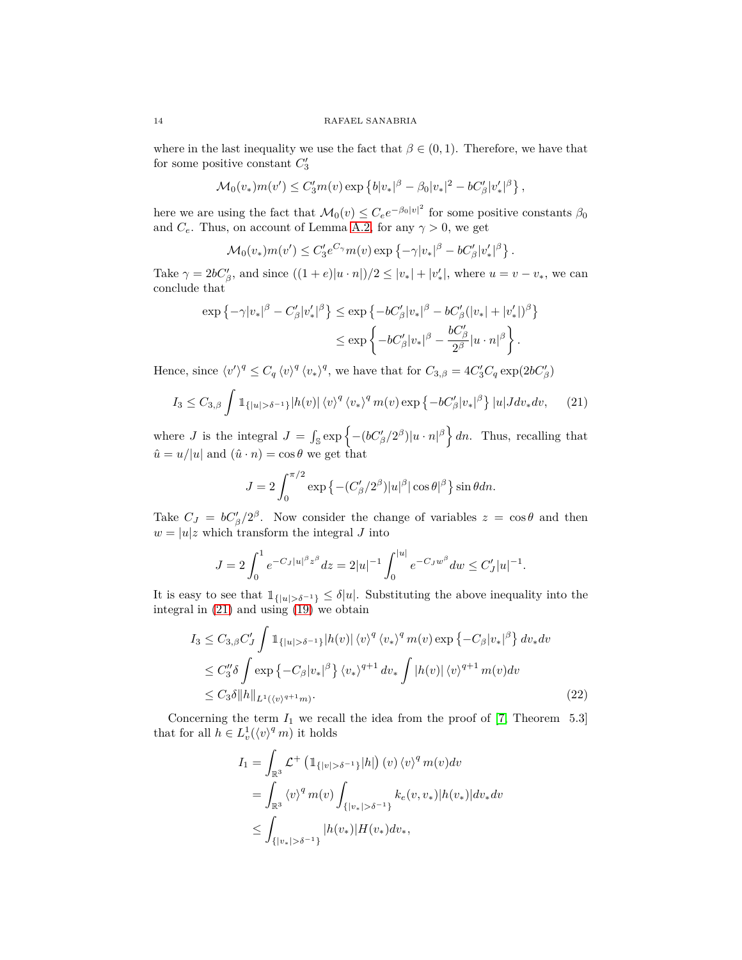where in the last inequality we use the fact that  $\beta \in (0,1)$ . Therefore, we have that for some positive constant  $C_3'$ 

$$
\mathcal{M}_0(v_*)m(v') \leq C'_3m(v)\exp\left\{b|v_*|^{\beta} - \beta_0|v_*|^2 - bC'_{\beta}|v'_*|^{\beta}\right\},\,
$$

here we are using the fact that  $\mathcal{M}_0(v) \leq C_e e^{-\beta_0 |v|^2}$  for some positive constants  $\beta_0$ and  $C_e$ . Thus, on account of Lemma [A.2,](#page-32-3) for any  $\gamma > 0$ , we get

$$
\mathcal{M}_0(v_*)m(v') \leq C_3'e^{C_\gamma}m(v)\exp\left\{-\gamma|v_*|^\beta - bC_\beta'|v_*'|\beta\right\}.
$$

Take  $\gamma = 2bC'_{\beta}$ , and since  $((1 + e)|u \cdot n|)/2 \le |v_*| + |v'_*|$ , where  $u = v - v_*$ , we can conclude that

$$
\exp\left\{-\gamma|v_*|^\beta - C'_\beta|v'_*|^\beta\right\} \le \exp\left\{-bC'_\beta|v_*|^\beta - bC'_\beta(|v_*| + |v'_*|)^\beta\right\}
$$
  

$$
\le \exp\left\{-bC'_\beta|v_*|^\beta - \frac{bC'_\beta}{2^\beta}|u\cdot n|^\beta\right\}.
$$

Hence, since  $\langle v' \rangle^q \leq C_q \langle v \rangle^q \langle v_* \rangle^q$ , we have that for  $C_{3,\beta} = 4C'_3C_q \exp(2bC'_\beta)$ 

<span id="page-13-0"></span>
$$
I_3 \leq C_{3,\beta} \int \mathbb{1}_{\{|u| > \delta^{-1}\}} |h(v)| \langle v \rangle^q \langle v_* \rangle^q m(v) \exp \left\{-bC'_{\beta} |v_*|^{\beta}\right\} |u| J dv_* dv, \quad (21)
$$

where *J* is the integral  $J = \int_{\mathbb{S}} \exp \left\{- (bC'_{\beta}/2^{\beta}) |u \cdot n|^{\beta} \right\} dn$ . Thus, recalling that  $\hat{u} = u/|u|$  and  $(\hat{u} \cdot n) = \cos \theta$  we get that

$$
J = 2 \int_0^{\pi/2} \exp \left\{ - (C_\beta'/2^\beta) |u|^\beta | \cos \theta |^\beta \right\} \sin \theta d\eta.
$$

Take  $C_J = bC'_\beta/2^\beta$ . Now consider the change of variables  $z = \cos \theta$  and then  $w = |u|z$  which transform the integral *J* into

$$
J = 2 \int_0^1 e^{-C_J |u|^{\beta} z^{\beta}} dz = 2|u|^{-1} \int_0^{|u|} e^{-C_J w^{\beta}} dw \le C'_J |u|^{-1}.
$$

It is easy to see that  $1_{\{|u| > \delta^{-1}\}} \leq \delta |u|$ . Substituting the above inequality into the integral in  $(21)$  and using  $(19)$  we obtain

$$
I_3 \leq C_{3,\beta} C'_J \int \mathbb{1}_{\{|u| > \delta^{-1}\}} |h(v)| \langle v \rangle^q \langle v_* \rangle^q m(v) \exp \left\{-C_{\beta} |v_*|^\beta \right\} dv_* dv
$$
  
\n
$$
\leq C''_3 \delta \int \exp \left\{-C_{\beta} |v_*|^\beta \right\} \langle v_* \rangle^{q+1} dv_* \int |h(v)| \langle v \rangle^{q+1} m(v) dv
$$
  
\n
$$
\leq C_3 \delta \|h\|_{L^1(\langle v \rangle^{q+1} m)}.
$$
\n(22)

Concerning the term  $I_1$  we recall the idea from the proof of  $[7,$  Theorem 5.3] that for all  $h \in L_v^1(\langle v \rangle^q m)$  it holds

<span id="page-13-1"></span>
$$
I_{1} = \int_{\mathbb{R}^{3}} \mathcal{L}^{+} \left( \mathbb{1}_{\{|v| > \delta^{-1}\}} |h| \right) (v) \langle v \rangle^{q} m(v) dv
$$
  
= 
$$
\int_{\mathbb{R}^{3}} \langle v \rangle^{q} m(v) \int_{\{|v_{*}| > \delta^{-1}\}} k_{e}(v, v_{*}) |h(v_{*})| dv_{*} dv
$$
  

$$
\leq \int_{\{|v_{*}| > \delta^{-1}\}} |h(v_{*})| H(v_{*}) dv_{*},
$$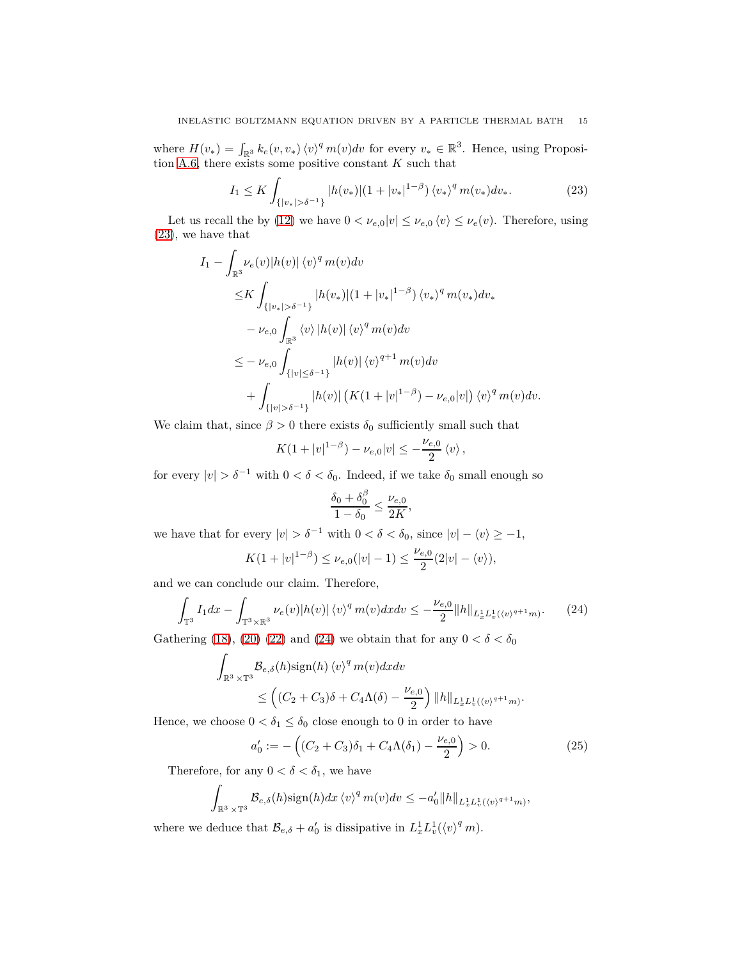where  $H(v_*) = \int_{\mathbb{R}^3} k_e(v, v_*) \langle v \rangle^q m(v) dv$  for every  $v_* \in \mathbb{R}^3$ . Hence, using Proposition [A.6,](#page-34-0) there exists some positive constant *K* such that

<span id="page-14-0"></span>
$$
I_1 \le K \int_{\{|v_*| > \delta^{-1}\}} |h(v_*)|(1+|v_*|^{1-\beta}) \langle v_* \rangle^q m(v_*) dv_*.
$$
 (23)

Let us recall the by [\(12\)](#page-8-3) we have  $0 < \nu_{e,0}|v| \leq \nu_{e,0} \langle v \rangle \leq \nu_e(v)$ . Therefore, using [\(23\)](#page-14-0), we have that

$$
I_{1} - \int_{\mathbb{R}^{3}} \nu_{e}(v)|h(v)| \langle v \rangle^{q} m(v) dv
$$
  
\n
$$
\leq K \int_{\{|v_{*}| > \delta^{-1}\}} |h(v_{*})| (1 + |v_{*}|^{1-\beta}) \langle v_{*} \rangle^{q} m(v_{*}) dv_{*}
$$
  
\n
$$
- \nu_{e,0} \int_{\mathbb{R}^{3}} \langle v \rangle |h(v)| \langle v \rangle^{q} m(v) dv
$$
  
\n
$$
\leq - \nu_{e,0} \int_{\{|v| \leq \delta^{-1}\}} |h(v)| \langle v \rangle^{q+1} m(v) dv
$$
  
\n
$$
+ \int_{\{|v| > \delta^{-1}\}} |h(v)| (K(1 + |v|^{1-\beta}) - \nu_{e,0}|v|) \langle v \rangle^{q} m(v) dv.
$$

We claim that, since  $\beta > 0$  there exists  $\delta_0$  sufficiently small such that

$$
K(1+|v|^{1-\beta})-\nu_{e,0}|v|\leq -\frac{\nu_{e,0}}{2}\langle v\rangle,
$$

for every  $|v| > \delta^{-1}$  with  $0 < \delta < \delta_0$ . Indeed, if we take  $\delta_0$  small enough so

$$
\frac{\delta_0 + \delta_0^{\beta}}{1 - \delta_0} \le \frac{\nu_{e,0}}{2K}
$$

*,*

we have that for every  $|v| > \delta^{-1}$  with  $0 < \delta < \delta_0$ , since  $|v| - \langle v \rangle \ge -1$ ,

$$
K(1+|v|^{1-\beta}) \leq \nu_{e,0}(|v|-1) \leq \frac{\nu_{e,0}}{2}(2|v|-\langle v \rangle),
$$

and we can conclude our claim. Therefore,

<span id="page-14-1"></span>
$$
\int_{\mathbb{T}^3} I_1 dx - \int_{\mathbb{T}^3 \times \mathbb{R}^3} \nu_e(v) |h(v)| \langle v \rangle^q m(v) dx dv \leq -\frac{\nu_{e,0}}{2} ||h||_{L_x^1 L_v^1(\langle v \rangle^{q+1} m)}.
$$
 (24)

Gathering [\(18\)](#page-12-2), [\(20\)](#page-12-3) [\(22\)](#page-13-1) and [\(24\)](#page-14-1) we obtain that for any  $0 < \delta < \delta_0$ 

$$
\int_{\mathbb{R}^3 \times \mathbb{T}^3} \mathcal{B}_{e,\delta}(h) \text{sign}(h) \langle v \rangle^q m(v) dx dv
$$
\n
$$
\leq \left( (C_2 + C_3) \delta + C_4 \Lambda(\delta) - \frac{\nu_{e,0}}{2} \right) ||h||_{L_x^1 L_v^1(\langle v \rangle^{q+1} m)}
$$

Hence, we choose  $0 < \delta_1 \leq \delta_0$  close enough to 0 in order to have

<span id="page-14-2"></span>
$$
a'_0 := -\left( (C_2 + C_3)\delta_1 + C_4 \Lambda(\delta_1) - \frac{\nu_{e,0}}{2} \right) > 0. \tag{25}
$$

*.*

Therefore, for any  $0 < \delta < \delta_1$ , we have

$$
\int_{\mathbb{R}^3 \times \mathbb{T}^3} \mathcal{B}_{e,\delta}(h) \operatorname{sign}(h) dx \, \langle v \rangle^q \, m(v) dv \leq -a'_0 \|h\|_{L_x^1 L_v^1(\langle v \rangle^{q+1} m)},
$$

where we deduce that  $\mathcal{B}_{e,\delta} + a'_0$  is dissipative in  $L_x^1 L_v^1(\langle v \rangle^q m)$ .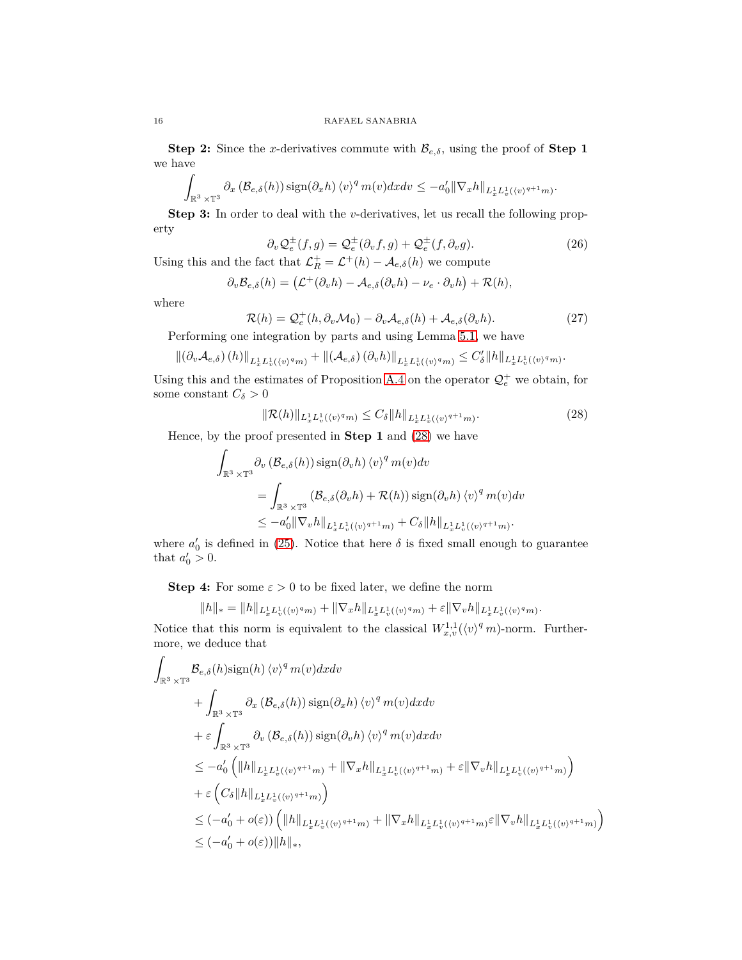**Step 2:** Since the *x*-derivatives commute with  $\mathcal{B}_{e,\delta}$ , using the proof of **Step 1** we have

$$
\int_{\mathbb{R}^3\times\mathbb{T}^3} \partial_x\left(\mathcal{B}_{e,\delta}(h)\right) \operatorname{sign}(\partial_x h) \left\langle v\right\rangle^q m(v) dx dv \leq -a'_0 \|\nabla_x h\|_{L^1_x L^1_v(\langle v\rangle^{q+1} m)}.
$$

**Step 3:** In order to deal with the *v*-derivatives, let us recall the following property

<span id="page-15-1"></span>
$$
\partial_v \mathcal{Q}_e^{\pm}(f,g) = \mathcal{Q}_e^{\pm}(\partial_v f, g) + \mathcal{Q}_e^{\pm}(f, \partial_v g). \tag{26}
$$

Using this and the fact that  $\mathcal{L}_R^+ = \mathcal{L}^+(h) - \mathcal{A}_{e,\delta}(h)$  we compute

$$
\partial_v \mathcal{B}_{e,\delta}(h) = (\mathcal{L}^+(\partial_v h) - \mathcal{A}_{e,\delta}(\partial_v h) - \nu_e \cdot \partial_v h) + \mathcal{R}(h),
$$

where

<span id="page-15-2"></span>
$$
\mathcal{R}(h) = \mathcal{Q}_e^+(h, \partial_v \mathcal{M}_0) - \partial_v \mathcal{A}_{e,\delta}(h) + \mathcal{A}_{e,\delta}(\partial_v h). \tag{27}
$$

Performing one integration by parts and using Lemma [5.1,](#page-11-2) we have

$$
\left\| \left( \partial_v \mathcal{A}_{e,\delta} \right) (h) \right\|_{L^1_x L^1_v(\langle v \rangle^q m)} + \left\| \left( \mathcal{A}_{e,\delta} \right) (\partial_v h) \right\|_{L^1_x L^1_v(\langle v \rangle^q m)} \leq C'_{\delta} \|h\|_{L^1_x L^1_v(\langle v \rangle^q m)}.
$$

Using this and the estimates of Proposition [A.4](#page-32-4) on the operator  $\mathcal{Q}_{e}^{+}$  we obtain, for some constant  $C_{\delta} > 0$ 

<span id="page-15-0"></span>
$$
\|\mathcal{R}(h)\|_{L_x^1 L_v^1(\langle v \rangle^q m)} \le C_\delta \|h\|_{L_x^1 L_v^1(\langle v \rangle^{q+1} m)}.
$$
\n(28)

Hence, by the proof presented in **Step 1** and [\(28\)](#page-15-0) we have

$$
\int_{\mathbb{R}^3 \times \mathbb{T}^3} \partial_v \left( \mathcal{B}_{e,\delta}(h) \right) \operatorname{sign}(\partial_v h) \left\langle v \right\rangle^q m(v) dv
$$
\n
$$
= \int_{\mathbb{R}^3 \times \mathbb{T}^3} \left( \mathcal{B}_{e,\delta}(\partial_v h) + \mathcal{R}(h) \right) \operatorname{sign}(\partial_v h) \left\langle v \right\rangle^q m(v) dv
$$
\n
$$
\leq -a'_0 \| \nabla_v h \|_{L_x^1 L_v^1(\langle v)^{q+1} m)} + C_\delta \| h \|_{L_x^1 L_v^1(\langle v)^{q+1} m)}.
$$

where  $a'_0$  is defined in [\(25\)](#page-14-2). Notice that here  $\delta$  is fixed small enough to guarantee that  $a'_0 > 0$ .

**Step 4:** For some  $\varepsilon > 0$  to be fixed later, we define the norm

$$
||h||_* = ||h||_{L_x^1 L_v^1(\langle v \rangle^q m)} + ||\nabla_x h||_{L_x^1 L_v^1(\langle v \rangle^q m)} + \varepsilon ||\nabla_v h||_{L_x^1 L_v^1(\langle v \rangle^q m)}.
$$

Notice that this norm is equivalent to the classical  $W_{x,v}^{1,1}(\langle v \rangle^q m)$ -norm. Furthermore, we deduce that

$$
\int_{\mathbb{R}^3 \times \mathbb{T}^3} \mathcal{B}_{e,\delta}(h) \text{sign}(h) \langle v \rangle^q m(v) dx dv \n+ \int_{\mathbb{R}^3 \times \mathbb{T}^3} \partial_x (\mathcal{B}_{e,\delta}(h)) \text{sign}(\partial_x h) \langle v \rangle^q m(v) dx dv \n+ \varepsilon \int_{\mathbb{R}^3 \times \mathbb{T}^3} \partial_v (\mathcal{B}_{e,\delta}(h)) \text{sign}(\partial_v h) \langle v \rangle^q m(v) dx dv \n\leq -a'_0 \left( \|h\|_{L_x^1 L_v^1(\langle v \rangle^{q+1} m)} + \|\nabla_x h\|_{L_x^1 L_v^1(\langle v \rangle^{q+1} m)} + \varepsilon \|\nabla_v h\|_{L_x^1 L_v^1(\langle v \rangle^{q+1} m)} \right) \n+ \varepsilon \left( C_\delta \|h\|_{L_x^1 L_v^1(\langle v \rangle^{q+1} m)} \right) \n\leq (-a'_0 + o(\varepsilon)) \left( \|h\|_{L_x^1 L_v^1(\langle v \rangle^{q+1} m)} + \|\nabla_x h\|_{L_x^1 L_v^1(\langle v \rangle^{q+1} m)} \varepsilon \|\nabla_v h\|_{L_x^1 L_v^1(\langle v \rangle^{q+1} m)} \right) \n\leq (-a'_0 + o(\varepsilon)) \|h\|_*,
$$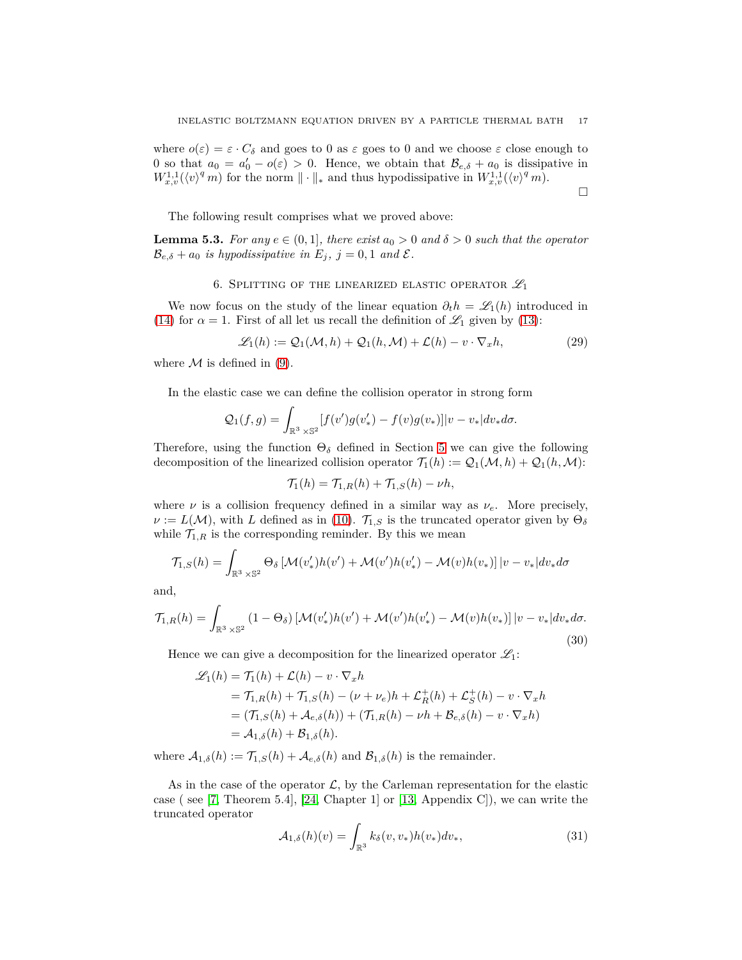where  $o(\varepsilon) = \varepsilon \cdot C_{\delta}$  and goes to 0 as  $\varepsilon$  goes to 0 and we choose  $\varepsilon$  close enough to 0 so that  $a_0 = a'_0 - o(\varepsilon) > 0$ . Hence, we obtain that  $\mathcal{B}_{e,\delta} + a_0$  is dissipative in  $W_{x,v}^{1,1}(\langle v \rangle^q m)$  for the norm  $\|\cdot\|_*$  and thus hypodissipative in  $W_{x,v}^{1,1}(\langle v \rangle^q m)$ .

$$
\Box
$$

The following result comprises what we proved above:

<span id="page-16-1"></span><span id="page-16-0"></span>**Lemma 5.3.** For any  $e \in (0,1]$ , there exist  $a_0 > 0$  and  $\delta > 0$  such that the operator  $\mathcal{B}_{e,\delta} + a_0$  *is hypodissipative in*  $E_j$ ,  $j = 0, 1$  *and*  $\mathcal{E}$ *.* 

### 6. SPLITTING OF THE LINEARIZED ELASTIC OPERATOR  $\mathscr{L}_1$

We now focus on the study of the linear equation  $\partial_t h = \mathcal{L}_1(h)$  introduced in [\(14\)](#page-8-4) for  $\alpha = 1$ . First of all let us recall the definition of  $\mathcal{L}_1$  given by [\(13\)](#page-8-5):

$$
\mathcal{L}_1(h) := \mathcal{Q}_1(\mathcal{M}, h) + \mathcal{Q}_1(h, \mathcal{M}) + \mathcal{L}(h) - v \cdot \nabla_x h,
$$
\n(29)

where  $M$  is defined in [\(9\)](#page-7-3).

In the elastic case we can define the collision operator in strong form

$$
\mathcal{Q}_1(f,g) = \int_{\mathbb{R}^3 \times \mathbb{S}^2} [f(v')g(v'_*) - f(v)g(v_*)]|v - v_*|dv_*d\sigma.
$$

Therefore, using the function  $\Theta_{\delta}$  defined in Section [5](#page-10-0) we can give the following decomposition of the linearized collision operator  $\mathcal{T}_1(h) := \mathcal{Q}_1(\mathcal{M}, h) + \mathcal{Q}_1(h, \mathcal{M})$ :

$$
\mathcal{T}_1(h) = \mathcal{T}_{1,R}(h) + \mathcal{T}_{1,S}(h) - \nu h,
$$

where  $\nu$  is a collision frequency defined in a similar way as  $\nu_e$ . More precisely,  $\nu := L(\mathcal{M})$ , with *L* defined as in [\(10\)](#page-8-2).  $\mathcal{T}_{1,S}$  is the truncated operator given by  $\Theta_{\delta}$ while  $\mathcal{T}_{1,R}$  is the corresponding reminder. By this we mean

$$
\mathcal{T}_{1,S}(h) = \int_{\mathbb{R}^3 \times \mathbb{S}^2} \Theta_{\delta} \left[ \mathcal{M}(v_{*}')h(v') + \mathcal{M}(v')h(v_{*}') - \mathcal{M}(v)h(v_{*}) \right] |v - v_{*}| dv_{*} d\sigma
$$

and,

<span id="page-16-3"></span>
$$
\mathcal{T}_{1,R}(h) = \int_{\mathbb{R}^3 \times \mathbb{S}^2} (1 - \Theta_{\delta}) \left[ \mathcal{M}(v_{*}') h(v') + \mathcal{M}(v') h(v_{*}') - \mathcal{M}(v) h(v_{*}) \right] |v - v_{*}| dv_{*} d\sigma.
$$
\n(30)

Hence we can give a decomposition for the linearized operator  $\mathcal{L}_1$ :

$$
\mathcal{L}_1(h) = \mathcal{T}_1(h) + \mathcal{L}(h) - v \cdot \nabla_x h
$$
  
=  $\mathcal{T}_{1,R}(h) + \mathcal{T}_{1,S}(h) - (\nu + \nu_e)h + \mathcal{L}_R^+(h) + \mathcal{L}_S^+(h) - v \cdot \nabla_x h$   
=  $(\mathcal{T}_{1,S}(h) + \mathcal{A}_{e,\delta}(h)) + (\mathcal{T}_{1,R}(h) - \nu h + \mathcal{B}_{e,\delta}(h) - v \cdot \nabla_x h)$   
=  $\mathcal{A}_{1,\delta}(h) + \mathcal{B}_{1,\delta}(h).$ 

where  $A_{1,\delta}(h) := \mathcal{T}_{1,S}(h) + \mathcal{A}_{e,\delta}(h)$  and  $\mathcal{B}_{1,\delta}(h)$  is the remainder.

As in the case of the operator  $\mathcal{L}$ , by the Carleman representation for the elastic case ( see [\[7,](#page-40-7) Theorem 5.4], [\[24,](#page-41-1) Chapter 1] or [\[13,](#page-40-20) Appendix C]), we can write the truncated operator

<span id="page-16-2"></span>
$$
\mathcal{A}_{1,\delta}(h)(v) = \int_{\mathbb{R}^3} k_{\delta}(v, v_*) h(v_*) dv_*,
$$
\n(31)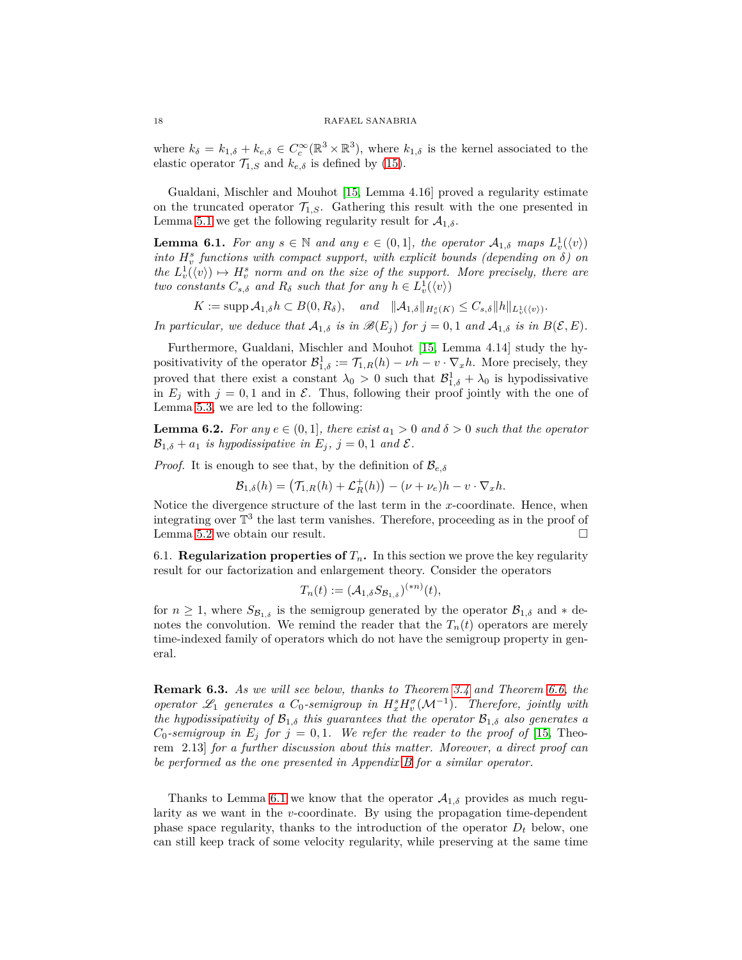where  $k_{\delta} = k_{1,\delta} + k_{e,\delta} \in C_c^{\infty}(\mathbb{R}^3 \times \mathbb{R}^3)$ , where  $k_{1,\delta}$  is the kernel associated to the elastic operator  $\mathcal{T}_{1,S}$  and  $k_{e,\delta}$  is defined by [\(15\)](#page-10-2).

Gualdani, Mischler and Mouhot [\[15,](#page-40-9) Lemma 4.16] proved a regularity estimate on the truncated operator  $\mathcal{T}_{1,S}$ . Gathering this result with the one presented in Lemma [5.1](#page-11-2) we get the following regularity result for  $A_{1,\delta}$ .

<span id="page-17-1"></span>**Lemma 6.1.** For any  $s \in \mathbb{N}$  and any  $e \in (0,1]$ , the operator  $A_{1,\delta}$  maps  $L_v^1(\langle v \rangle)$ *into*  $H_v^s$  functions with compact support, with explicit bounds (depending on  $\delta$ ) on the  $L_v^1(\langle v \rangle) \mapsto H_v^s$  norm and on the size of the support. More precisely, there are *two constants*  $C_{s,\delta}$  *and*  $R_{\delta}$  *such that for any*  $h \in L_v^1(\langle v \rangle)$ 

 $K := \text{supp } A_{1,\delta} h \subset B(0, R_{\delta}), \text{ and } \|A_{1,\delta}\|_{H^s_v(K)} \leq C_{s,\delta} \|h\|_{L^1_v(\langle v \rangle)}.$ 

*In particular, we deduce that*  $A_{1,\delta}$  *is in*  $\mathcal{B}(E_j)$  *for*  $j = 0, 1$  *and*  $A_{1,\delta}$  *is in*  $B(\mathcal{E}, E)$ *.* 

Furthermore, Gualdani, Mischler and Mouhot [\[15,](#page-40-9) Lemma 4.14] study the hypositivativity of the operator  $\mathcal{B}^1_{1,\delta} := \mathcal{T}_{1,R}(h) - \nu h - v \cdot \nabla_x h$ . More precisely, they proved that there exist a constant  $\lambda_0 > 0$  such that  $\mathcal{B}^1_{1,\delta} + \lambda_0$  is hypodissivative in  $E_j$  with  $j = 0, 1$  and in  $\mathcal{E}$ . Thus, following their proof jointly with the one of Lemma [5.3,](#page-16-1) we are led to the following:

<span id="page-17-2"></span>**Lemma 6.2.** For any  $e \in (0,1]$ , there exist  $a_1 > 0$  and  $\delta > 0$  such that the operator  $\mathcal{B}_{1,\delta} + a_1$  *is hypodissipative in*  $E_i$ ,  $j = 0, 1$  *and*  $\mathcal{E}$ *.* 

*Proof.* It is enough to see that, by the definition of  $\mathcal{B}_{e,\delta}$ 

$$
\mathcal{B}_{1,\delta}(h) = \left(\mathcal{T}_{1,R}(h) + \mathcal{L}_R^+(h)\right) - (\nu + \nu_e)h - v \cdot \nabla_x h.
$$

Notice the divergence structure of the last term in the *x*-coordinate. Hence, when integrating over  $\mathbb{T}^3$  the last term vanishes. Therefore, proceeding as in the proof of Lemma [5.2](#page-11-3) we obtain our result.

<span id="page-17-0"></span>6.1. **Regularization properties of**  $T<sub>n</sub>$ . In this section we prove the key regularity result for our factorization and enlargement theory. Consider the operators

$$
T_n(t) := (\mathcal{A}_{1,\delta} S_{\mathcal{B}_{1,\delta}})^{(*n)}(t),
$$

for  $n \geq 1$ , where  $S_{\mathcal{B}_{1,\delta}}$  is the semigroup generated by the operator  $\mathcal{B}_{1,\delta}$  and  $*$  denotes the convolution. We remind the reader that the  $T_n(t)$  operators are merely time-indexed family of operators which do not have the semigroup property in general.

**Remark 6.3.** *As we will see below, thanks to Theorem [3.4](#page-8-6) and Theorem [6.6,](#page-21-1) the operator*  $\mathscr{L}_1$  *generates* a  $C_0$ -semigroup in  $H_x^s H_v^{\sigma}(\mathcal{M}^{-1})$ . Therefore, jointly with *the hypodissipativity of*  $\mathcal{B}_{1,\delta}$  *this guarantees that the operator*  $\mathcal{B}_{1,\delta}$  *also generates a C*<sub>0</sub>*-semigroup in*  $E_j$  *for*  $j = 0, 1$ *. We refer the reader to the proof of* [\[15,](#page-40-9) Theorem 2.13] *for a further discussion about this matter. Moreover, a direct proof can be performed as the one presented in Appendix [B](#page-36-0) for a similar operator.*

Thanks to Lemma [6.1](#page-17-1) we know that the operator  $A_{1,\delta}$  provides as much regularity as we want in the *v*-coordinate. By using the propagation time-dependent phase space regularity, thanks to the introduction of the operator  $D_t$  below, one can still keep track of some velocity regularity, while preserving at the same time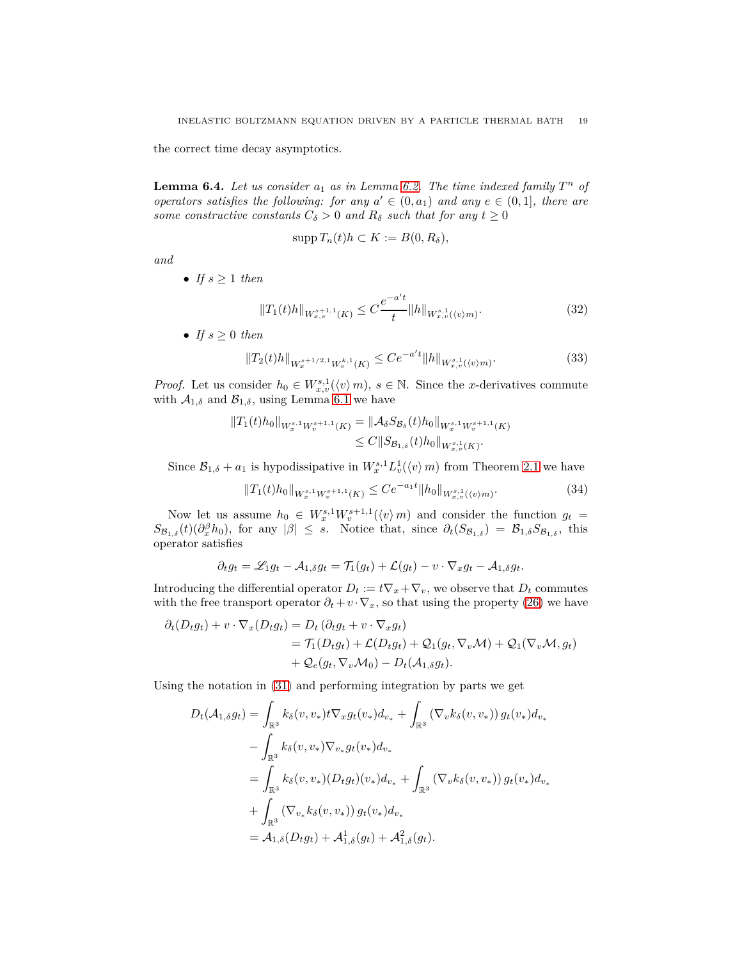the correct time decay asymptotics.

<span id="page-18-3"></span>**Lemma 6.4.** Let us consider  $a_1$  as in Lemma [6.2.](#page-17-2) The time indexed family  $T^n$  of *operators satisfies the following: for any*  $a' \in (0, a_1)$  *and any*  $e \in (0, 1]$ *, there are some constructive constants*  $C_{\delta} > 0$  *and*  $R_{\delta}$  *such that for any*  $t \geq 0$ 

$$
\operatorname{supp} T_n(t)h \subset K := B(0, R_\delta),
$$

*and*

• *If*  $s \geq 1$  *then* 

<span id="page-18-1"></span>
$$
||T_1(t)h||_{W^{s+1,1}_{x,v}(K)} \leq C \frac{e^{-a't}}{t} ||h||_{W^{s,1}_{x,v}(\langle v \rangle m)}.
$$
\n(32)

• *If*  $s \geq 0$  *then* 

<span id="page-18-2"></span>
$$
||T_2(t)h||_{W_x^{s+1/2,1}W_v^{k,1}(K)} \le Ce^{-a't}||h||_{W_{x,v}^{s,1}(\langle v\rangle m)}.
$$
\n(33)

*Proof.* Let us consider  $h_0 \in W^{s,1}_{x,v}(\langle v \rangle m)$ ,  $s \in \mathbb{N}$ . Since the *x*-derivatives commute with  $A_{1,\delta}$  and  $B_{1,\delta}$ , using Lemma [6.1](#page-17-1) we have

$$
||T_1(t)h_0||_{W_x^{s,1}W_v^{s+1,1}(K)} = ||\mathcal{A}_{\delta}S_{\mathcal{B}_{\delta}}(t)h_0||_{W_x^{s,1}W_v^{s+1,1}(K)}
$$
  
\n
$$
\leq C||S_{\mathcal{B}_{1,\delta}}(t)h_0||_{W_{x,v}^{s,1}(K)}.
$$

Since  $\mathcal{B}_{1,\delta} + a_1$  is hypodissipative in  $W_x^{s,1} L_v^1(\langle v \rangle m)$  from Theorem [2.1](#page-6-2) we have

<span id="page-18-0"></span>
$$
||T_1(t)h_0||_{W_x^{s,1}W_v^{s+1,1}(K)} \le Ce^{-a_1t}||h_0||_{W_{x,v}^{s,1}(\langle v\rangle m)}.
$$
\n(34)

Now let us assume  $h_0 \in W_x^{s,1}W_y^{s+1,1}(\langle v \rangle m)$  and consider the function  $g_t =$  $S_{\mathcal{B}_{1,\delta}}(t)(\partial_x^{\beta}h_0)$ , for any  $|\beta| \leq s$ . Notice that, since  $\partial_t(S_{\mathcal{B}_{1,\delta}}) = \mathcal{B}_{1,\delta}S_{\mathcal{B}_{1,\delta}}$ , this operator satisfies

$$
\partial_t g_t = \mathscr{L}_1 g_t - \mathcal{A}_{1,\delta} g_t = \mathcal{T}_1(g_t) + \mathcal{L}(g_t) - v \cdot \nabla_x g_t - \mathcal{A}_{1,\delta} g_t.
$$

Introducing the differential operator  $D_t := t\nabla_x + \nabla_v$ , we observe that  $D_t$  commutes with the free transport operator  $\partial_t + v \cdot \nabla_x$ , so that using the property [\(26\)](#page-15-1) we have

$$
\partial_t (D_t g_t) + v \cdot \nabla_x (D_t g_t) = D_t (\partial_t g_t + v \cdot \nabla_x g_t)
$$
  
= 
$$
\mathcal{T}_1 (D_t g_t) + \mathcal{L} (D_t g_t) + \mathcal{Q}_1 (g_t, \nabla_v \mathcal{M}) + \mathcal{Q}_1 (\nabla_v \mathcal{M}, g_t)
$$
  
+ 
$$
\mathcal{Q}_e (g_t, \nabla_v \mathcal{M}_0) - D_t (\mathcal{A}_{1,\delta} g_t).
$$

Using the notation in [\(31\)](#page-16-2) and performing integration by parts we get

$$
D_t(\mathcal{A}_{1,\delta}g_t) = \int_{\mathbb{R}^3} k_{\delta}(v, v_*) t \nabla_x g_t(v_*) d_{v_*} + \int_{\mathbb{R}^3} (\nabla_v k_{\delta}(v, v_*)) g_t(v_*) d_{v_*}
$$
  
\n
$$
- \int_{\mathbb{R}^3} k_{\delta}(v, v_*) \nabla_{v_*} g_t(v_*) d_{v_*}
$$
  
\n
$$
= \int_{\mathbb{R}^3} k_{\delta}(v, v_*) (D_t g_t)(v_*) d_{v_*} + \int_{\mathbb{R}^3} (\nabla_v k_{\delta}(v, v_*)) g_t(v_*) d_{v_*}
$$
  
\n
$$
+ \int_{\mathbb{R}^3} (\nabla_{v_*} k_{\delta}(v, v_*)) g_t(v_*) d_{v_*}
$$
  
\n
$$
= \mathcal{A}_{1,\delta}(D_t g_t) + \mathcal{A}_{1,\delta}^1(g_t) + \mathcal{A}_{1,\delta}^2(g_t).
$$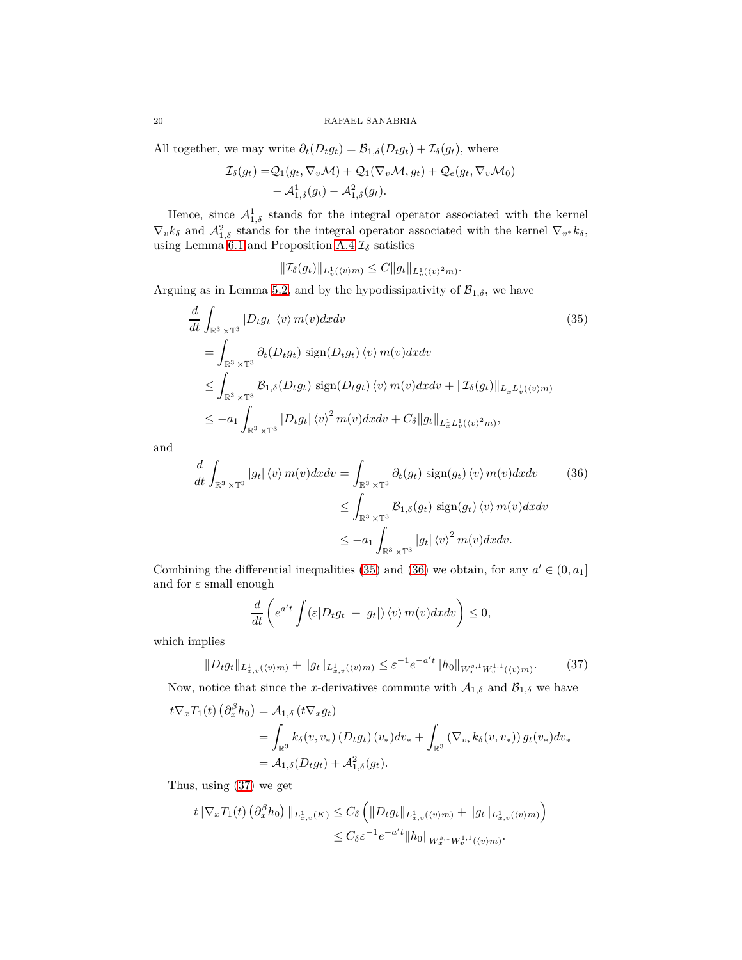All together, we may write  $\partial_t(D_t g_t) = \mathcal{B}_{1,\delta}(D_t g_t) + \mathcal{I}_{\delta}(g_t)$ , where

$$
\mathcal{I}_{\delta}(g_t) = \mathcal{Q}_1(g_t, \nabla_v \mathcal{M}) + \mathcal{Q}_1(\nabla_v \mathcal{M}, g_t) + \mathcal{Q}_e(g_t, \nabla_v \mathcal{M}_0) \n- \mathcal{A}_{1,\delta}^1(g_t) - \mathcal{A}_{1,\delta}^2(g_t).
$$

Hence, since  $\mathcal{A}_{1,\delta}^1$  stands for the integral operator associated with the kernel  $\nabla_v k_\delta$  and  $\mathcal{A}_{1,\delta}^2$  stands for the integral operator associated with the kernel  $\nabla_{v^*} k_\delta$ , using Lemma [6.1](#page-17-1) and Proposition [A.4](#page-32-4)  $\mathcal{I}_{\delta}$  satisfies

<span id="page-19-0"></span>
$$
\|\mathcal{I}_{\delta}(g_t)\|_{L^1_v(\langle v \rangle m)} \leq C \|g_t\|_{L^1_v(\langle v \rangle^2 m)}.
$$

Arguing as in Lemma [5.2,](#page-11-3) and by the hypodissipativity of  $\mathcal{B}_{1,\delta}$ , we have

$$
\frac{d}{dt} \int_{\mathbb{R}^3 \times \mathbb{T}^3} |D_t g_t| \langle v \rangle m(v) dx dv \qquad (35)
$$
\n
$$
= \int_{\mathbb{R}^3 \times \mathbb{T}^3} \partial_t (D_t g_t) \operatorname{sign}(D_t g_t) \langle v \rangle m(v) dx dv
$$
\n
$$
\leq \int_{\mathbb{R}^3 \times \mathbb{T}^3} \mathcal{B}_{1,\delta}(D_t g_t) \operatorname{sign}(D_t g_t) \langle v \rangle m(v) dx dv + ||\mathcal{I}_{\delta}(g_t)||_{L_x^1 L_v^1(\langle v \rangle m)}
$$
\n
$$
\leq -a_1 \int_{\mathbb{R}^3 \times \mathbb{T}^3} |D_t g_t| \langle v \rangle^2 m(v) dx dv + C_{\delta} ||g_t||_{L_x^1 L_v^1(\langle v \rangle^2 m)},
$$
\n(35)

and

$$
\frac{d}{dt} \int_{\mathbb{R}^3 \times \mathbb{T}^3} |g_t| \langle v \rangle m(v) dx dv = \int_{\mathbb{R}^3 \times \mathbb{T}^3} \partial_t (g_t) \operatorname{sign}(g_t) \langle v \rangle m(v) dx dv \qquad (36)
$$

$$
\leq \int_{\mathbb{R}^3 \times \mathbb{T}^3} \mathcal{B}_{1,\delta}(g_t) \operatorname{sign}(g_t) \langle v \rangle m(v) dx dv
$$

$$
\leq -a_1 \int_{\mathbb{R}^3 \times \mathbb{T}^3} |g_t| \langle v \rangle^2 m(v) dx dv.
$$

Combining the differential inequalities [\(35\)](#page-19-0) and [\(36\)](#page-19-1) we obtain, for any  $a' \in (0, a_1]$ and for *ε* small enough

<span id="page-19-1"></span>
$$
\frac{d}{dt}\left(e^{a't}\int (\varepsilon|D_t g_t|+|g_t|)\langle v\rangle m(v)dxdv\right)\leq 0,
$$

which implies

<span id="page-19-2"></span>
$$
||D_t g_t||_{L^1_{x,v}(\langle v \rangle m)} + ||g_t||_{L^1_{x,v}(\langle v \rangle m)} \leq \varepsilon^{-1} e^{-a't} ||h_0||_{W^{s,1}_x W^{1,1}_v(\langle v \rangle m)}.
$$
 (37)

Now, notice that since the *x*-derivatives commute with  $A_{1,\delta}$  and  $B_{1,\delta}$  we have

$$
t\nabla_x T_1(t) \left(\partial_x^{\beta} h_0\right) = A_{1,\delta} \left(t\nabla_x g_t\right)
$$
  
= 
$$
\int_{\mathbb{R}^3} k_{\delta}(v, v_*) \left(D_t g_t\right) (v_*) dv_* + \int_{\mathbb{R}^3} \left(\nabla_{v_*} k_{\delta}(v, v_*)\right) g_t(v_*) dv_*
$$
  
= 
$$
A_{1,\delta}(D_t g_t) + A_{1,\delta}^2(g_t).
$$

Thus, using [\(37\)](#page-19-2) we get

$$
t \|\nabla_x T_1(t) \left(\partial_x^{\beta} h_0\right) \|_{L^1_{x,v}(K)} \leq C_{\delta} \left( \|D_t g_t \|_{L^1_{x,v}(\langle v \rangle m)} + \|g_t \|_{L^1_{x,v}(\langle v \rangle m)} \right)
$$
  

$$
\leq C_{\delta} \varepsilon^{-1} e^{-a't} \|h_0\|_{W^{s,1}_{x}W^{1,1}_{v}(\langle v \rangle m)}.
$$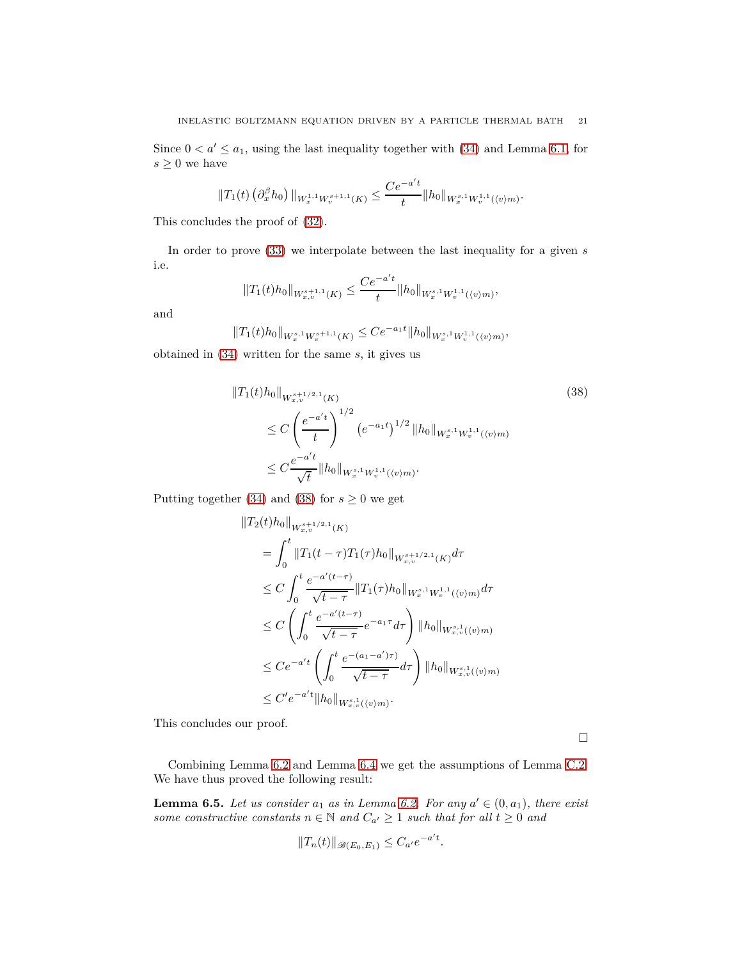Since  $0 < a' \le a_1$ , using the last inequality together with [\(34\)](#page-18-0) and Lemma [6.1,](#page-17-1) for  $s\geq 0$  we have

$$
||T_1(t) (\partial_x^{\beta} h_0) ||_{W_x^{1,1} W_v^{s+1,1}(K)} \leq \frac{Ce^{-a't}}{t} ||h_0||_{W_x^{s,1} W_v^{1,1}(\langle v \rangle m)}.
$$

This concludes the proof of [\(32\)](#page-18-1).

In order to prove [\(33\)](#page-18-2) we interpolate between the last inequality for a given *s* i.e.

$$
||T_1(t)h_0||_{W^{s+1,1}_{x,v}(K)} \leq \frac{Ce^{-a't}}{t}||h_0||_{W^{s,1}_xW^{1,1}_v(\langle v\rangle m)},
$$

and

$$
||T_1(t)h_0||_{W_x^{s,1}W_v^{s+1,1}(K)} \le Ce^{-a_1t}||h_0||_{W_x^{s,1}W_v^{1,1}(\langle v \rangle m)},
$$

obtained in [\(34\)](#page-18-0) written for the same *s*, it gives us

<span id="page-20-0"></span>
$$
||T_1(t)h_0||_{W^{s+1/2,1}_{x,v}(K)} \tag{38}
$$
\n
$$
\leq C \left(\frac{e^{-a't}}{t}\right)^{1/2} \left(e^{-a_1t}\right)^{1/2} ||h_0||_{W^{s,1}_x W^{1,1}_v(\langle v \rangle m)} \leq C \frac{e^{-a't}}{\sqrt{t}} ||h_0||_{W^{s,1}_x W^{1,1}_v(\langle v \rangle m)}.
$$

Putting together [\(34\)](#page-18-0) and [\(38\)](#page-20-0) for  $s \geq 0$  we get

$$
\begin{split} \|T_2(t)h_0\|_{W^{s+1/2,1}_{x,v}(K)}\\ &= \int_0^t \|T_1(t-\tau)T_1(\tau)h_0\|_{W^{s+1/2,1}_{x,v}(K)}d\tau\\ &\leq C\int_0^t \frac{e^{-a'(t-\tau)}}{\sqrt{t-\tau}} \|T_1(\tau)h_0\|_{W^{s,1}_{x,v}W^{1,1}_{v}(\langle v\rangle m)}d\tau\\ &\leq C\left(\int_0^t \frac{e^{-a'(t-\tau)}}{\sqrt{t-\tau}}e^{-a_1\tau}d\tau\right) \|h_0\|_{W^{s,1}_{x,v}(\langle v\rangle m)}\\ &\leq C e^{-a't} \left(\int_0^t \frac{e^{-(a_1-a')\tau)}}{\sqrt{t-\tau}}d\tau\right) \|h_0\|_{W^{s,1}_{x,v}(\langle v\rangle m)}\\ &\leq C'e^{-a't} \|h_0\|_{W^{s,1}_{x,v}(\langle v\rangle m)}. \end{split}
$$

This concludes our proof.

 $\Box$ 

Combining Lemma [6.2](#page-17-2) and Lemma [6.4](#page-18-3) we get the assumptions of Lemma [C.2.](#page-39-0) We have thus proved the following result:

<span id="page-20-1"></span>**Lemma 6.5.** *Let us consider*  $a_1$  *as in Lemma [6.2.](#page-17-2) For any*  $a' \in (0, a_1)$ *, there exist some constructive constants*  $n \in \mathbb{N}$  *and*  $C_{a'} \ge 1$  *such that for all*  $t \ge 0$  *and* 

$$
||T_n(t)||_{\mathscr{B}(E_0,E_1)} \leq C_{a'}e^{-a't}.
$$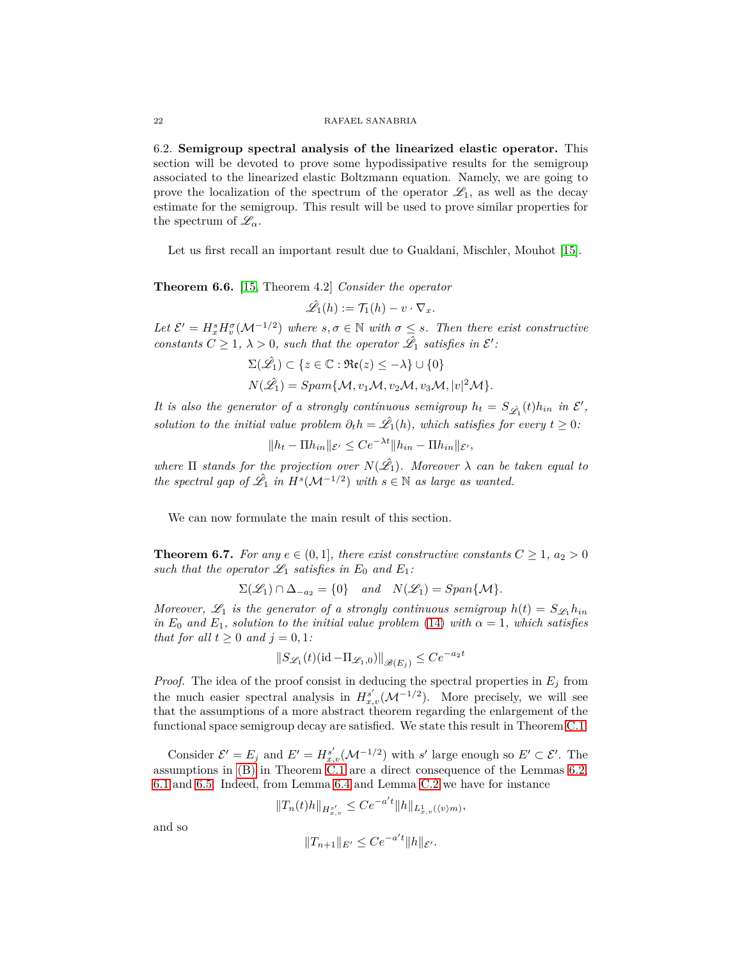<span id="page-21-0"></span>6.2. **Semigroup spectral analysis of the linearized elastic operator.** This section will be devoted to prove some hypodissipative results for the semigroup associated to the linearized elastic Boltzmann equation. Namely, we are going to prove the localization of the spectrum of the operator  $\mathscr{L}_1$ , as well as the decay estimate for the semigroup. This result will be used to prove similar properties for the spectrum of  $\mathscr{L}_{\alpha}$ .

Let us first recall an important result due to Gualdani, Mischler, Mouhot [\[15\]](#page-40-9).

<span id="page-21-1"></span>**Theorem 6.6.** [\[15,](#page-40-9) Theorem 4.2] *Consider the operator*

 $\hat{\mathscr{L}}_1(h) := \mathcal{T}_1(h) - v \cdot \nabla_x.$ 

Let  $\mathcal{E}' = H_x^s H_v^{\sigma}(\mathcal{M}^{-1/2})$  where  $s, \sigma \in \mathbb{N}$  with  $\sigma \leq s$ . Then there exist constructive *constants*  $C \geq 1$ ,  $\lambda > 0$ , such that the operator  $\hat{\mathcal{L}}_1$  satisfies in  $\mathcal{E}'$ :

$$
\Sigma(\hat{\mathscr{L}}_1) \subset \{z \in \mathbb{C} : \Re(\mathsf{c}) \leq -\lambda\} \cup \{0\}
$$
  

$$
N(\hat{\mathscr{L}}_1) = Span\{\mathcal{M}, v_1\mathcal{M}, v_2\mathcal{M}, v_3\mathcal{M}, |v|^2\mathcal{M}\}.
$$

*It is also the generator of a strongly continuous semigroup*  $h_t = S_{\hat{\mathscr{L}}_1}(t)h_{in}$  *in*  $\mathscr{E}',$ *solution to the initial value problem*  $\partial_t h = \hat{\mathcal{L}}_1(h)$ *, which satisfies for every*  $t \geq 0$ *:* 

$$
||h_t - \Pi h_{in}||_{\mathcal{E}'} \leq Ce^{-\lambda t}||h_{in} - \Pi h_{in}||_{\mathcal{E}'},
$$

*where*  $\Pi$  *stands for the projection over*  $N(\hat{\mathscr{L}}_1)$ *. Moreover*  $\lambda$  *can be taken equal to the spectral gap of*  $\hat{\mathcal{L}}_1$  *in*  $H^s(\mathcal{M}^{-1/2})$  *with*  $s \in \mathbb{N}$  *as large as wanted.* 

We can now formulate the main result of this section.

<span id="page-21-2"></span>**Theorem 6.7.** *For any*  $e \in (0,1]$ *, there exist constructive constants*  $C \geq 1$ *,*  $a_2 > 0$ *such that the operator*  $\mathscr{L}_1$  *satisfies in*  $E_0$  *and*  $E_1$ *:* 

$$
\Sigma(\mathscr{L}_1) \cap \Delta_{-a_2} = \{0\} \quad and \quad N(\mathscr{L}_1) = Span\{M\}.
$$

*Moreover,*  $\mathscr{L}_1$  *is the generator of a strongly continuous semigroup*  $h(t) = S_{\mathscr{L}_1} h_{in}$ *in*  $E_0$  *and*  $E_1$ *, solution to the initial value problem* [\(14\)](#page-8-4) *with*  $\alpha = 1$ *, which satisfies that for all*  $t \geq 0$  *and*  $j = 0, 1$ *:* 

$$
||S_{\mathcal{L}_1}(t)(\mathrm{id} - \Pi_{\mathcal{L}_1,0})||_{\mathscr{B}(E_j)} \le Ce^{-a_2 t}
$$

*Proof.* The idea of the proof consist in deducing the spectral properties in  $E_i$  from the much easier spectral analysis in  $H_{x,v}^{s'}(\mathcal{M}^{-1/2})$ . More precisely, we will see that the assumptions of a more abstract theorem regarding the enlargement of the functional space semigroup decay are satisfied. We state this result in Theorem [C.1.](#page-38-1)

Consider  $\mathcal{E}' = E_j$  and  $E' = H_{x,v}^{s'}(\mathcal{M}^{-1/2})$  with *s'* large enough so  $E' \subset \mathcal{E}'$ . The assumptions in [\(B\)](#page-38-2) in Theorem [C.1](#page-38-1) are a direct consequence of the Lemmas [6.2,](#page-17-2) [6.1](#page-17-1) and [6.5.](#page-20-1) Indeed, from Lemma [6.4](#page-18-3) and Lemma [C.2](#page-39-0) we have for instance

$$
||T_n(t)h||_{H^{s'}_{x,v}} \leq Ce^{-a't}||h||_{L^1_{x,v}(\langle v\rangle m)},
$$

and so

$$
||T_{n+1}||_{E'} \le Ce^{-a't}||h||_{\mathcal{E'}}.
$$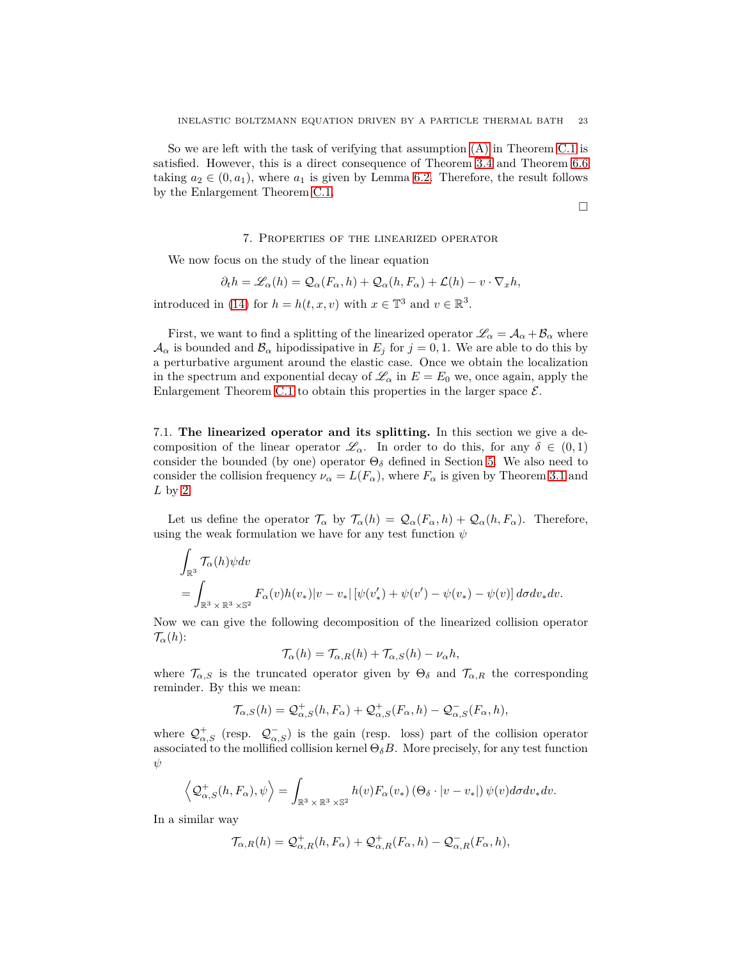So we are left with the task of verifying that assumption [\(A\)](#page-38-3) in Theorem [C.1](#page-38-1) is satisfied. However, this is a direct consequence of Theorem [3.4](#page-8-6) and Theorem [6.6](#page-21-1) taking  $a_2 \in (0, a_1)$ , where  $a_1$  is given by Lemma [6.2.](#page-17-2) Therefore, the result follows by the Enlargement Theorem [C.1.](#page-38-1)

 $\Box$ 

#### 7. Properties of the linearized operator

<span id="page-22-0"></span>We now focus on the study of the linear equation

$$
\partial_t h = \mathscr{L}_{\alpha}(h) = \mathcal{Q}_{\alpha}(F_{\alpha}, h) + \mathcal{Q}_{\alpha}(h, F_{\alpha}) + \mathcal{L}(h) - v \cdot \nabla_x h,
$$

introduced in [\(14\)](#page-8-4) for  $h = h(t, x, v)$  with  $x \in \mathbb{T}^3$  and  $v \in \mathbb{R}^3$ .

First, we want to find a splitting of the linearized operator  $\mathscr{L}_{\alpha} = \mathcal{A}_{\alpha} + \mathcal{B}_{\alpha}$  where  $\mathcal{A}_{\alpha}$  is bounded and  $\mathcal{B}_{\alpha}$  hipodissipative in  $E_j$  for  $j = 0, 1$ . We are able to do this by a perturbative argument around the elastic case. Once we obtain the localization in the spectrum and exponential decay of  $\mathcal{L}_{\alpha}$  in  $E = E_0$  we, once again, apply the Enlargement Theorem [C.1](#page-38-1) to obtain this properties in the larger space  $\mathcal{E}$ .

<span id="page-22-1"></span>7.1. **The linearized operator and its splitting.** In this section we give a decomposition of the linear operator  $\mathscr{L}_{\alpha}$ . In order to do this, for any  $\delta \in (0,1)$ consider the bounded (by one) operator  $\Theta_{\delta}$  defined in Section [5.](#page-10-0) We also need to consider the collision frequency  $\nu_{\alpha} = L(F_{\alpha})$ , where  $F_{\alpha}$  is given by Theorem [3.1](#page-7-2) and *L* by [2.](#page-1-4)

Let us define the operator  $\mathcal{T}_{\alpha}$  by  $\mathcal{T}_{\alpha}(h) = \mathcal{Q}_{\alpha}(F_{\alpha}, h) + \mathcal{Q}_{\alpha}(h, F_{\alpha})$ . Therefore, using the weak formulation we have for any test function *ψ*

$$
\int_{\mathbb{R}^3} \mathcal{T}_{\alpha}(h) \psi dv
$$
\n
$$
= \int_{\mathbb{R}^3 \times \mathbb{R}^3 \times \mathbb{S}^2} F_{\alpha}(v) h(v_*) |v - v_*| \left[ \psi(v'_*) + \psi(v') - \psi(v_*) - \psi(v) \right] d\sigma dv_* dv.
$$

Now we can give the following decomposition of the linearized collision operator  $\mathcal{T}_{\alpha}(h)$ :

$$
\mathcal{T}_{\alpha}(h) = \mathcal{T}_{\alpha,R}(h) + \mathcal{T}_{\alpha,S}(h) - \nu_{\alpha}h,
$$

where  $\mathcal{T}_{\alpha,S}$  is the truncated operator given by  $\Theta_{\delta}$  and  $\mathcal{T}_{\alpha,R}$  the corresponding reminder. By this we mean:

$$
\mathcal{T}_{\alpha,S}(h) = \mathcal{Q}^+_{\alpha,S}(h, F_{\alpha}) + \mathcal{Q}^+_{\alpha,S}(F_{\alpha}, h) - \mathcal{Q}^-_{\alpha,S}(F_{\alpha}, h),
$$

where  $\mathcal{Q}^+_{\alpha,S}$  (resp.  $\mathcal{Q}^-_{\alpha,S}$ ) is the gain (resp. loss) part of the collision operator associated to the mollified collision kernel  $\Theta_{\delta}B$ . More precisely, for any test function *ψ*

$$
\left\langle \mathcal{Q}_{\alpha,S}^{+}(h, F_{\alpha}), \psi \right\rangle = \int_{\mathbb{R}^{3} \times \mathbb{R}^{3} \times \mathbb{S}^{2}} h(v) F_{\alpha}(v_{*}) \left(\Theta_{\delta} \cdot |v-v_{*}|\right) \psi(v) d\sigma dv_{*} dv.
$$

In a similar way

$$
\mathcal{T}_{\alpha,R}(h) = \mathcal{Q}_{\alpha,R}^+(h, F_{\alpha}) + \mathcal{Q}_{\alpha,R}^+(F_{\alpha}, h) - \mathcal{Q}_{\alpha,R}^-(F_{\alpha}, h),
$$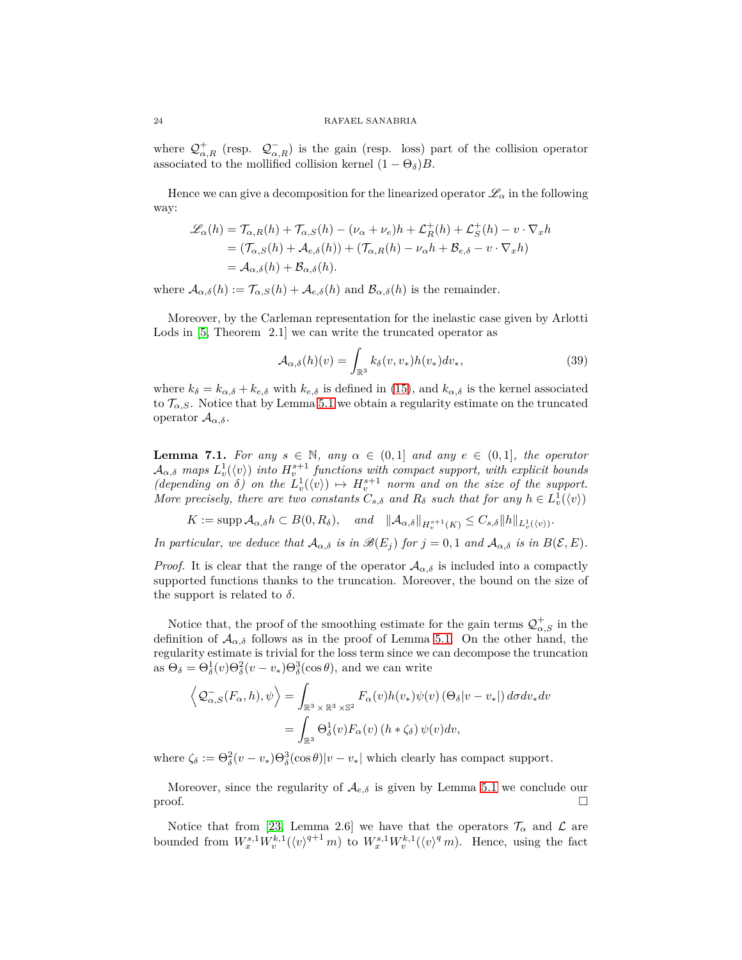where  $\mathcal{Q}^+_{\alpha,R}$  (resp.  $\mathcal{Q}^-_{\alpha,R}$ ) is the gain (resp. loss) part of the collision operator associated to the mollified collision kernel  $(1 - \Theta_{\delta})B$ .

Hence we can give a decomposition for the linearized operator  $\mathscr{L}_{\alpha}$  in the following way:

$$
\mathcal{L}_{\alpha}(h) = \mathcal{T}_{\alpha,R}(h) + \mathcal{T}_{\alpha,S}(h) - (\nu_{\alpha} + \nu_e)h + \mathcal{L}_R^+(h) + \mathcal{L}_S^+(h) - v \cdot \nabla_x h
$$
  
= (\mathcal{T}\_{\alpha,S}(h) + \mathcal{A}\_{e,\delta}(h)) + (\mathcal{T}\_{\alpha,R}(h) - \nu\_{\alpha}h + \mathcal{B}\_{e,\delta} - v \cdot \nabla\_x h)  
= \mathcal{A}\_{\alpha,\delta}(h) + \mathcal{B}\_{\alpha,\delta}(h).

where  $\mathcal{A}_{\alpha,\delta}(h) := \mathcal{T}_{\alpha,S}(h) + \mathcal{A}_{e,\delta}(h)$  and  $\mathcal{B}_{\alpha,\delta}(h)$  is the remainder.

Moreover, by the Carleman representation for the inelastic case given by Arlotti Lods in [\[5,](#page-40-17) Theorem 2.1] we can write the truncated operator as

$$
\mathcal{A}_{\alpha,\delta}(h)(v) = \int_{\mathbb{R}^3} k_\delta(v,v_*) h(v_*) dv_*,\tag{39}
$$

where  $k_{\delta} = k_{\alpha,\delta} + k_{e,\delta}$  with  $k_{e,\delta}$  is defined in [\(15\)](#page-10-2), and  $k_{\alpha,\delta}$  is the kernel associated to  $\mathcal{T}_{\alpha,s}$ . Notice that by Lemma [5.1](#page-11-2) we obtain a regularity estimate on the truncated operator A*α,δ*.

<span id="page-23-0"></span>**Lemma 7.1.** For any  $s \in \mathbb{N}$ , any  $\alpha \in (0,1]$  and any  $e \in (0,1]$ , the operator  $A_{\alpha,\delta}$  maps  $L_v^1(\langle v \rangle)$  *into*  $H_v^{s+1}$  functions with compact support, with explicit bounds  $(depending on  $\delta$ ) on the  $L^1_v(\langle v \rangle) \mapsto H^{s+1}_v$  norm and on the size of the support.$ *More precisely, there are two constants*  $C_{s,\delta}$  *and*  $R_{\delta}$  *such that for any*  $h \in L_v^1(\langle v \rangle)$ 

 $K := \text{supp } A_{\alpha,\delta} h \subset B(0,R_{\delta}), \quad \text{and} \quad \|\mathcal{A}_{\alpha,\delta}\|_{H^{s+1}_v(K)} \leq C_{s,\delta} \|h\|_{L^1_v(\langle v \rangle)}.$ 

*In particular, we deduce that*  $\mathcal{A}_{\alpha,\delta}$  *is in*  $\mathcal{B}(E_j)$  *for*  $j = 0, 1$  *and*  $\mathcal{A}_{\alpha,\delta}$  *is in*  $B(\mathcal{E}, E)$ *.* 

*Proof.* It is clear that the range of the operator  $A_{\alpha,\delta}$  is included into a compactly supported functions thanks to the truncation. Moreover, the bound on the size of the support is related to  $\delta$ .

Notice that, the proof of the smoothing estimate for the gain terms  $\mathcal{Q}^+_{\alpha,S}$  in the definition of  $A_{\alpha,\delta}$  follows as in the proof of Lemma [5.1.](#page-11-2) On the other hand, the regularity estimate is trivial for the loss term since we can decompose the truncation as  $\Theta_{\delta} = \Theta_{\delta}^{1}(v)\Theta_{\delta}^{2}(v-v_{*})\Theta_{\delta}^{3}(\cos\theta)$ , and we can write

$$
\left\langle \mathcal{Q}_{\alpha,S}^{-}(F_{\alpha},h),\psi\right\rangle = \int_{\mathbb{R}^{3} \times \mathbb{R}^{3} \times \mathbb{S}^{2}} F_{\alpha}(v)h(v_{*})\psi(v) \left(\Theta_{\delta}|v-v_{*}|\right) d\sigma dv_{*} dv
$$

$$
= \int_{\mathbb{R}^{3}} \Theta_{\delta}^{1}(v)F_{\alpha}(v) \left(h * \zeta_{\delta}\right)\psi(v) dv,
$$

where  $\zeta_{\delta} := \Theta_{\delta}^2(v - v_*)\Theta_{\delta}^3(\cos \theta)|v - v_*|$  which clearly has compact support.

Moreover, since the regularity of  $\mathcal{A}_{e,\delta}$  is given by Lemma [5.1](#page-11-2) we conclude our proof.  $\Box$ 

Notice that from [\[23,](#page-41-0) Lemma 2.6] we have that the operators  $\mathcal{T}_{\alpha}$  and  $\mathcal{L}$  are bounded from  $W_x^{s,1}W_v^{k,1}(\langle v \rangle^{q+1} m)$  to  $W_x^{s,1}W_v^{k,1}(\langle v \rangle^q m)$ . Hence, using the fact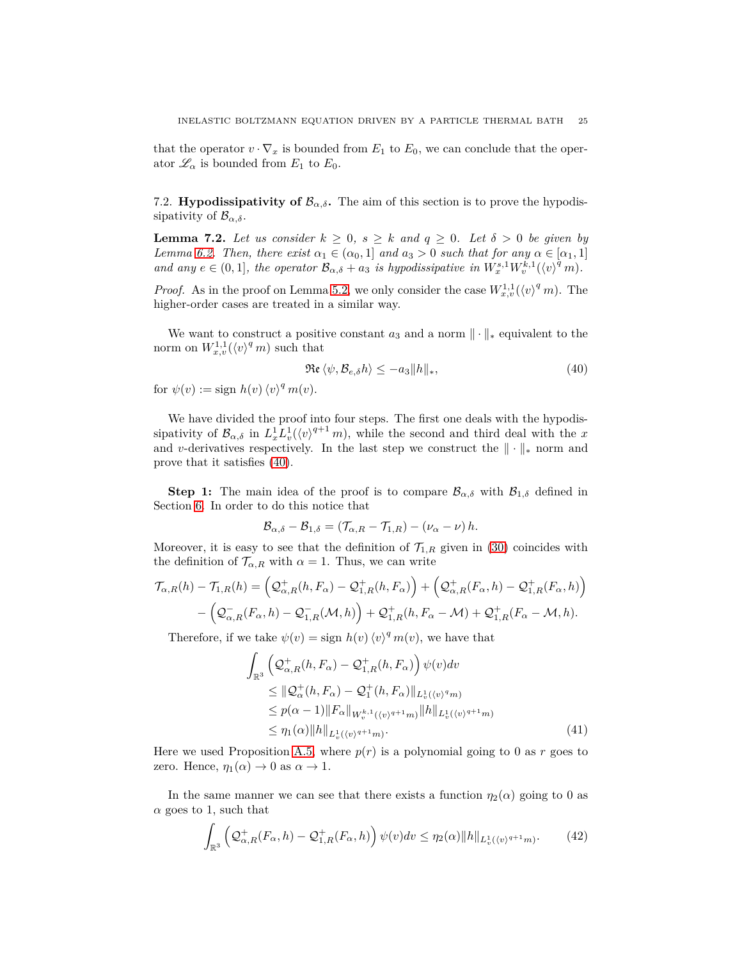that the operator  $v \cdot \nabla_x$  is bounded from  $E_1$  to  $E_0$ , we can conclude that the operator  $\mathcal{L}_{\alpha}$  is bounded from  $E_1$  to  $E_0$ .

<span id="page-24-0"></span>7.2. **Hypodissipativity of**  $\mathcal{B}_{\alpha,\delta}$ **.** The aim of this section is to prove the hypodissipativity of  $\mathcal{B}_{\alpha,\delta}$ .

<span id="page-24-4"></span>**Lemma 7.2.** Let us consider  $k \geq 0$ ,  $s \geq k$  and  $q \geq 0$ . Let  $\delta > 0$  be given by *Lemma* [6.2.](#page-17-2) *Then, there exist*  $\alpha_1 \in (\alpha_0, 1]$  *and*  $a_3 > 0$  *such that for any*  $\alpha \in [\alpha_1, 1]$ *and any*  $e \in (0, 1]$ *, the operator*  $\mathcal{B}_{\alpha, \delta} + a_3$  *is hypodissipative in*  $W_x^{s,1} W_v^{\tilde{k},1}(\langle v \rangle^{\tilde{q}} m)$ *.* 

*Proof.* As in the proof on Lemma [5.2,](#page-11-3) we only consider the case  $W_{x,v}^{1,1}(\langle v \rangle^q m)$ . The higher-order cases are treated in a similar way.

We want to construct a positive constant  $a_3$  and a norm  $\|\cdot\|_*$  equivalent to the norm on  $W_{x,v}^{1,1}(\langle v \rangle^q m)$  such that

<span id="page-24-1"></span>
$$
\Re\mathfrak{e}\,\langle\psi,\mathcal{B}_{e,\delta}h\rangle\leq-a_3\|h\|_*,\tag{40}
$$

for  $\psi(v) := \text{sign } h(v) \langle v \rangle^q m(v)$ .

We have divided the proof into four steps. The first one deals with the hypodissipativity of  $\mathcal{B}_{\alpha,\delta}$  in  $L_x^1 L_v^1(\langle v \rangle^{q+1} m)$ , while the second and third deal with the *x* and *v*-derivatives respectively. In the last step we construct the  $\|\cdot\|_*$  norm and prove that it satisfies [\(40\)](#page-24-1).

**Step 1:** The main idea of the proof is to compare  $\mathcal{B}_{\alpha,\delta}$  with  $\mathcal{B}_{1,\delta}$  defined in Section [6.](#page-16-0) In order to do this notice that

$$
\mathcal{B}_{\alpha,\delta}-\mathcal{B}_{1,\delta}=(\mathcal{T}_{\alpha,R}-\mathcal{T}_{1,R})-(\nu_{\alpha}-\nu)h.
$$

Moreover, it is easy to see that the definition of  $\mathcal{T}_{1,R}$  given in [\(30\)](#page-16-3) coincides with the definition of  $\mathcal{T}_{\alpha,R}$  with  $\alpha = 1$ . Thus, we can write

$$
\mathcal{T}_{\alpha,R}(h) - \mathcal{T}_{1,R}(h) = \left( \mathcal{Q}_{\alpha,R}^+(h, F_\alpha) - \mathcal{Q}_{1,R}^+(h, F_\alpha) \right) + \left( \mathcal{Q}_{\alpha,R}^+(F_\alpha, h) - \mathcal{Q}_{1,R}^+(F_\alpha, h) \right) - \left( \mathcal{Q}_{\alpha,R}^-(F_\alpha, h) - \mathcal{Q}_{1,R}^-(\mathcal{M}, h) \right) + \mathcal{Q}_{1,R}^+(h, F_\alpha - \mathcal{M}) + \mathcal{Q}_{1,R}^+(F_\alpha - \mathcal{M}, h).
$$

Therefore, if we take  $\psi(v) = \text{sign } h(v) \langle v \rangle^q m(v)$ , we have that

<span id="page-24-2"></span>
$$
\int_{\mathbb{R}^3} \left( \mathcal{Q}_{\alpha,R}^+(h, F_{\alpha}) - \mathcal{Q}_{1,R}^+(h, F_{\alpha}) \right) \psi(v) dv
$$
\n
$$
\leq \| \mathcal{Q}_{\alpha}^+(h, F_{\alpha}) - \mathcal{Q}_1^+(h, F_{\alpha}) \|_{L^1_v(\langle v \rangle^q m)}
$$
\n
$$
\leq p(\alpha - 1) \| F_{\alpha} \|_{W_v^{k,1}(\langle v \rangle^{q+1} m)} \| h \|_{L^1_v(\langle v \rangle^{q+1} m)}
$$
\n
$$
\leq \eta_1(\alpha) \| h \|_{L^1_v(\langle v \rangle^{q+1} m)}.
$$
\n(41)

Here we used Proposition [A.5,](#page-34-1) where  $p(r)$  is a polynomial going to 0 as r goes to zero. Hence,  $\eta_1(\alpha) \to 0$  as  $\alpha \to 1$ .

In the same manner we can see that there exists a function  $\eta_2(\alpha)$  going to 0 as  $\alpha$  goes to 1, such that

<span id="page-24-3"></span>
$$
\int_{\mathbb{R}^3} \left( \mathcal{Q}_{\alpha,R}^+(F_\alpha,h) - \mathcal{Q}_{1,R}^+(F_\alpha,h) \right) \psi(v) dv \le \eta_2(\alpha) \|h\|_{L^1_v(\langle v \rangle^{q+1} m)}. \tag{42}
$$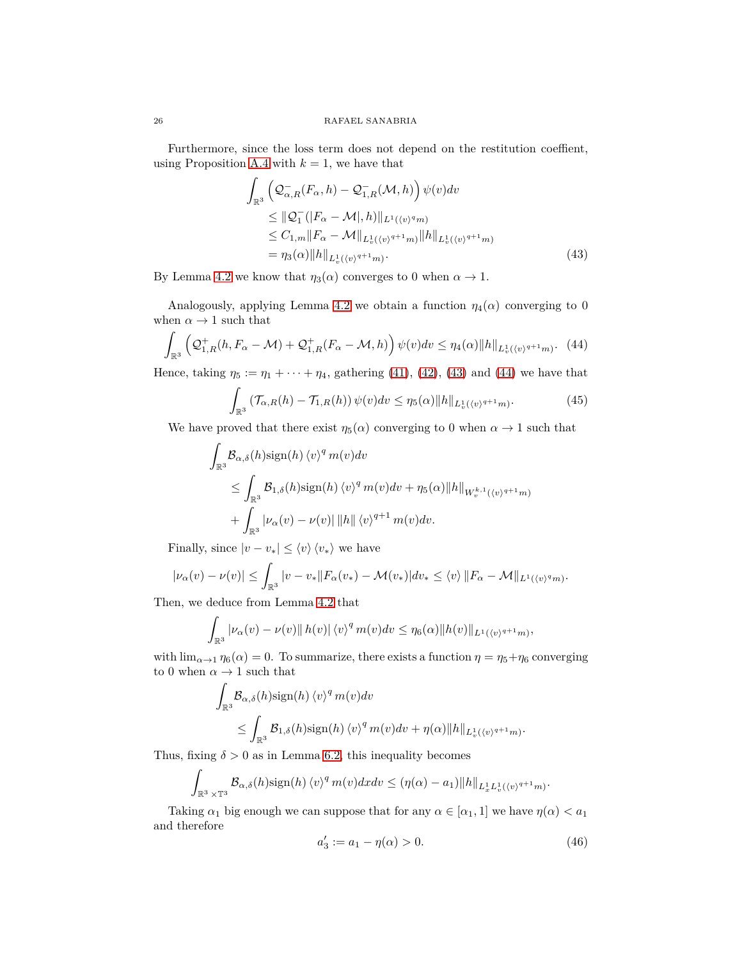Furthermore, since the loss term does not depend on the restitution coeffient, using Proposition [A.4](#page-32-4) with  $k = 1$ , we have that

<span id="page-25-0"></span>
$$
\int_{\mathbb{R}^3} \left( \mathcal{Q}_{\alpha,R}^{-}(F_{\alpha}, h) - \mathcal{Q}_{1,R}^{-}(\mathcal{M}, h) \right) \psi(v) dv
$$
\n
$$
\leq ||\mathcal{Q}_{1}^{-}(|F_{\alpha} - \mathcal{M}|, h)||_{L^{1}(\langle v)^{q}m)} \leq C_{1,m} ||F_{\alpha} - \mathcal{M}||_{L^{1}_{v}(\langle v)^{q+1}m)} ||h||_{L^{1}_{v}(\langle v)^{q+1}m)} = \eta_{3}(\alpha) ||h||_{L^{1}_{v}(\langle v)^{q+1}m)}.
$$
\n(43)

By Lemma [4.2](#page-9-1) we know that  $\eta_3(\alpha)$  converges to 0 when  $\alpha \to 1$ .

Analogously, applying Lemma [4.2](#page-9-1) we obtain a function  $\eta_4(\alpha)$  converging to 0 when  $\alpha \to 1$  such that

<span id="page-25-1"></span>
$$
\int_{\mathbb{R}^3} \left( \mathcal{Q}_{1,R}^+(h, F_\alpha - \mathcal{M}) + \mathcal{Q}_{1,R}^+(F_\alpha - \mathcal{M}, h) \right) \psi(v) dv \le \eta_4(\alpha) \|h\|_{L^1_v(\langle v \rangle^{q+1} m)}. \tag{44}
$$

Hence, taking  $\eta_5 := \eta_1 + \cdots + \eta_4$ , gathering [\(41\)](#page-24-2), [\(42\)](#page-24-3), [\(43\)](#page-25-0) and [\(44\)](#page-25-1) we have that

$$
\int_{\mathbb{R}^3} \left( \mathcal{T}_{\alpha,R}(h) - \mathcal{T}_{1,R}(h) \right) \psi(v) dv \leq \eta_5(\alpha) \|h\|_{L^1_v(\langle v \rangle^{q+1} m)}.
$$
 (45)

We have proved that there exist  $\eta_5(\alpha)$  converging to 0 when  $\alpha \to 1$  such that

$$
\int_{\mathbb{R}^3} \mathcal{B}_{\alpha,\delta}(h) \operatorname{sign}(h) \langle v \rangle^q m(v) dv
$$
\n
$$
\leq \int_{\mathbb{R}^3} \mathcal{B}_{1,\delta}(h) \operatorname{sign}(h) \langle v \rangle^q m(v) dv + \eta_5(\alpha) \|h\|_{W_v^{k,1}(\langle v)^{q+1}m)}
$$
\n
$$
+ \int_{\mathbb{R}^3} |\nu_\alpha(v) - \nu(v)| \, \|h\| \, \langle v \rangle^{q+1} m(v) dv.
$$

Finally, since  $|v - v_*| \leq \langle v \rangle \langle v_* \rangle$  we have

$$
|\nu_{\alpha}(v) - \nu(v)| \leq \int_{\mathbb{R}^3} |v - v_*| |F_{\alpha}(v_*) - \mathcal{M}(v_*)| dv_* \leq \langle v \rangle ||F_{\alpha} - \mathcal{M}||_{L^1(\langle v \rangle^q m)}.
$$

Then, we deduce from Lemma [4.2](#page-9-1) that

$$
\int_{\mathbb{R}^3} |\nu_{\alpha}(v) - \nu(v)| |h(v)| \langle v \rangle^q m(v) dv \le \eta_6(\alpha) ||h(v)||_{L^1(\langle v \rangle^{q+1} m)},
$$

with  $\lim_{\alpha \to 1} \eta_6(\alpha) = 0$ . To summarize, there exists a function  $\eta = \eta_5 + \eta_6$  converging to 0 when  $\alpha \rightarrow 1$  such that

$$
\int_{\mathbb{R}^3} \mathcal{B}_{\alpha,\delta}(h) \operatorname{sign}(h) \langle v \rangle^q m(v) dv
$$
\n
$$
\leq \int_{\mathbb{R}^3} \mathcal{B}_{1,\delta}(h) \operatorname{sign}(h) \langle v \rangle^q m(v) dv + \eta(\alpha) ||h||_{L^1_v(\langle v \rangle^{q+1} m)}.
$$

Thus, fixing  $\delta > 0$  as in Lemma [6.2,](#page-17-2) this inequality becomes

$$
\int_{\mathbb{R}^3 \times \mathbb{T}^3} \mathcal{B}_{\alpha,\delta}(h) \operatorname{sign}(h) \langle v \rangle^q m(v) dx dv \leq (\eta(\alpha) - a_1) \|h\|_{L_x^1 L_v^1(\langle v \rangle^{q+1} m)}.
$$

Taking  $\alpha_1$  big enough we can suppose that for any  $\alpha \in [\alpha_1, 1]$  we have  $\eta(\alpha) < \alpha_1$ and therefore

<span id="page-25-2"></span>
$$
a'_3 := a_1 - \eta(\alpha) > 0. \tag{46}
$$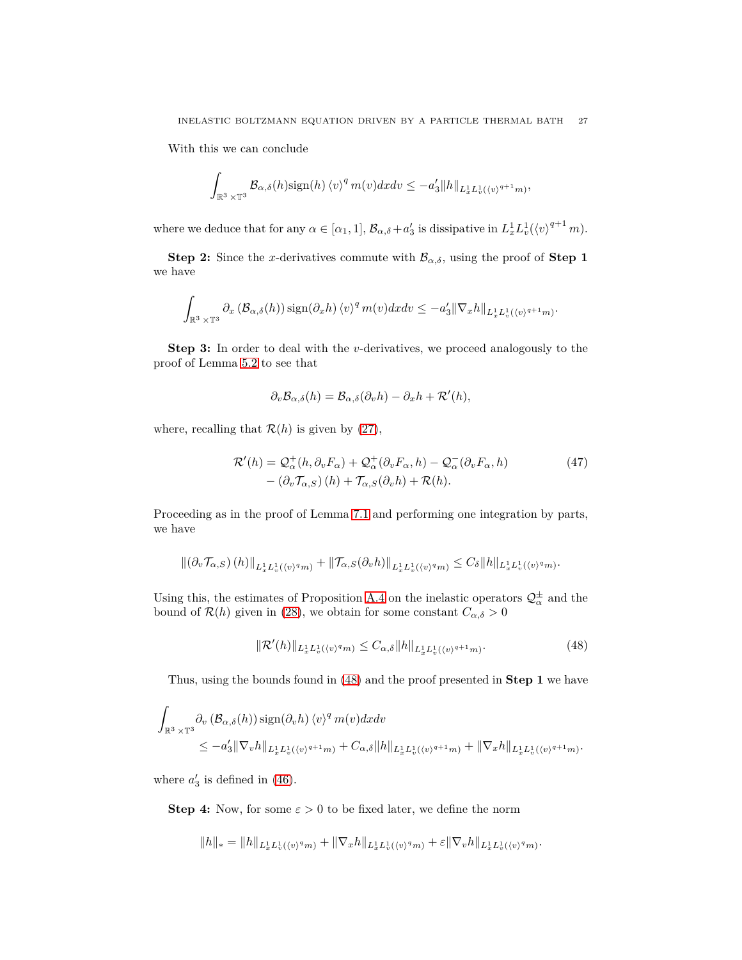With this we can conclude

$$
\int_{\mathbb{R}^3\times\mathbb{T}^3}\mathcal{B}_{\alpha,\delta}(h)\text{sign}(h)\,\langle v\rangle^q\,m(v)dx dv\leq -a_3'\|h\|_{L^1_xL^1_v(\langle v\rangle^{q+1}m)},
$$

where we deduce that for any  $\alpha \in [\alpha_1, 1], \mathcal{B}_{\alpha, \delta} + a'_3$  is dissipative in  $L_x^1 L_v^1(\langle v \rangle^{q+1} m)$ .

**Step 2:** Since the *x*-derivatives commute with  $\mathcal{B}_{\alpha,\delta}$ , using the proof of **Step 1** we have

$$
\int_{\mathbb{R}^3 \times \mathbb{T}^3} \partial_x \left( \mathcal{B}_{\alpha,\delta}(h) \right) \operatorname{sign}(\partial_x h) \left\langle v \right\rangle^q m(v) dx dv \leq -a_3' \|\nabla_x h\|_{L^1_x L^1_v(\langle v \rangle^{q+1} m)}.
$$

**Step 3:** In order to deal with the *v*-derivatives, we proceed analogously to the proof of Lemma [5.2](#page-11-3) to see that

$$
\partial_v \mathcal{B}_{\alpha,\delta}(h) = \mathcal{B}_{\alpha,\delta}(\partial_v h) - \partial_x h + \mathcal{R}'(h),
$$

where, recalling that  $\mathcal{R}(h)$  is given by [\(27\)](#page-15-2),

$$
\mathcal{R}'(h) = \mathcal{Q}_{\alpha}^+(h, \partial_v F_{\alpha}) + \mathcal{Q}_{\alpha}^+(\partial_v F_{\alpha}, h) - \mathcal{Q}_{\alpha}^-(\partial_v F_{\alpha}, h) - (\partial_v \mathcal{T}_{\alpha, S})(h) + \mathcal{T}_{\alpha, S}(\partial_v h) + \mathcal{R}(h).
$$
\n(47)

Proceeding as in the proof of Lemma [7.1](#page-23-0) and performing one integration by parts, we have

$$
\left\| \left( \partial_v \mathcal{T}_{\alpha,S} \right) (h) \right\|_{L^1_x L^1_v(\langle v \rangle^q m)} + \left\| \mathcal{T}_{\alpha,S} (\partial_v h) \right\|_{L^1_x L^1_v(\langle v \rangle^q m)} \leq C_\delta \|h\|_{L^1_x L^1_v(\langle v \rangle^q m)}.
$$

Using this, the estimates of Proposition [A.4](#page-32-4) on the inelastic operators  $\mathcal{Q}^{\pm}_{\alpha}$  and the bound of  $\mathcal{R}(h)$  given in [\(28\)](#page-15-0), we obtain for some constant  $C_{\alpha,\delta} > 0$ 

<span id="page-26-0"></span>
$$
\|\mathcal{R}'(h)\|_{L_x^1 L_v^1(\langle v \rangle^q m)} \le C_{\alpha,\delta} \|h\|_{L_x^1 L_v^1(\langle v \rangle^{q+1} m)}.
$$
\n(48)

Thus, using the bounds found in [\(48\)](#page-26-0) and the proof presented in **Step 1** we have

$$
\int_{\mathbb{R}^3 \times \mathbb{T}^3} \partial_v \left( \mathcal{B}_{\alpha,\delta}(h) \right) \operatorname{sign}(\partial_v h) \langle v \rangle^q m(v) dx dv
$$
\n
$$
\leq -a'_3 \|\nabla_v h\|_{L_x^1 L_v^1(\langle v \rangle^{q+1} m)} + C_{\alpha,\delta} \|h\|_{L_x^1 L_v^1(\langle v \rangle^{q+1} m)} + \|\nabla_x h\|_{L_x^1 L_v^1(\langle v \rangle^{q+1} m)}.
$$

where  $a'_3$  is defined in [\(46\)](#page-25-2).

**Step 4:** Now, for some  $\varepsilon > 0$  to be fixed later, we define the norm

$$
||h||_* = ||h||_{L_x^1 L_v^1(\langle v \rangle^q m)} + ||\nabla_x h||_{L_x^1 L_v^1(\langle v \rangle^q m)} + \varepsilon ||\nabla_v h||_{L_x^1 L_v^1(\langle v \rangle^q m)}.
$$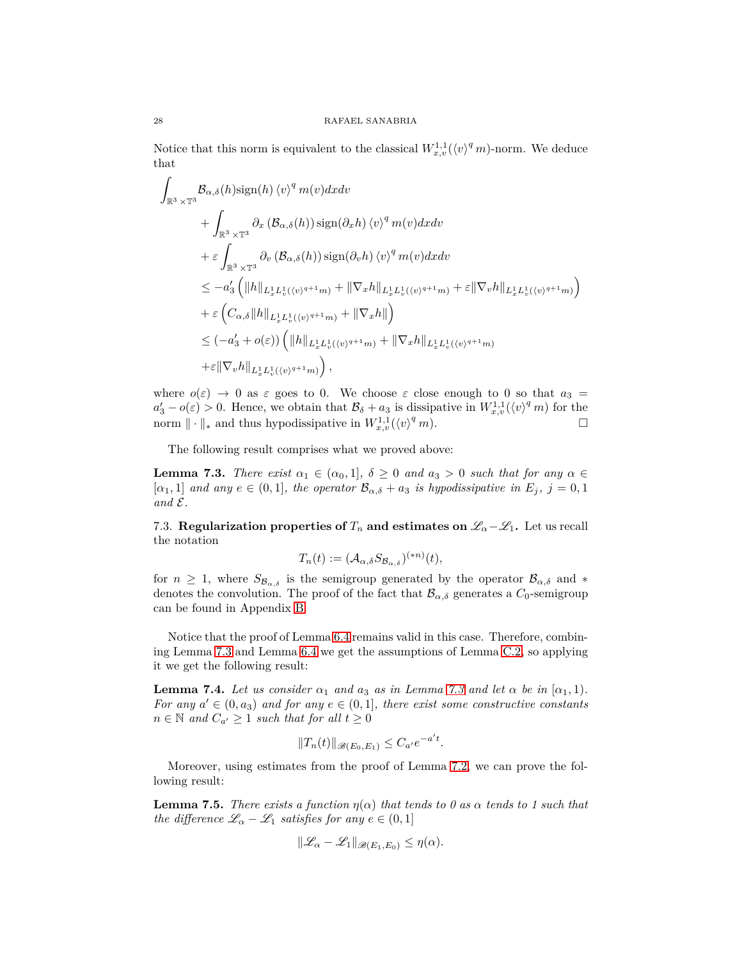Notice that this norm is equivalent to the classical  $W_{x,v}^{1,1}(\langle v \rangle^q m)$ -norm. We deduce that

$$
\int_{\mathbb{R}^3 \times \mathbb{T}^3} \mathcal{B}_{\alpha,\delta}(h) \operatorname{sign}(h) \langle v \rangle^q m(v) dx dv \n+ \int_{\mathbb{R}^3 \times \mathbb{T}^3} \partial_x (\mathcal{B}_{\alpha,\delta}(h)) \operatorname{sign}(\partial_x h) \langle v \rangle^q m(v) dx dv \n+ \varepsilon \int_{\mathbb{R}^3 \times \mathbb{T}^3} \partial_v (\mathcal{B}_{\alpha,\delta}(h)) \operatorname{sign}(\partial_v h) \langle v \rangle^q m(v) dx dv \n\leq -a'_3 \left( \|h\|_{L_x^1 L_v^1(\langle v \rangle^{q+1} m)} + \|\nabla_x h\|_{L_x^1 L_v^1(\langle v \rangle^{q+1} m)} + \varepsilon \|\nabla_v h\|_{L_x^1 L_v^1(\langle v \rangle^{q+1} m)} \right) \n+ \varepsilon \left( C_{\alpha,\delta} \|h\|_{L_x^1 L_v^1(\langle v \rangle^{q+1} m)} + \|\nabla_x h\| \right) \n\leq (-a'_3 + o(\varepsilon)) \left( \|h\|_{L_x^1 L_v^1(\langle v \rangle^{q+1} m)} + \|\nabla_x h\|_{L_x^1 L_v^1(\langle v \rangle^{q+1} m)} \right) \n+ \varepsilon \|\nabla_v h\|_{L_x^1 L_v^1(\langle v \rangle^{q+1} m)} \right),
$$

where  $o(\varepsilon) \to 0$  as  $\varepsilon$  goes to 0. We choose  $\varepsilon$  close enough to 0 so that  $a_3 =$  $a'_3 - o(\varepsilon) > 0$ . Hence, we obtain that  $\mathcal{B}_\delta + a_3$  is dissipative in  $W_{x,v}^{1,1}(\langle v \rangle^q m)$  for the norm  $\|\cdot\|_*$  and thus hypodissipative in  $W_{x,v}^{1,1}(\langle v \rangle^q m)$ .

The following result comprises what we proved above:

<span id="page-27-1"></span>**Lemma 7.3.** *There exist*  $\alpha_1 \in (\alpha_0, 1], \ \delta \geq 0$  *and*  $a_3 > 0$  *such that for any*  $\alpha \in$  $[\alpha_1, 1]$  *and any*  $e \in (0, 1]$ *, the operator*  $\mathcal{B}_{\alpha, \delta} + a_3$  *is hypodissipative in*  $E_j$ *,*  $j = 0, 1$  $and \mathcal{E}.$ 

<span id="page-27-0"></span>7.3. **Regularization properties of**  $T_n$  **and estimates on**  $\mathscr{L}_{\alpha} - \mathscr{L}_1$ **. Let us recall** the notation

$$
T_n(t) := (\mathcal{A}_{\alpha,\delta} S_{\mathcal{B}_{\alpha,\delta}})^{(*n)}(t),
$$

for  $n \geq 1$ , where  $S_{\mathcal{B}_{\alpha,\delta}}$  is the semigroup generated by the operator  $\mathcal{B}_{\alpha,\delta}$  and  $*$ denotes the convolution. The proof of the fact that  $\mathcal{B}_{\alpha,\delta}$  generates a  $C_0$ -semigroup can be found in Appendix [B.](#page-36-0)

Notice that the proof of Lemma [6.4](#page-18-3) remains valid in this case. Therefore, combining Lemma [7.3](#page-27-1) and Lemma [6.4](#page-18-3) we get the assumptions of Lemma [C.2,](#page-39-0) so applying it we get the following result:

<span id="page-27-3"></span>**Lemma 7.4.** Let us consider  $\alpha_1$  and  $\alpha_3$  as in Lemma [7.3](#page-27-1) and let  $\alpha$  be in  $[\alpha_1, 1)$ . *For any*  $a' \in (0, a_3)$  *and for any*  $e \in (0, 1]$ *, there exist some constructive constants n* ∈ *N and*  $C_{a'}$  ≥ 1 *such that for all*  $t ≥ 0$ 

$$
||T_n(t)||_{\mathscr{B}(E_0,E_1)} \leq C_{a'}e^{-a't}.
$$

Moreover, using estimates from the proof of Lemma [7.2,](#page-24-4) we can prove the following result:

<span id="page-27-2"></span>**Lemma 7.5.** *There exists a function*  $\eta(\alpha)$  *that tends to 0 as*  $\alpha$  *tends to 1 such that the difference*  $\mathcal{L}_{\alpha} - \mathcal{L}_1$  *satisfies for any*  $e \in (0,1]$ 

$$
\|\mathscr{L}_\alpha-\mathscr{L}_1\|_{\mathscr{B}(E_1,E_0)}\leq \eta(\alpha).
$$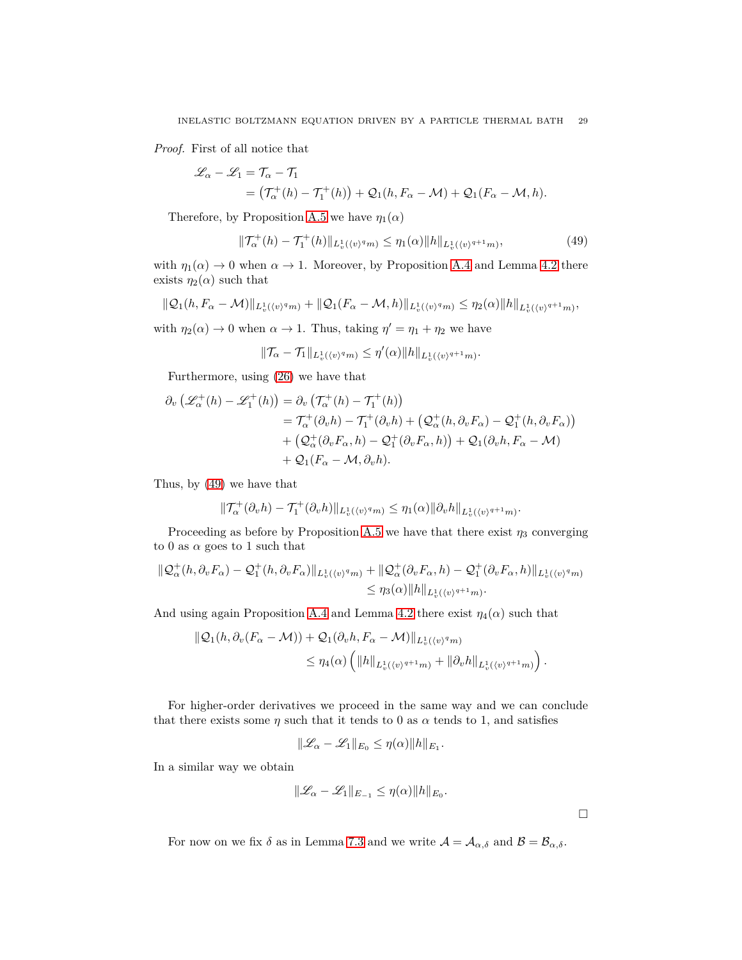*Proof.* First of all notice that

$$
\mathcal{L}_{\alpha} - \mathcal{L}_1 = \mathcal{T}_{\alpha} - \mathcal{T}_1
$$
  
=  $(\mathcal{T}_{\alpha}^+(h) - \mathcal{T}_1^+(h)) + \mathcal{Q}_1(h, F_{\alpha} - \mathcal{M}) + \mathcal{Q}_1(F_{\alpha} - \mathcal{M}, h).$ 

Therefore, by Proposition [A.5](#page-34-1) we have  $\eta_1(\alpha)$ 

<span id="page-28-0"></span>
$$
\|\mathcal{T}_{\alpha}^{+}(h) - \mathcal{T}_{1}^{+}(h)\|_{L_{v}^{1}(\langle v)^{q}m)} \le \eta_{1}(\alpha)\|h\|_{L_{v}^{1}(\langle v)^{q+1}m)},\tag{49}
$$

with  $\eta_1(\alpha) \to 0$  when  $\alpha \to 1$ . Moreover, by Proposition [A.4](#page-32-4) and Lemma [4.2](#page-9-1) there exists  $\eta_2(\alpha)$  such that

$$
\|\mathcal{Q}_1(h, F_\alpha - \mathcal{M})\|_{L^1_v(\langle v \rangle^q m)} + \|\mathcal{Q}_1(F_\alpha - \mathcal{M}, h)\|_{L^1_v(\langle v \rangle^q m)} \le \eta_2(\alpha) \|h\|_{L^1_v(\langle v \rangle^{q+1} m)},
$$

with  $\eta_2(\alpha) \to 0$  when  $\alpha \to 1$ . Thus, taking  $\eta' = \eta_1 + \eta_2$  we have

$$
\|\mathcal{T}_{\alpha}-\mathcal{T}_1\|_{L^1_v(\langle v \rangle^q m)} \le \eta'(\alpha) \|h\|_{L^1_v(\langle v \rangle^{q+1} m)}.
$$

Furthermore, using [\(26\)](#page-15-1) we have that

$$
\partial_v \left( \mathcal{L}_{\alpha}^+(h) - \mathcal{L}_1^+(h) \right) = \partial_v \left( \mathcal{T}_{\alpha}^+(h) - \mathcal{T}_1^+(h) \right)
$$
  
\n
$$
= \mathcal{T}_{\alpha}^+(\partial_v h) - \mathcal{T}_1^+(\partial_v h) + \left( \mathcal{Q}_{\alpha}^+(h, \partial_v F_{\alpha}) - \mathcal{Q}_1^+(h, \partial_v F_{\alpha}) \right)
$$
  
\n
$$
+ \left( \mathcal{Q}_{\alpha}^+(\partial_v F_{\alpha}, h) - \mathcal{Q}_1^+(\partial_v F_{\alpha}, h) \right) + \mathcal{Q}_1(\partial_v h, F_{\alpha} - \mathcal{M})
$$
  
\n
$$
+ \mathcal{Q}_1(F_{\alpha} - \mathcal{M}, \partial_v h).
$$

Thus, by [\(49\)](#page-28-0) we have that

$$
\|\mathcal{T}_{\alpha}^{+}(\partial_{v}h)-\mathcal{T}_{1}^{+}(\partial_{v}h)\|_{L_{v}^{1}(\langle v)^{q}m)}\leq \eta_{1}(\alpha)\|\partial_{v}h\|_{L_{v}^{1}(\langle v)^{q+1}m)}.
$$

Proceeding as before by Proposition [A.5](#page-34-1) we have that there exist  $\eta_3$  converging to 0 as  $\alpha$  goes to 1 such that

$$
\begin{aligned} \|\mathcal{Q}_{\alpha}^{+}(h,\partial_{v}F_{\alpha})-\mathcal{Q}_{1}^{+}(h,\partial_{v}F_{\alpha})\|_{L_{v}^{1}(\langle v)^{q}m)}+\|\mathcal{Q}_{\alpha}^{+}(\partial_{v}F_{\alpha},h)-\mathcal{Q}_{1}^{+}(\partial_{v}F_{\alpha},h)\|_{L_{v}^{1}(\langle v)^{q}m)}\\ &\leq\eta_{3}(\alpha)\|h\|_{L_{v}^{1}(\langle v)^{q+1}m)}.\end{aligned}
$$

And using again Proposition [A.4](#page-32-4) and Lemma [4.2](#page-9-1) there exist  $\eta_4(\alpha)$  such that

$$
\begin{aligned} \|\mathcal{Q}_1(h,\partial_v(F_\alpha-\mathcal{M})) + \mathcal{Q}_1(\partial_v h, F_\alpha - \mathcal{M})\|_{L^1_v(\langle v)^q m)} \\ &\leq \eta_4(\alpha) \left( \|h\|_{L^1_v(\langle v)^{q+1} m)} + \|\partial_v h\|_{L^1_v(\langle v)^{q+1} m)} \right). \end{aligned}
$$

For higher-order derivatives we proceed in the same way and we can conclude that there exists some  $\eta$  such that it tends to 0 as  $\alpha$  tends to 1, and satisfies

$$
\|\mathcal{L}_{\alpha} - \mathcal{L}_1\|_{E_0} \le \eta(\alpha) \|h\|_{E_1}.
$$

In a similar way we obtain

$$
\|\mathscr{L}_\alpha-\mathscr{L}_1\|_{E_{-1}}\leq \eta(\alpha)\|h\|_{E_0}.
$$

 $\hfill \square$ 

For now on we fix  $\delta$  as in Lemma [7.3](#page-27-1) and we write  $\mathcal{A} = \mathcal{A}_{\alpha,\delta}$  and  $\mathcal{B} = \mathcal{B}_{\alpha,\delta}$ .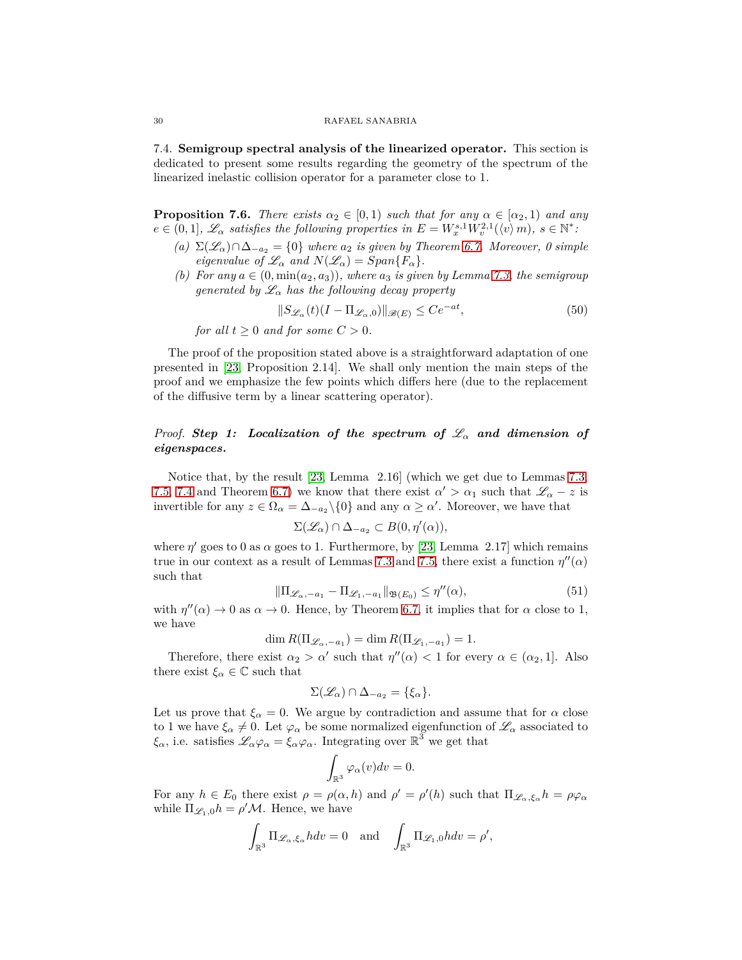<span id="page-29-0"></span>7.4. **Semigroup spectral analysis of the linearized operator.** This section is dedicated to present some results regarding the geometry of the spectrum of the linearized inelastic collision operator for a parameter close to 1.

<span id="page-29-3"></span>**Proposition 7.6.** *There exists*  $\alpha_2 \in [0,1)$  *such that for any*  $\alpha \in [\alpha_2,1)$  *and any*  $e \in (0,1], \mathscr{L}_{\alpha}$  *satisfies the following properties in*  $E = W_x^{s,1} W_v^{2,1}(\langle v \rangle m)$ ,  $s \in \mathbb{N}^*$ :

- *(a)* Σ(L*α*)∩∆−*a*<sup>2</sup> <sup>=</sup> {0} *where <sup>a</sup>*<sup>2</sup> *is given by Theorem [6.7.](#page-21-2) Moreover, 0 simple eigenvalue of*  $\mathscr{L}_{\alpha}$  *and*  $N(\mathscr{L}_{\alpha}) = Span{F_{\alpha}}$ *.*
- *(b)* For any  $a \in (0, \min(a_2, a_3))$ , where  $a_3$  is given by Lemma [7.3,](#page-27-1) the semigroup *generated by*  $\mathscr{L}_{\alpha}$  *has the following decay property*

<span id="page-29-2"></span>
$$
||S_{\mathcal{L}_{\alpha}}(t)(I - \Pi_{\mathcal{L}_{\alpha},0})||_{\mathscr{B}(E)} \le Ce^{-at},\tag{50}
$$

*for all*  $t > 0$  *and for some*  $C > 0$ *.* 

The proof of the proposition stated above is a straightforward adaptation of one presented in [\[23,](#page-41-0) Proposition 2.14]. We shall only mention the main steps of the proof and we emphasize the few points which differs here (due to the replacement of the diffusive term by a linear scattering operator).

# *Proof. Step 1: Localization of the spectrum of* L*<sup>α</sup> and dimension of eigenspaces.*

Notice that, by the result [\[23,](#page-41-0) Lemma 2.16] (which we get due to Lemmas [7.3,](#page-27-1) [7.5,](#page-27-2) [7.4](#page-27-3) and Theorem [6.7\)](#page-21-2) we know that there exist  $\alpha' > \alpha_1$  such that  $\mathscr{L}_\alpha - z$  is invertible for any  $z \in \Omega_{\alpha} = \Delta_{-a_2} \setminus \{0\}$  and any  $\alpha \geq \alpha'$ . Moreover, we have that

$$
\Sigma(\mathscr{L}_\alpha) \cap \Delta_{-a_2} \subset B(0, \eta'(\alpha)),
$$

where  $\eta'$  goes to 0 as  $\alpha$  goes to 1. Furthermore, by [\[23,](#page-41-0) Lemma 2.17] which remains true in our context as a result of Lemmas [7.3](#page-27-1) and [7.5,](#page-27-2) there exist a function  $\eta''(\alpha)$ such that

<span id="page-29-1"></span>
$$
\|\Pi_{\mathcal{L}_{\alpha},-a_1} - \Pi_{\mathcal{L}_{1},-a_1}\|_{\mathfrak{B}(E_0)} \le \eta''(\alpha),\tag{51}
$$

with  $\eta''(\alpha) \to 0$  as  $\alpha \to 0$ . Hence, by Theorem [6.7,](#page-21-2) it implies that for  $\alpha$  close to 1, we have

$$
\dim R(\Pi_{\mathcal{L}_{\alpha},-a_1}) = \dim R(\Pi_{\mathcal{L}_{1},-a_1}) = 1.
$$

Therefore, there exist  $\alpha_2 > \alpha'$  such that  $\eta''(\alpha) < 1$  for every  $\alpha \in (\alpha_2, 1]$ . Also there exist  $\xi_{\alpha} \in \mathbb{C}$  such that

$$
\Sigma(\mathscr{L}_\alpha) \cap \Delta_{-a_2} = \{\xi_\alpha\}.
$$

Let us prove that  $\xi_{\alpha} = 0$ . We argue by contradiction and assume that for  $\alpha$  close to 1 we have  $\xi_{\alpha} \neq 0$ . Let  $\varphi_{\alpha}$  be some normalized eigenfunction of  $\mathscr{L}_{\alpha}$  associated to  $\xi_{\alpha}$ , i.e. satisfies  $\mathscr{L}_{\alpha}\varphi_{\alpha} = \xi_{\alpha}\varphi_{\alpha}$ . Integrating over  $\mathbb{R}^3$  we get that

$$
\int_{\mathbb{R}^3} \varphi_\alpha(v) dv = 0.
$$

For any  $h \in E_0$  there exist  $\rho = \rho(\alpha, h)$  and  $\rho' = \rho'(h)$  such that  $\Pi_{\mathscr{L}_{\alpha}, \xi_{\alpha}} h = \rho \varphi_{\alpha}$ while  $\Pi_{\mathscr{L}_1,0}h = \rho' \mathcal{M}$ . Hence, we have

$$
\int_{\mathbb{R}^3} \Pi_{\mathscr{L}_{\alpha}, \xi_{\alpha}} h dv = 0 \text{ and } \int_{\mathbb{R}^3} \Pi_{\mathscr{L}_1, 0} h dv = \rho',
$$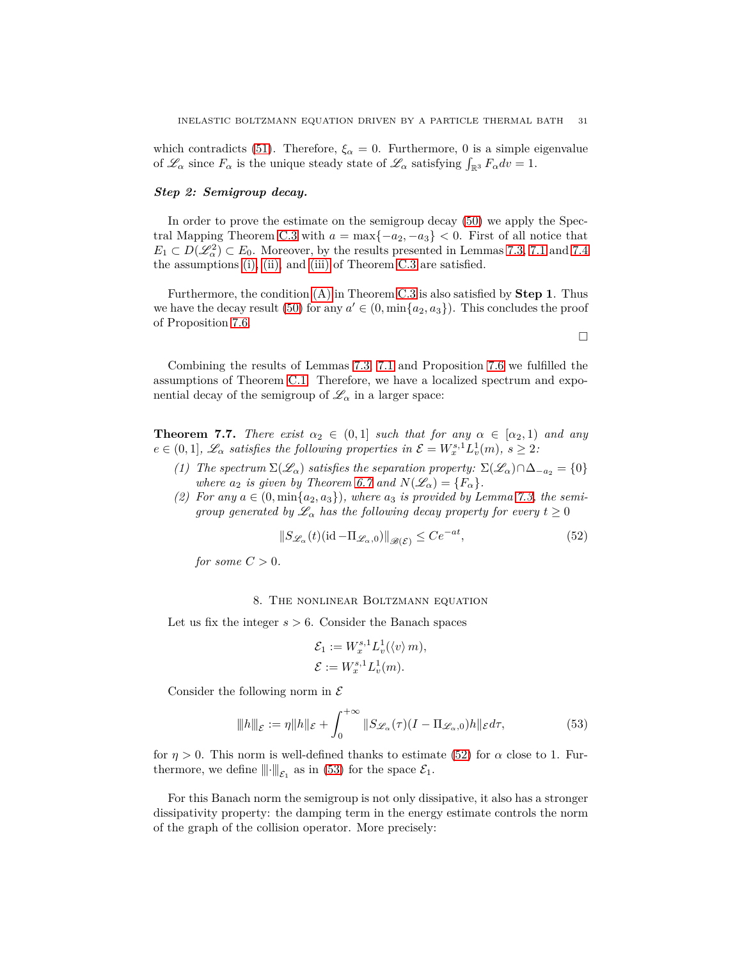which contradicts [\(51\)](#page-29-1). Therefore,  $\xi_{\alpha} = 0$ . Furthermore, 0 is a simple eigenvalue of  $\mathscr{L}_{\alpha}$  since  $F_{\alpha}$  is the unique steady state of  $\mathscr{L}_{\alpha}$  satisfying  $\int_{\mathbb{R}^3} F_{\alpha} dv = 1$ .

# *Step 2: Semigroup decay.*

In order to prove the estimate on the semigroup decay [\(50\)](#page-29-2) we apply the Spec-tral Mapping Theorem [C.3](#page-39-1) with  $a = \max\{-a_2, -a_3\} < 0$ . First of all notice that  $E_1 \subset D(\mathscr{L}_\alpha^2) \subset E_0$ . Moreover, by the results presented in Lemmas [7.3,](#page-27-1) [7.1](#page-23-0) and [7.4](#page-27-3) the assumptions [\(i\),](#page-39-2) [\(ii\),](#page-39-3) and [\(iii\)](#page-39-4) of Theorem [C.3](#page-39-1) are satisfied.

Furthermore, the condition [\(A\)](#page-39-5) in Theorem [C.3](#page-39-1) is also satisfied by **Step 1**. Thus we have the decay result [\(50\)](#page-29-2) for any  $a' \in (0, \min\{a_2, a_3\})$ . This concludes the proof of Proposition [7.6.](#page-29-3)

Combining the results of Lemmas [7.3,](#page-27-1) [7.1](#page-23-0) and Proposition [7.6](#page-29-3) we fulfilled the assumptions of Theorem [C.1.](#page-38-1) Therefore, we have a localized spectrum and exponential decay of the semigroup of  $\mathcal{L}_{\alpha}$  in a larger space:

<span id="page-30-3"></span>**Theorem 7.7.** *There exist*  $\alpha_2 \in (0,1]$  *such that for any*  $\alpha \in [\alpha_2, 1]$  *and any*  $e \in (0,1], \mathscr{L}_\alpha$  *satisfies the following properties in*  $\mathcal{E} = W_x^{s,1} L_v^1(m)$ ,  $s \geq 2$ :

- *(1) The spectrum*  $\Sigma(\mathscr{L}_{\alpha})$  *satisfies the separation property:*  $\Sigma(\mathscr{L}_{\alpha}) \cap \Delta_{-a_2} = \{0\}$ *where*  $a_2$  *is given by Theorem [6.7](#page-21-2) and*  $N(\mathscr{L}_\alpha) = \{F_\alpha\}.$
- (2) For any  $a \in (0, \min\{a_2, a_3\})$ , where  $a_3$  is provided by Lemma [7.3,](#page-27-1) the semi*group generated by*  $\mathscr{L}_{\alpha}$  *has the following decay property for every*  $t \geq 0$

<span id="page-30-1"></span>
$$
||S_{\mathcal{L}_{\alpha}}(t)(\mathrm{id} - \Pi_{\mathcal{L}_{\alpha},0})||_{\mathscr{B}(\mathcal{E})} \le Ce^{-at},\tag{52}
$$

*for some*  $C > 0$ *.* 

### 8. The nonlinear Boltzmann equation

<span id="page-30-0"></span>Let us fix the integer *s >* 6. Consider the Banach spaces

$$
\mathcal{E}_1 := W_x^{s,1} L_v^1(\langle v \rangle m),
$$
  

$$
\mathcal{E} := W_x^{s,1} L_v^1(m).
$$

Consider the following norm in  $\mathcal E$ 

<span id="page-30-2"></span>
$$
\|h\|_{\mathcal{E}} := \eta \|h\|_{\mathcal{E}} + \int_0^{+\infty} \|S_{\mathscr{L}_{\alpha}}(\tau)(I - \Pi_{\mathscr{L}_{\alpha},0})h\|_{\mathcal{E}} d\tau,
$$
\n(53)

for  $\eta > 0$ . This norm is well-defined thanks to estimate [\(52\)](#page-30-1) for  $\alpha$  close to 1. Furthermore, we define  $\|\cdot\|_{\mathcal{E}_1}$  as in [\(53\)](#page-30-2) for the space  $\mathcal{E}_1$ .

For this Banach norm the semigroup is not only dissipative, it also has a stronger dissipativity property: the damping term in the energy estimate controls the norm of the graph of the collision operator. More precisely:

$$
\Box
$$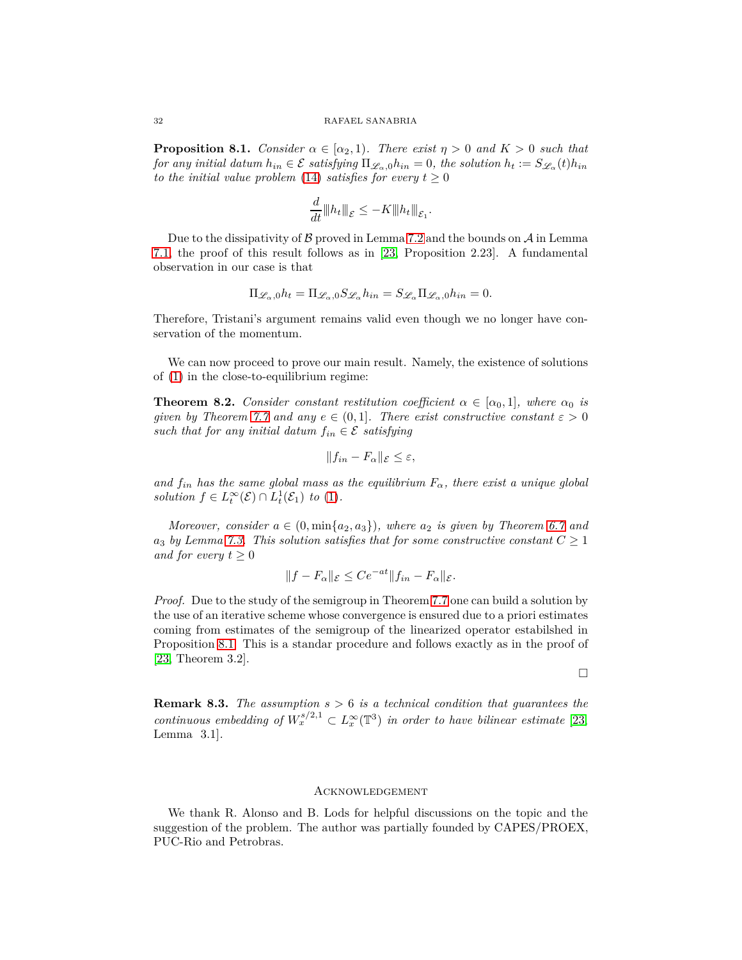<span id="page-31-1"></span>**Proposition 8.1.** *Consider*  $\alpha \in [\alpha_2, 1]$ *. There exist*  $\eta > 0$  *and*  $K > 0$  *such that for any initial datum*  $h_{in} \in \mathcal{E}$  *satisfying*  $\Pi_{\mathscr{L}_\alpha,0} h_{in} = 0$ *, the solution*  $h_t := S_{\mathscr{L}_\alpha}(t) h_{in}$ *to the initial value problem* [\(14\)](#page-8-4) *satisfies for every*  $t \geq 0$ 

$$
\frac{d}{dt}||h_t||_{\mathcal{E}} \le -K||h_t||_{\mathcal{E}_1}.
$$

Due to the dissipativity of  $\beta$  proved in Lemma [7.2](#page-24-4) and the bounds on  $\mathcal A$  in Lemma [7.1,](#page-23-0) the proof of this result follows as in [\[23,](#page-41-0) Proposition 2.23]. A fundamental observation in our case is that

$$
\Pi_{\mathscr{L}_{\alpha},0}h_t = \Pi_{\mathscr{L}_{\alpha},0}S_{\mathscr{L}_{\alpha}}h_{in} = S_{\mathscr{L}_{\alpha}}\Pi_{\mathscr{L}_{\alpha},0}h_{in} = 0.
$$

Therefore, Tristani's argument remains valid even though we no longer have conservation of the momentum.

We can now proceed to prove our main result. Namely, the existence of solutions of [\(1\)](#page-1-3) in the close-to-equilibrium regime:

**Theorem 8.2.** *Consider constant restitution coefficient*  $\alpha \in [\alpha_0, 1]$ *, where*  $\alpha_0$  *is given by Theorem [7.7](#page-30-3) and any*  $e \in (0,1]$ *. There exist constructive constant*  $\varepsilon > 0$ *such that for any initial datum*  $f_{in} \in \mathcal{E}$  *satisfying* 

$$
||f_{in} - F_{\alpha}||_{\mathcal{E}} \leq \varepsilon,
$$

*and*  $f_{in}$  *has the same global mass as the equilibrium*  $F_{\alpha}$ *, there exist a unique global solution*  $f \in L_t^{\infty}(\mathcal{E}) \cap L_t^1(\mathcal{E}_1)$  *to* [\(1\)](#page-1-3)*.* 

*Moreover, consider*  $a \in (0, \min\{a_2, a_3\})$ *, where*  $a_2$  *is given by Theorem* [6.7](#page-21-2) and  $a_3$  *by Lemma* [7.3.](#page-27-1) This solution satisfies that for some constructive constant  $C \geq 1$ *and for every*  $t \geq 0$ 

$$
||f - F_{\alpha}||_{\mathcal{E}} \le Ce^{-at}||f_{in} - F_{\alpha}||_{\mathcal{E}}.
$$

*Proof.* Due to the study of the semigroup in Theorem [7.7](#page-30-3) one can build a solution by the use of an iterative scheme whose convergence is ensured due to a priori estimates coming from estimates of the semigroup of the linearized operator estabilshed in Proposition [8.1.](#page-31-1) This is a standar procedure and follows exactly as in the proof of [\[23,](#page-41-0) Theorem 3.2].

 $\Box$ 

**Remark 8.3.** *The assumption s >* 6 *is a technical condition that guarantees the continuous embedding of*  $W_x^{s/2,1} \subset L_x^{\infty}(\mathbb{T}^3)$  *in order to have bilinear estimate* [\[23,](#page-41-0) Lemma 3.1]*.*

### <span id="page-31-0"></span>Acknowledgement

We thank R. Alonso and B. Lods for helpful discussions on the topic and the suggestion of the problem. The author was partially founded by CAPES/PROEX, PUC-Rio and Petrobras.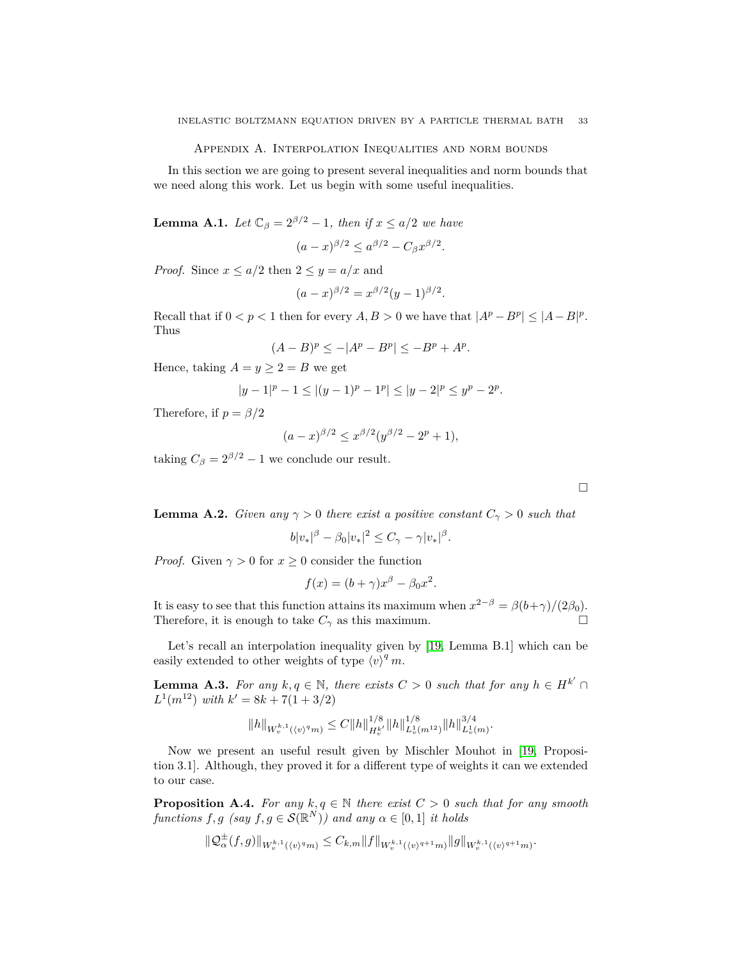Appendix A. Interpolation Inequalities and norm bounds

<span id="page-32-0"></span>In this section we are going to present several inequalities and norm bounds that we need along this work. Let us begin with some useful inequalities.

<span id="page-32-2"></span>**Lemma A.1.** *Let*  $\mathbb{C}_{\beta} = 2^{\beta/2} - 1$ *, then if*  $x \leq a/2$  *we have* 

$$
(a-x)^{\beta/2} \le a^{\beta/2} - C_{\beta} x^{\beta/2}.
$$

*Proof.* Since  $x \leq a/2$  then  $2 \leq y = a/x$  and

$$
(a-x)^{\beta/2} = x^{\beta/2}(y-1)^{\beta/2}.
$$

Recall that if  $0 < p < 1$  then for every  $A, B > 0$  we have that  $|A^p - B^p| \leq |A - B|^p$ . Thus

$$
(A - B)^p \le -|A^p - B^p| \le -B^p + A^p.
$$

Hence, taking  $A = y \geq 2 = B$  we get

$$
|y-1|^p - 1 \le |(y-1)^p - 1^p| \le |y-2|^p \le y^p - 2^p.
$$

Therefore, if  $p = \beta/2$ 

$$
(a-x)^{\beta/2} \le x^{\beta/2} (y^{\beta/2} - 2^p + 1),
$$

taking  $C_\beta = 2^{\beta/2} - 1$  we conclude our result.

 $\Box$ 

<span id="page-32-3"></span>**Lemma A.2.** *Given any*  $\gamma > 0$  *there exist a positive constant*  $C_{\gamma} > 0$  *such that* 

$$
b|v_*|^\beta - \beta_0|v_*|^2 \leq C_\gamma - \gamma|v_*|^\beta.
$$

*Proof.* Given  $\gamma > 0$  for  $x \geq 0$  consider the function

$$
f(x) = (b + \gamma)x^{\beta} - \beta_0 x^2.
$$

It is easy to see that this function attains its maximum when  $x^{2-\beta} = \beta(b+\gamma)/(2\beta_0)$ . Therefore, it is enough to take  $C_{\gamma}$  as this maximum.

Let's recall an interpolation inequality given by [\[19,](#page-40-4) Lemma B.1] which can be easily extended to other weights of type  $\langle v \rangle^q m$ .

<span id="page-32-1"></span>**Lemma A.3.** *For any*  $k, q \in \mathbb{N}$ , *there exists*  $C > 0$  *such that for any*  $h \in H^{k'}$  $L^1(m^{12})$  *with*  $k' = 8k + 7(1 + 3/2)$ 

$$
\|h\|_{W_v^{k,1}(\langle v\rangle^q m)}\leq C\|h\|_{H_v^{k'}}^{1/8}\|h\|_{L_v^1(m^{12})}^{1/8}\|h\|_{L_v^1(m)}^{3/4}.
$$

Now we present an useful result given by Mischler Mouhot in [\[19,](#page-40-4) Proposition 3.1]. Although, they proved it for a different type of weights it can we extended to our case.

<span id="page-32-4"></span>**Proposition A.4.** *For any*  $k, q \in \mathbb{N}$  *there exist*  $C > 0$  *such that for any smooth functions*  $f, g$  (say  $f, g \in \mathcal{S}(\mathbb{R}^N)$ ) and any  $\alpha \in [0, 1]$  *it holds* 

$$
\|\mathcal{Q}^{\pm}_{\alpha}(f,g)\|_{W^{k,1}_{v}(\langle v \rangle^q m)} \leq C_{k,m} \|f\|_{W^{k,1}_{v}(\langle v \rangle^{q+1} m)} \|g\|_{W^{k,1}_{v}(\langle v \rangle^{q+1} m)}.
$$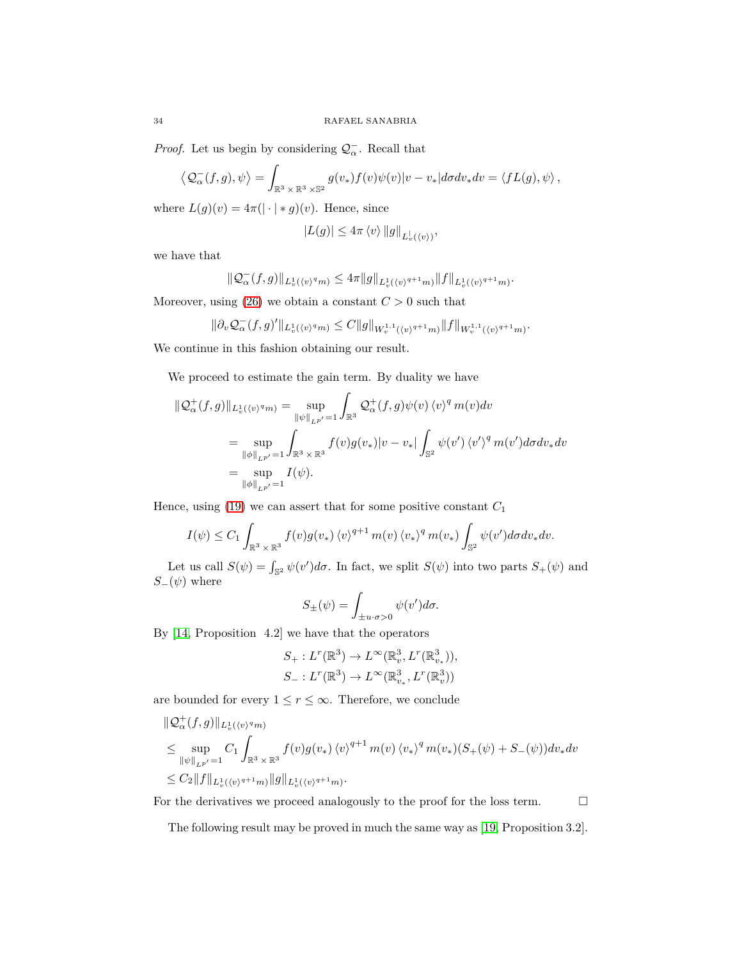*Proof.* Let us begin by considering  $Q_{\alpha}^-$ . Recall that

$$
\left\langle \mathcal{Q}_{\alpha}^-(f,g),\psi\right\rangle = \int_{\mathbb{R}^3\times\mathbb{R}^3\times\mathbb{S}^2} g(v_*) f(v)\psi(v)|v-v_*|d\sigma dv_*dv = \left\langle fL(g),\psi\right\rangle,
$$

where  $L(g)(v) = 4\pi(|\cdot| * g)(v)$ . Hence, since

$$
|L(g)| \leq 4\pi \langle v \rangle ||g||_{L_v^1(\langle v \rangle)},
$$

we have that

$$
\|\mathcal{Q}^-_{\alpha}(f,g)\|_{L^1_v(\langle v\rangle^q m)}\leq 4\pi\|g\|_{L^1_v(\langle v\rangle^{q+1} m)}\|f\|_{L^1_v(\langle v\rangle^{q+1} m)}.
$$

Moreover, using  $(26)$  we obtain a constant  $C > 0$  such that

$$
\|\partial_v \mathcal{Q}^-_{\alpha}(f,g)'\|_{L^1_v(\langle v \rangle^q m)} \leq C \|g\|_{W_v^{1,1}(\langle v \rangle^{q+1} m)} \|f\|_{W_v^{1,1}(\langle v \rangle^{q+1} m)}.
$$

We continue in this fashion obtaining our result.

We proceed to estimate the gain term. By duality we have

$$
\begin{split} \|\mathcal{Q}_{\alpha}^{+}(f,g)\|_{L_{v}^{1}(\langle v)^{q}m)} &= \sup_{\|\psi\|_{L^{p'}}=1} \int_{\mathbb{R}^{3}} \mathcal{Q}_{\alpha}^{+}(f,g)\psi(v)\,\langle v\rangle^{q}\,m(v)dv \\ &= \sup_{\|\phi\|_{L^{p'}}=1} \int_{\mathbb{R}^{3}\times\mathbb{R}^{3}} f(v)g(v_{*})|v-v_{*}|\int_{\mathbb{S}^{2}} \psi(v')\,\langle v'\rangle^{q}\,m(v')d\sigma dv_{*}dv \\ &= \sup_{\|\phi\|_{L^{p'}}=1} I(\psi). \end{split}
$$

Hence, using  $(19)$  we can assert that for some positive constant  $C_1$ 

$$
I(\psi) \leq C_1 \int_{\mathbb{R}^3 \times \mathbb{R}^3} f(v) g(v_*) \langle v \rangle^{q+1} m(v) \langle v_* \rangle^q m(v_*) \int_{\mathbb{S}^2} \psi(v') d\sigma dv_* dv.
$$

Let us call  $S(\psi) = \int_{\mathbb{S}^2} \psi(v') d\sigma$ . In fact, we split  $S(\psi)$  into two parts  $S_+(\psi)$  and  $S_-(\psi)$  where

$$
S_{\pm}(\psi) = \int_{\pm u \cdot \sigma > 0} \psi(v') d\sigma.
$$

By [\[14,](#page-40-2) Proposition 4.2] we have that the operators

$$
S_{+}: L^{r}(\mathbb{R}^{3}) \to L^{\infty}(\mathbb{R}_{v}^{3}, L^{r}(\mathbb{R}_{v_{*}}^{3})),
$$
  

$$
S_{-}: L^{r}(\mathbb{R}^{3}) \to L^{\infty}(\mathbb{R}_{v_{*}}^{3}, L^{r}(\mathbb{R}_{v}^{3}))
$$

are bounded for every  $1 \leq r \leq \infty$ . Therefore, we conclude

$$
\|Q_{\alpha}^{+}(f,g)\|_{L_{v}^{1}(\langle v)^{q}m)}
$$
\n
$$
\leq \sup_{\|\psi\|_{L^{p'}}=1} C_{1} \int_{\mathbb{R}^{3} \times \mathbb{R}^{3}} f(v)g(v_{*})\langle v \rangle^{q+1} m(v) \langle v_{*} \rangle^{q} m(v_{*}) (S_{+}(\psi) + S_{-}(\psi)) dv_{*} dv
$$
\n
$$
\leq C_{2} \|f\|_{L_{v}^{1}(\langle v \rangle^{q+1}m)} \|g\|_{L_{v}^{1}(\langle v \rangle^{q+1}m)}.
$$

For the derivatives we proceed analogously to the proof for the loss term.  $\Box$ 

The following result may be proved in much the same way as [\[19,](#page-40-4) Proposition 3.2].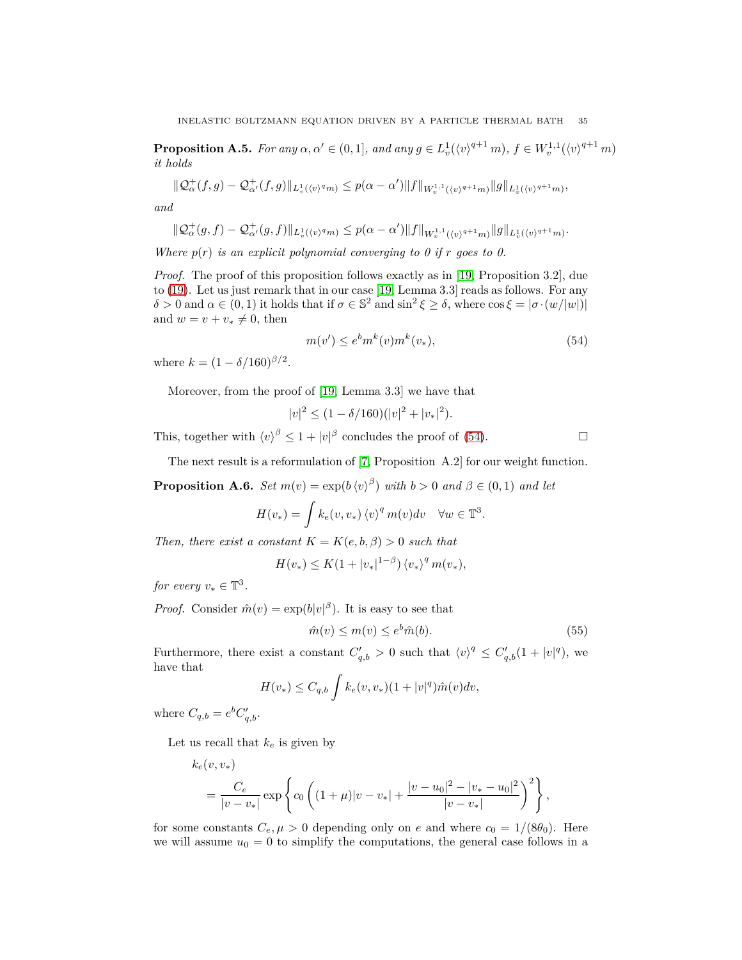<span id="page-34-1"></span>**Proposition A.5.** For any  $\alpha, \alpha' \in (0, 1]$ , and any  $g \in L_v^1(\langle v \rangle^{q+1} m)$ ,  $f \in W_v^{1,1}(\langle v \rangle^{q+1} m)$ *it holds*

$$
\|\mathcal{Q}^+_{\alpha}(f,g)-\mathcal{Q}^+_{\alpha'}(f,g)\|_{L^1_v(\langle v\rangle^q m)}\leq p(\alpha-\alpha')\|f\|_{W^{1,1}_v(\langle v\rangle^{q+1}m)}\|g\|_{L^1_v(\langle v\rangle^{q+1}m)},
$$

*and*

$$
\|\mathcal{Q}^+_\alpha(g,f)-\mathcal{Q}^+_{\alpha'}(g,f)\|_{L^1_v(\langle v\rangle^q m)}\leq p(\alpha-\alpha')\|f\|_{W^{1,1}_v(\langle v\rangle^{q+1}m)}\|g\|_{L^1_v(\langle v\rangle^{q+1}m)}.
$$

*Where*  $p(r)$  *is an explicit polynomial converging to 0 if*  $r$  *goes to 0.* 

*Proof.* The proof of this proposition follows exactly as in [\[19,](#page-40-4) Proposition 3.2], due to [\(19\)](#page-12-1). Let us just remark that in our case [\[19,](#page-40-4) Lemma 3.3] reads as follows. For any  $\delta > 0$  and  $\alpha \in (0, 1)$  it holds that if  $\sigma \in \mathbb{S}^2$  and  $\sin^2 \xi \ge \delta$ , where  $\cos \xi = |\sigma \cdot (w/|w|)|$ and  $w = v + v_* \neq 0$ , then

<span id="page-34-2"></span>
$$
m(v') \le e^b m^k(v) m^k(v_*),\tag{54}
$$

where  $k = (1 - \delta/160)^{\beta/2}$ .

Moreover, from the proof of [\[19,](#page-40-4) Lemma 3.3] we have that

$$
|v|^2 \le (1 - \delta/160)(|v|^2 + |v_*|^2).
$$

This, together with  $\langle v \rangle^{\beta} \leq 1 + |v|^{\beta}$  concludes the proof of [\(54\)](#page-34-2).

The next result is a reformulation of [\[7,](#page-40-7) Proposition A.2] for our weight function.

<span id="page-34-0"></span>**Proposition A.6.** *Set*  $m(v) = \exp(b \langle v \rangle^{\beta})$  *with*  $b > 0$  *and*  $\beta \in (0, 1)$  *and let* 

$$
H(v_*) = \int k_e(v, v_*) \langle v \rangle^q m(v) dv \quad \forall w \in \mathbb{T}^3.
$$

*Then, there exist a constant*  $K = K(e, b, \beta) > 0$  *such that* 

$$
H(v_*) \le K(1+|v_*|^{1-\beta}) \, \langle v_* \rangle^q \, m(v_*)
$$

*for every*  $v_* \in \mathbb{T}^3$ .

*Proof.* Consider  $\hat{m}(v) = \exp(b|v|^{\beta})$ . It is easy to see that

$$
\hat{m}(v) \le m(v) \le e^b \hat{m}(b). \tag{55}
$$

Furthermore, there exist a constant  $C'_{q,b} > 0$  such that  $\langle v \rangle^q \leq C'_{q,b}(1+|v|^q)$ , we have that

$$
H(v_*) \leq C_{q,b} \int k_e(v, v_*)(1+|v|^q)\hat{m}(v)dv,
$$

where  $C_{q,b} = e^b C'_{q,b}$ .

Let us recall that  $k_e$  is given by

$$
k_e(v, v_*)
$$
  
=  $\frac{C_e}{|v - v_*|} \exp \left\{ c_0 \left( (1 + \mu)|v - v_*| + \frac{|v - u_0|^2 - |v_* - u_0|^2}{|v - v_*|} \right)^2 \right\},$ 

for some constants  $C_e, \mu > 0$  depending only on *e* and where  $c_0 = 1/(8\theta_0)$ . Here we will assume  $u_0 = 0$  to simplify the computations, the general case follows in a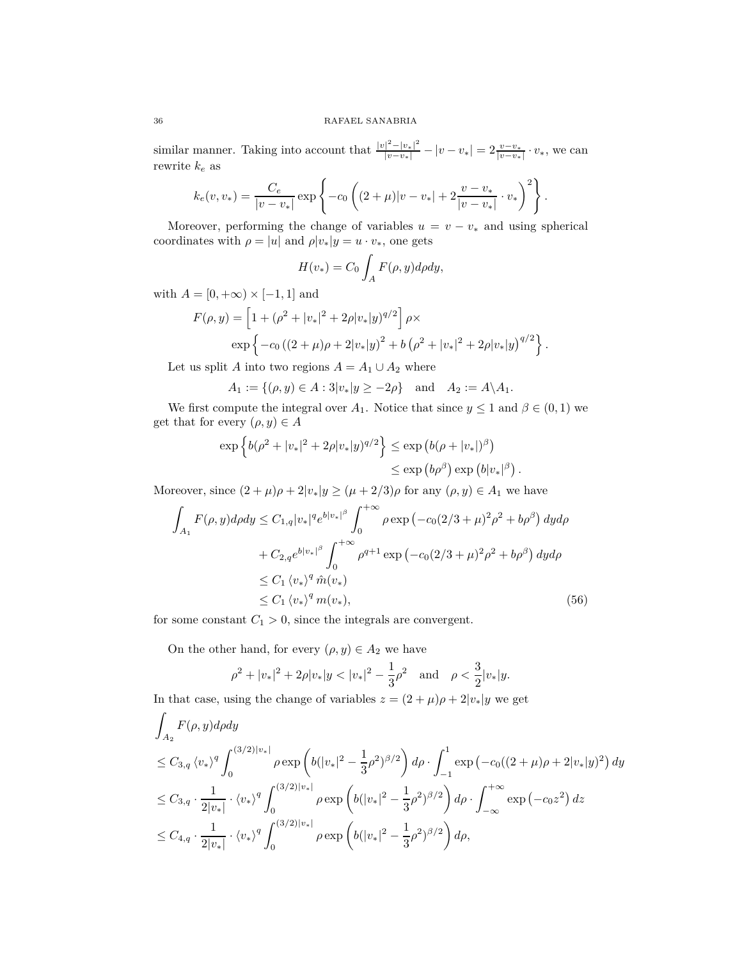similar manner. Taking into account that  $\frac{|v|^2 - |v_*|^2}{|v - v_*|} - |v - v_*| = 2 \frac{v - v_*}{|v - v_*|} \cdot v_*$ , we can rewrite *k<sup>e</sup>* as

$$
k_e(v, v_*) = \frac{C_e}{|v - v_*|} \exp \left\{-c_0 \left( (2 + \mu)|v - v_*| + 2\frac{v - v_*}{|v - v_*|} \cdot v_* \right)^2 \right\}.
$$

Moreover, performing the change of variables  $u = v - v_*$  and using spherical coordinates with  $\rho = |u|$  and  $\rho |v_*|y = u \cdot v_*$ , one gets

$$
H(v_*) = C_0 \int_A F(\rho, y) d\rho dy,
$$

with  $A = [0, +\infty) \times [-1, 1]$  and

$$
F(\rho, y) = \left[1 + (\rho^2 + |v_*|^2 + 2\rho |v_*|y)^{q/2}\right] \rho \times
$$
  
 
$$
\exp\left\{-c_0 \left((2 + \mu)\rho + 2|v_*|y\right)^2 + b\left(\rho^2 + |v_*|^2 + 2\rho |v_*|y\right)^{q/2}\right\}.
$$

Let us split *A* into two regions  $A = A_1 \cup A_2$  where

 $A_1 := \{(\rho, y) \in A : 3|v_*|y \ge -2\rho\}$  and  $A_2 := A \setminus A_1$ .

We first compute the integral over  $A_1$ . Notice that since  $y \leq 1$  and  $\beta \in (0,1)$  we get that for every  $(\rho, y) \in A$ 

$$
\exp\left\{b(\rho^2+|v_*|^2+2\rho|v_*|y)^{q/2}\right\} \le \exp\left(b(\rho+|v_*|)^\beta\right)
$$
  

$$
\le \exp\left(b\rho^\beta\right)\exp\left(b|v_*|^\beta\right).
$$

Moreover, since  $(2 + \mu)\rho + 2|v_*|y \geq (\mu + 2/3)\rho$  for any  $(\rho, y) \in A_1$  we have

$$
\int_{A_1} F(\rho, y) d\rho dy \le C_{1,q} |v_*|^q e^{b|v_*|^\beta} \int_0^{+\infty} \rho \exp(-c_0(2/3 + \mu)^2 \rho^2 + b\rho^\beta) dy d\rho \n+ C_{2,q} e^{b|v_*|^\beta} \int_0^{+\infty} \rho^{q+1} \exp(-c_0(2/3 + \mu)^2 \rho^2 + b\rho^\beta) dy d\rho \n\le C_1 \langle v_* \rangle^q \hat{m}(v_*) \n\le C_1 \langle v_* \rangle^q m(v_*),
$$
\n(56)

for some constant  $C_1 > 0$ , since the integrals are convergent.

On the other hand, for every  $(\rho, y) \in A_2$  we have

<span id="page-35-0"></span>
$$
\rho^2 + |v_*|^2 + 2\rho |v_*|y < |v_*|^2 - \frac{1}{3}\rho^2
$$
 and  $\rho < \frac{3}{2}|v_*|y$ .

In that case, using the change of variables  $z = (2 + \mu)\rho + 2|v_*|y$  we get

$$
\int_{A_2} F(\rho, y) d\rho dy
$$
\n
$$
\leq C_{3,q} \langle v_* \rangle^q \int_0^{(3/2)|v_*|} \rho \exp\left( b(|v_*|^2 - \frac{1}{3}\rho^2)^{\beta/2} \right) d\rho \cdot \int_{-1}^1 \exp\left( -c_0((2+\mu)\rho + 2|v_*|y)^2 \right) dy
$$
\n
$$
\leq C_{3,q} \cdot \frac{1}{2|v_*|} \cdot \langle v_* \rangle^q \int_0^{(3/2)|v_*|} \rho \exp\left( b(|v_*|^2 - \frac{1}{3}\rho^2)^{\beta/2} \right) d\rho \cdot \int_{-\infty}^{+\infty} \exp\left( -c_0 z^2 \right) dz
$$
\n
$$
\leq C_{4,q} \cdot \frac{1}{2|v_*|} \cdot \langle v_* \rangle^q \int_0^{(3/2)|v_*|} \rho \exp\left( b(|v_*|^2 - \frac{1}{3}\rho^2)^{\beta/2} \right) d\rho,
$$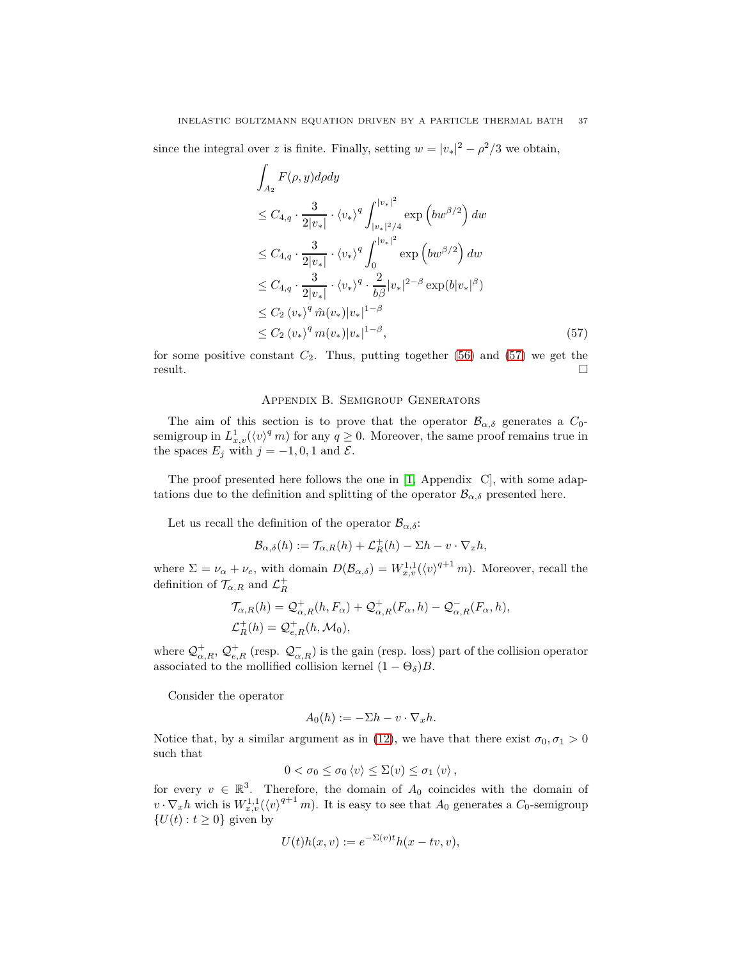since the integral over *z* is finite. Finally, setting  $w = |v_*|^2 - \rho^2/3$  we obtain,

$$
\int_{A_2} F(\rho, y) d\rho dy
$$
\n
$$
\leq C_{4,q} \cdot \frac{3}{2|v_*|} \cdot \langle v_* \rangle^q \int_{|v_*|^2/4}^{|v_*|^2} \exp\left(bw^{\beta/2}\right) dw
$$
\n
$$
\leq C_{4,q} \cdot \frac{3}{2|v_*|} \cdot \langle v_* \rangle^q \int_0^{|v_*|^2} \exp\left(bw^{\beta/2}\right) dw
$$
\n
$$
\leq C_{4,q} \cdot \frac{3}{2|v_*|} \cdot \langle v_* \rangle^q \cdot \frac{2}{b\beta} |v_*|^{2-\beta} \exp(b|v_*|^{\beta})
$$
\n
$$
\leq C_2 \langle v_* \rangle^q \hat{m}(v_*) |v_*|^{1-\beta}
$$
\n
$$
\leq C_2 \langle v_* \rangle^q m(v_*) |v_*|^{1-\beta}, \tag{57}
$$

<span id="page-36-0"></span>for some positive constant  $C_2$ . Thus, putting together  $(56)$  and  $(57)$  we get the  $r$ esult.

### <span id="page-36-1"></span>Appendix B. Semigroup Generators

The aim of this section is to prove that the operator  $\mathcal{B}_{\alpha,\delta}$  generates a  $C_0$ semigroup in  $L^1_{x,v}(\langle v \rangle^q m)$  for any  $q \ge 0$ . Moreover, the same proof remains true in the spaces  $E_j$  with  $j = -1, 0, 1$  and  $\mathcal{E}$ .

The proof presented here follows the one in [\[1,](#page-40-10) Appendix C], with some adaptations due to the definition and splitting of the operator  $\mathcal{B}_{\alpha,\delta}$  presented here.

Let us recall the definition of the operator  $\mathcal{B}_{\alpha,\delta}$ :

$$
\mathcal{B}_{\alpha,\delta}(h) := \mathcal{T}_{\alpha,R}(h) + \mathcal{L}_R^+(h) - \Sigma h - v \cdot \nabla_x h,
$$

where  $\Sigma = \nu_{\alpha} + \nu_{e}$ , with domain  $D(\mathcal{B}_{\alpha,\delta}) = W_{x,v}^{1,1}(\langle v \rangle^{q+1} m)$ . Moreover, recall the definition of  $\mathcal{T}_{\alpha,R}$  and  $\mathcal{L}_R^+$ 

$$
\mathcal{T}_{\alpha,R}(h) = \mathcal{Q}_{\alpha,R}^+(h, F_{\alpha}) + \mathcal{Q}_{\alpha,R}^+(F_{\alpha}, h) - \mathcal{Q}_{\alpha,R}^-(F_{\alpha}, h),
$$
  

$$
\mathcal{L}_R^+(h) = \mathcal{Q}_{e,R}^+(h, \mathcal{M}_0),
$$

where  $\mathcal{Q}^+_{\alpha,R}, \mathcal{Q}^+_{e,R}$  (resp.  $\mathcal{Q}^-_{\alpha,R}$ ) is the gain (resp. loss) part of the collision operator associated to the mollified collision kernel  $(1 - \Theta_{\delta})B$ .

Consider the operator

$$
A_0(h) := -\Sigma h - v \cdot \nabla_x h.
$$

Notice that, by a similar argument as in [\(12\)](#page-8-3), we have that there exist  $\sigma_0, \sigma_1 > 0$ such that

$$
0 < \sigma_0 \leq \sigma_0 \langle v \rangle \leq \Sigma(v) \leq \sigma_1 \langle v \rangle,
$$

for every  $v \in \mathbb{R}^3$ . Therefore, the domain of  $A_0$  coincides with the domain of  $v \cdot \nabla_x h$  wich is  $W_{x,v}^{1,1}(\langle v \rangle^{q+1} m)$ . It is easy to see that  $A_0$  generates a  $C_0$ -semigroup  ${U(t): t \geq 0}$  given by

$$
U(t)h(x,v) := e^{-\Sigma(v)t}h(x-tv,v),
$$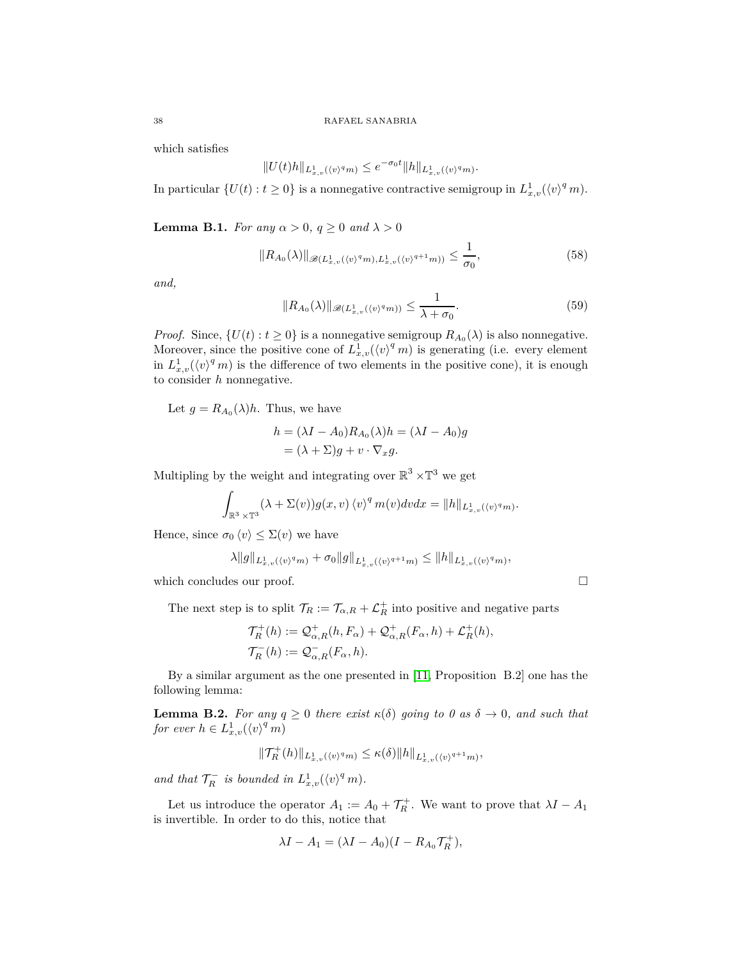which satisfies

$$
||U(t)h||_{L^1_{x,v}(\langle v \rangle^q m)} \le e^{-\sigma_0 t} ||h||_{L^1_{x,v}(\langle v \rangle^q m)}.
$$

In particular  $\{U(t) : t \ge 0\}$  is a nonnegative contractive semigroup in  $L^1_{x,v}(\langle v \rangle^q m)$ .

<span id="page-37-0"></span>**Lemma B.1.** *For any*  $\alpha > 0$ *,*  $q \ge 0$  *and*  $\lambda > 0$ 

$$
||R_{A_0}(\lambda)||_{\mathscr{B}(L^1_{x,v}(\langle v \rangle^q m), L^1_{x,v}(\langle v \rangle^{q+1} m))} \le \frac{1}{\sigma_0},
$$
\n(58)

*and,*

<span id="page-37-2"></span>
$$
||R_{A_0}(\lambda)||_{\mathscr{B}(L^1_{x,v}(\langle v \rangle^q m))} \le \frac{1}{\lambda + \sigma_0}.
$$
\n(59)

*Proof.* Since,  $\{U(t): t \geq 0\}$  is a nonnegative semigroup  $R_{A_0}(\lambda)$  is also nonnegative. Moreover, since the positive cone of  $L_{x,v}^1(\langle v \rangle^q m)$  is generating (i.e. every element in  $L^1_{x,v}(\langle v \rangle^q m)$  is the difference of two elements in the positive cone), it is enough to consider *h* nonnegative.

Let  $g = R_{A_0}(\lambda)h$ . Thus, we have

$$
h = (\lambda I - A_0)R_{A_0}(\lambda)h = (\lambda I - A_0)g
$$
  
= (\lambda + \Sigma)g + v \cdot \nabla\_x g.

Multipling by the weight and integrating over  $\mathbb{R}^3 \times \mathbb{T}^3$  we get

$$
\int_{\mathbb{R}^3 \times \mathbb{T}^3} (\lambda + \Sigma(v)) g(x, v) \langle v \rangle^q m(v) dv dx = ||h||_{L^1_{x,v}(\langle v \rangle^q m)}.
$$

Hence, since  $\sigma_0 \langle v \rangle \leq \Sigma(v)$  we have

$$
\lambda \|g\|_{L^1_{x,v}(\langle v \rangle^q m)} + \sigma_0 \|g\|_{L^1_{x,v}(\langle v \rangle^{q+1} m)} \le \|h\|_{L^1_{x,v}(\langle v \rangle^q m)},
$$

which concludes our proof.

The next step is to split  $\mathcal{T}_R := \mathcal{T}_{\alpha,R} + \mathcal{L}_R^+$  into positive and negative parts

$$
\mathcal{T}_R^+(h) := \mathcal{Q}_{\alpha,R}^+(h, F_\alpha) + \mathcal{Q}_{\alpha,R}^+(F_\alpha, h) + \mathcal{L}_R^+(h),
$$
  

$$
\mathcal{T}_R^-(h) := \mathcal{Q}_{\alpha,R}^-(F_\alpha, h).
$$

By a similar argument as the one presented in [\[11,](#page-40-13) Proposition B.2] one has the following lemma:

<span id="page-37-1"></span>**Lemma B.2.** *For any*  $q \geq 0$  *there exist*  $\kappa(\delta)$  *going to 0 as*  $\delta \to 0$ *, and such that for ever*  $h \in L^1_{x,v}(\langle v \rangle^q m)$ 

$$
\|\mathcal{T}_{R}^{+}(h)\|_{L_{x,v}^{1}(\langle v\rangle^{q}m)} \leq \kappa(\delta) \|h\|_{L_{x,v}^{1}(\langle v\rangle^{q+1}m)},
$$

*and that*  $\mathcal{T}_R^-$  *is bounded in*  $L^1_{x,v}(\langle v \rangle^q m)$ *.* 

Let us introduce the operator  $A_1 := A_0 + \mathcal{T}_R^+$ . We want to prove that  $\lambda I - A_1$ is invertible. In order to do this, notice that

$$
\lambda I - A_1 = (\lambda I - A_0)(I - R_{A_0} \mathcal{T}_R^+),
$$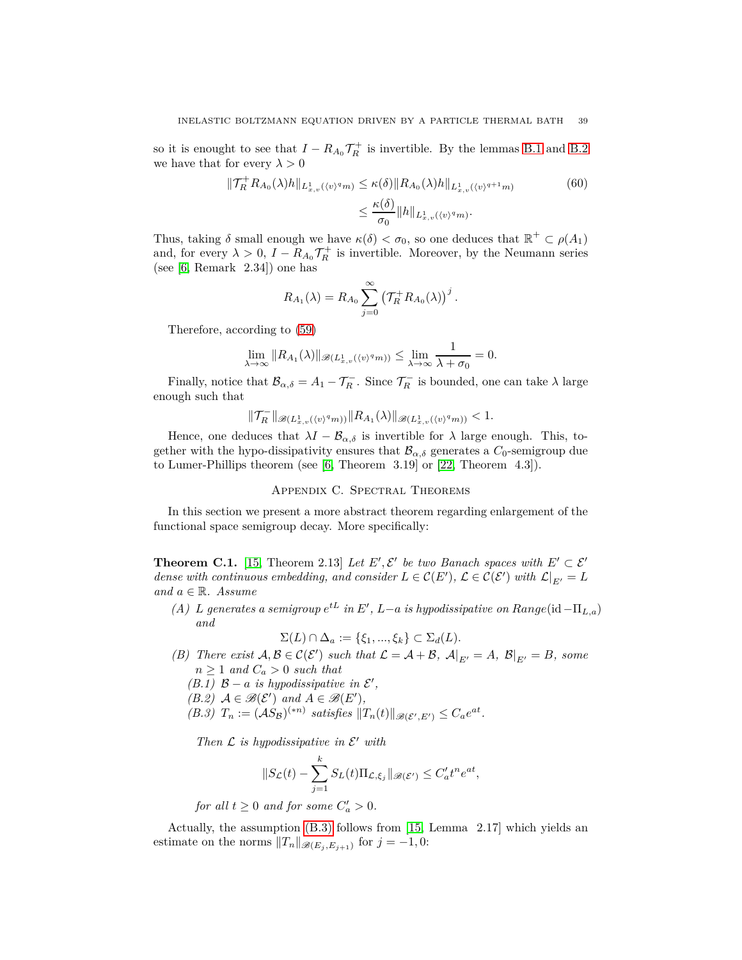so it is enought to see that  $I - R_{A_0} \mathcal{T}_R^+$  is invertible. By the lemmas [B.1](#page-37-0) and [B.2](#page-37-1) we have that for every  $\lambda > 0$ 

$$
\|\mathcal{T}_{R}^{+}R_{A_{0}}(\lambda)h\|_{L_{x,v}^{1}(\langle v)^{q}m)} \leq \kappa(\delta)\|R_{A_{0}}(\lambda)h\|_{L_{x,v}^{1}(\langle v)^{q+1}m)} \tag{60}
$$

$$
\leq \frac{\kappa(\delta)}{\sigma_{0}}\|h\|_{L_{x,v}^{1}(\langle v)^{q}m)}.
$$

Thus, taking  $\delta$  small enough we have  $\kappa(\delta) < \sigma_0$ , so one deduces that  $\mathbb{R}^+ \subset \rho(A_1)$ and, for every  $\lambda > 0$ ,  $I - R_{A_0} \mathcal{T}_R^+$  is invertible. Moreover, by the Neumann series (see [\[6,](#page-40-21) Remark 2.34]) one has

$$
R_{A_1}(\lambda) = R_{A_0} \sum_{j=0}^{\infty} \left( \mathcal{T}_R^+ R_{A_0}(\lambda) \right)^j.
$$

Therefore, according to [\(59\)](#page-37-2)

$$
\lim_{\lambda \to \infty} ||R_{A_1}(\lambda)||_{\mathscr{B}(L^1_{x,v}(\langle v \rangle^q m))} \le \lim_{\lambda \to \infty} \frac{1}{\lambda + \sigma_0} = 0.
$$

Finally, notice that  $\mathcal{B}_{\alpha,\delta} = A_1 - \mathcal{T}_R^-$ . Since  $\mathcal{T}_R^-$  is bounded, one can take  $\lambda$  large enough such that

$$
\|\mathcal{T}_R^-\|_{\mathscr{B}(L^1_{x,v}(\langle v \rangle^q m))} \|R_{A_1}(\lambda)\|_{\mathscr{B}(L^1_{x,v}(\langle v \rangle^q m))} < 1.
$$

Hence, one deduces that  $\lambda I - \mathcal{B}_{\alpha,\delta}$  is invertible for  $\lambda$  large enough. This, together with the hypo-dissipativity ensures that  $\mathcal{B}_{\alpha,\delta}$  generates a  $C_0$ -semigroup due to Lumer-Phillips theorem (see [\[6,](#page-40-21) Theorem 3.19] or [\[22,](#page-40-15) Theorem 4.3]).

### Appendix C. Spectral Theorems

<span id="page-38-0"></span>In this section we present a more abstract theorem regarding enlargement of the functional space semigroup decay. More specifically:

<span id="page-38-1"></span>**Theorem C.1.** [\[15,](#page-40-9) Theorem 2.13] *Let*  $E'$ ,  $\mathcal{E}'$  *be two Banach spaces with*  $E' \subset \mathcal{E}'$ *dense with continuous embedding, and consider*  $L \in \mathcal{C}(E')$ ,  $\mathcal{L} \in \mathcal{C}(\mathcal{E}')$  *with*  $\mathcal{L}|_{E'} = L$ *and <sup>a</sup>* <sup>∈</sup> <sup>R</sup>*. Assume*

<span id="page-38-3"></span>*(A) L* generates a semigroup  $e^{tL}$  in  $E'$ ,  $L-a$  is hypodissipative on  $Range(\text{id} - \Pi_{L,a})$ *and*

$$
\Sigma(L) \cap \Delta_a := \{\xi_1, ..., \xi_k\} \subset \Sigma_d(L).
$$

- <span id="page-38-4"></span><span id="page-38-2"></span>*(B) There exist*  $A, B \in C(\mathcal{E}')$  *such that*  $\mathcal{L} = A + B$ *,*  $A|_{E'} = A$ *,*  $B|_{E'} = B$ *, some*  $n \geq 1$  *and*  $C_a > 0$  *such that* 
	- *(B.1)*  $B a$  *is hypodissipative in*  $\mathcal{E}'$ ,
	- $(B.2)$   $A \in \mathcal{B}(\mathcal{E}')$  and  $A \in \mathcal{B}(E'),$
	- *(B.3)*  $T_n := (\mathcal{A}S_B)^{(*n)}$  satisfies  $||T_n(t)||_{\mathscr{B}(\mathcal{E}',E')} \leq C_a e^{at}$ .

*Then*  $\mathcal L$  *is hypodissipative in*  $\mathcal E'$  *with* 

$$
||S_{\mathcal{L}}(t) - \sum_{j=1}^k S_L(t)\Pi_{\mathcal{L},\xi_j}||_{\mathscr{B}(\mathcal{E}')} \leq C'_a t^n e^{at},
$$

*for all*  $t \geq 0$  *and for some*  $C'_a > 0$ *.* 

Actually, the assumption [\(B.3\)](#page-38-4) follows from [\[15,](#page-40-9) Lemma 2.17] which yields an estimate on the norms  $||T_n||_{\mathscr{B}(E_j, E_{j+1})}$  for  $j = -1, 0$ :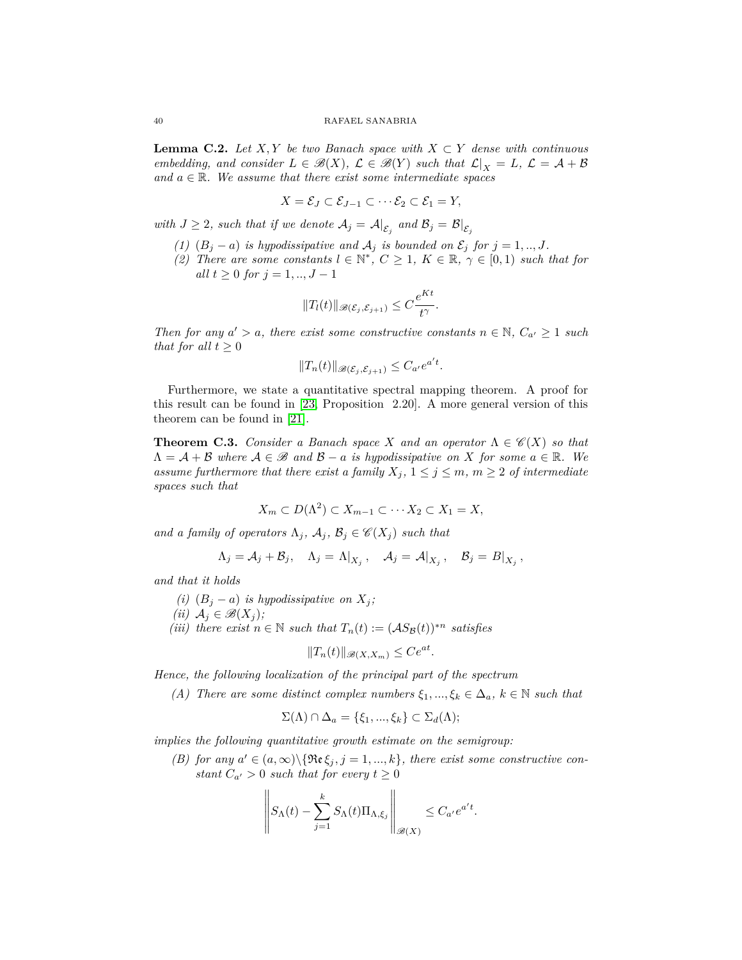<span id="page-39-0"></span>**Lemma C.2.** *Let*  $X, Y$  *be two Banach space with*  $X \subset Y$  *dense with continuous embedding, and consider*  $L \in \mathcal{B}(X)$ *,*  $\mathcal{L} \in \mathcal{B}(Y)$  *such that*  $\mathcal{L}|_X = L$ *,*  $\mathcal{L} = \mathcal{A} + \mathcal{B}$ and  $a \in \mathbb{R}$ . We assume that there exist some intermediate spaces

$$
X=\mathcal{E}_J\subset \mathcal{E}_{J-1}\subset \cdots \mathcal{E}_2\subset \mathcal{E}_1=Y,
$$

*with*  $J \geq 2$ *, such that if we denote*  $A_j = A|_{\mathcal{E}_j}$  and  $\mathcal{B}_j = \mathcal{B}|_{\mathcal{E}_j}$ 

- *(1)*  $(B_j a)$  *is hypodissipative and*  $A_j$  *is bounded on*  $\mathcal{E}_j$  *for*  $j = 1, ..., J$ *.*
- (2) There are some constants  $l \in \mathbb{N}^*$ ,  $C \geq 1$ ,  $K \in \mathbb{R}$ ,  $\gamma \in [0,1)$  such that for *all*  $t > 0$  *for*  $j = 1, ..., J - 1$

$$
||T_l(t)||_{\mathscr{B}(\mathcal{E}_j,\mathcal{E}_{j+1})} \leq C \frac{e^{Kt}}{t^{\gamma}}.
$$

*Then for any*  $a' > a$ *, there exist some constructive constants*  $n \in \mathbb{N}$ *,*  $C_{a'} \ge 1$  *such that for all*  $t \geq 0$ 

$$
||T_n(t)||_{\mathscr{B}(\mathcal{E}_j,\mathcal{E}_{j+1})} \leq C_{a'}e^{a't}.
$$

Furthermore, we state a quantitative spectral mapping theorem. A proof for this result can be found in [\[23,](#page-41-0) Proposition 2.20]. A more general version of this theorem can be found in [\[21\]](#page-40-16).

<span id="page-39-1"></span>**Theorem C.3.** *Consider a Banach space X and an operator*  $\Lambda \in \mathcal{C}(X)$  *so that*  $\Lambda = \mathcal{A} + \mathcal{B}$  where  $\mathcal{A} \in \mathcal{B}$  and  $\mathcal{B} - a$  is hypodissipative on X for some  $a \in \mathbb{R}$ . We *assume furthermore that there exist a family*  $X_j$ ,  $1 \leq j \leq m$ ,  $m \geq 2$  *of intermediate spaces such that*

$$
X_m \subset D(\Lambda^2) \subset X_{m-1} \subset \cdots X_2 \subset X_1 = X,
$$

*and a family of operators*  $\Lambda_j$ *,*  $\mathcal{A}_j$ *,*  $\mathcal{B}_j \in \mathcal{C}(X_j)$  *such that* 

$$
\Lambda_j = \mathcal{A}_j + \mathcal{B}_j, \quad \Lambda_j = \Lambda|_{X_j}, \quad \mathcal{A}_j = \mathcal{A}|_{X_j}, \quad \mathcal{B}_j = B|_{X_j},
$$

<span id="page-39-2"></span>*and that it holds*

- <span id="page-39-3"></span>*(i)*  $(B_j - a)$  *is hypodissipative on*  $X_j$ ;
- <span id="page-39-4"></span>*(ii)*  $A_j$  ∈  $\mathcal{B}(X_j)$ ;
- *(iii) there exist*  $n \in \mathbb{N}$  *such that*  $T_n(t) := (AS_{\mathcal{B}}(t))^{*n}$  *satisfies*

$$
||T_n(t)||_{\mathscr{B}(X,X_m)} \le Ce^{at}.
$$

<span id="page-39-5"></span>*Hence, the following localization of the principal part of the spectrum*

*(A)* There are some distinct complex numbers  $\xi_1, ..., \xi_k \in \Delta_a$ ,  $k \in \mathbb{N}$  such that

$$
\Sigma(\Lambda) \cap \Delta_a = \{\xi_1, ..., \xi_k\} \subset \Sigma_d(\Lambda);
$$

*implies the following quantitative growth estimate on the semigroup:*

*(B)* for any  $a' \in (a, \infty) \setminus {\Re{\epsilon_{j}}}, j = 1, ..., k$ , there exist some constructive con*stant*  $C_{a'} > 0$  *such that for every*  $t \geq 0$ 

$$
\left\| S_{\Lambda}(t) - \sum_{j=1}^{k} S_{\Lambda}(t) \Pi_{\Lambda, \xi_j} \right\|_{\mathscr{B}(X)} \leq C_{a'} e^{a't}.
$$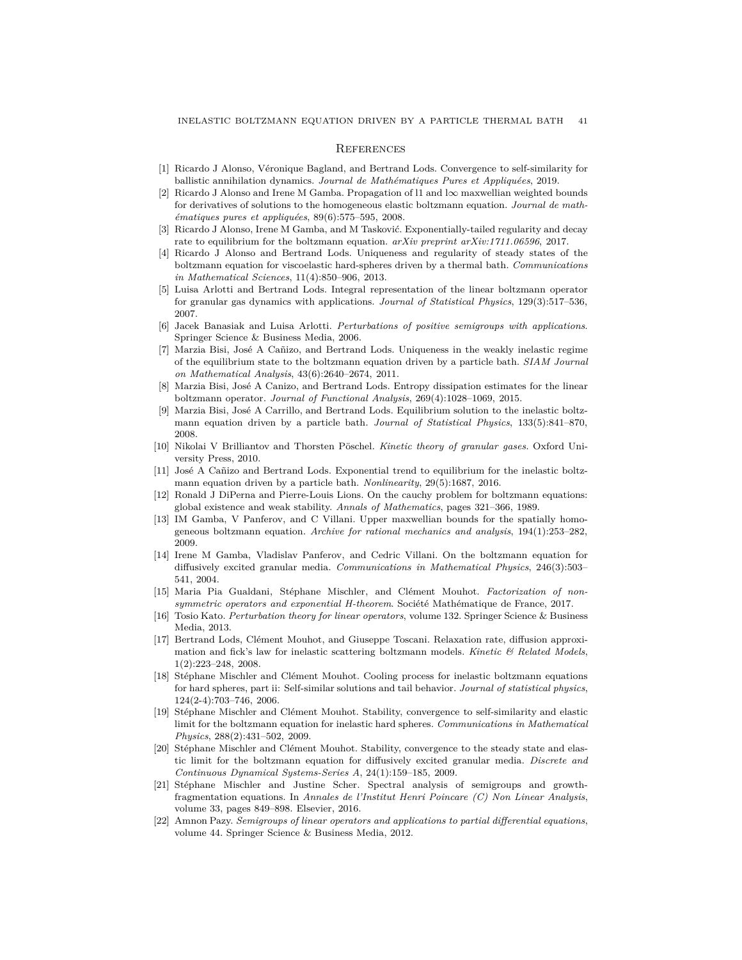#### <span id="page-40-0"></span>**REFERENCES**

- <span id="page-40-10"></span>[1] Ricardo J Alonso, Véronique Bagland, and Bertrand Lods. Convergence to self-similarity for ballistic annihilation dynamics. *Journal de Mathématiques Pures et Appliquées*, 2019.
- [2] Ricardo J Alonso and Irene M Gamba. Propagation of l1 and l∞ maxwellian weighted bounds for derivatives of solutions to the homogeneous elastic boltzmann equation. *Journal de mathématiques pures et appliquées*, 89(6):575–595, 2008.
- <span id="page-40-11"></span>[3] Ricardo J Alonso, Irene M Gamba, and M Tasković. Exponentially-tailed regularity and decay rate to equilibrium for the boltzmann equation. *arXiv preprint arXiv:1711.06596*, 2017.
- <span id="page-40-19"></span>[4] Ricardo J Alonso and Bertrand Lods. Uniqueness and regularity of steady states of the boltzmann equation for viscoelastic hard-spheres driven by a thermal bath. *Communications in Mathematical Sciences*, 11(4):850–906, 2013.
- <span id="page-40-17"></span>[5] Luisa Arlotti and Bertrand Lods. Integral representation of the linear boltzmann operator for granular gas dynamics with applications. *Journal of Statistical Physics*, 129(3):517–536, 2007.
- <span id="page-40-21"></span>[6] Jacek Banasiak and Luisa Arlotti. *Perturbations of positive semigroups with applications*. Springer Science & Business Media, 2006.
- <span id="page-40-7"></span>[7] Marzia Bisi, José A Cañizo, and Bertrand Lods. Uniqueness in the weakly inelastic regime of the equilibrium state to the boltzmann equation driven by a particle bath. *SIAM Journal on Mathematical Analysis*, 43(6):2640–2674, 2011.
- <span id="page-40-12"></span>[8] Marzia Bisi, José A Canizo, and Bertrand Lods. Entropy dissipation estimates for the linear boltzmann operator. *Journal of Functional Analysis*, 269(4):1028–1069, 2015.
- <span id="page-40-6"></span>[9] Marzia Bisi, José A Carrillo, and Bertrand Lods. Equilibrium solution to the inelastic boltzmann equation driven by a particle bath. *Journal of Statistical Physics*, 133(5):841–870, 2008.
- <span id="page-40-1"></span>[10] Nikolai V Brilliantov and Thorsten Pöschel. *Kinetic theory of granular gases*. Oxford University Press, 2010.
- <span id="page-40-13"></span>[11] José A Cañizo and Bertrand Lods. Exponential trend to equilibrium for the inelastic boltzmann equation driven by a particle bath. *Nonlinearity*, 29(5):1687, 2016.
- <span id="page-40-8"></span>[12] Ronald J DiPerna and Pierre-Louis Lions. On the cauchy problem for boltzmann equations: global existence and weak stability. *Annals of Mathematics*, pages 321–366, 1989.
- <span id="page-40-20"></span>[13] IM Gamba, V Panferov, and C Villani. Upper maxwellian bounds for the spatially homogeneous boltzmann equation. *Archive for rational mechanics and analysis*, 194(1):253–282, 2009.
- <span id="page-40-2"></span>[14] Irene M Gamba, Vladislav Panferov, and Cedric Villani. On the boltzmann equation for diffusively excited granular media. *Communications in Mathematical Physics*, 246(3):503– 541, 2004.
- <span id="page-40-9"></span>[15] Maria Pia Gualdani, Stéphane Mischler, and Clément Mouhot. *Factorization of nonsymmetric operators and exponential H-theorem*. Société Mathématique de France, 2017.
- <span id="page-40-14"></span>[16] Tosio Kato. *Perturbation theory for linear operators*, volume 132. Springer Science & Business Media, 2013.
- <span id="page-40-18"></span>[17] Bertrand Lods, Clément Mouhot, and Giuseppe Toscani. Relaxation rate, diffusion approximation and fick's law for inelastic scattering boltzmann models. *Kinetic & Related Models*, 1(2):223–248, 2008.
- <span id="page-40-5"></span>[18] Stéphane Mischler and Clément Mouhot. Cooling process for inelastic boltzmann equations for hard spheres, part ii: Self-similar solutions and tail behavior. *Journal of statistical physics*, 124(2-4):703–746, 2006.
- <span id="page-40-4"></span>[19] Stéphane Mischler and Clément Mouhot. Stability, convergence to self-similarity and elastic limit for the boltzmann equation for inelastic hard spheres. *Communications in Mathematical Physics*, 288(2):431–502, 2009.
- <span id="page-40-3"></span>[20] Stéphane Mischler and Clément Mouhot. Stability, convergence to the steady state and elastic limit for the boltzmann equation for diffusively excited granular media. *Discrete and Continuous Dynamical Systems-Series A*, 24(1):159–185, 2009.
- <span id="page-40-16"></span>[21] Stéphane Mischler and Justine Scher. Spectral analysis of semigroups and growthfragmentation equations. In *Annales de l'Institut Henri Poincare (C) Non Linear Analysis*, volume 33, pages 849–898. Elsevier, 2016.
- <span id="page-40-15"></span>[22] Amnon Pazy. *Semigroups of linear operators and applications to partial differential equations*, volume 44. Springer Science & Business Media, 2012.